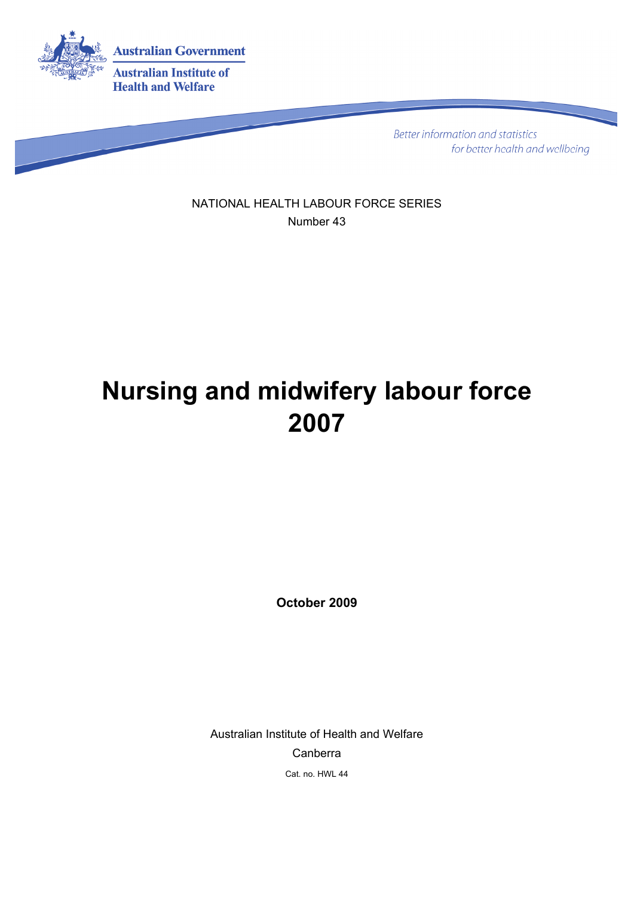

**Better information and statistics** for better health and wellbeing

NATIONAL HEALTH LABOUR FORCE SERIES Number 43

# **Nursing and midwifery labour force 2007**

**October 2009** 

Australian Institute of Health and Welfare Canberra Cat. no. HWL 44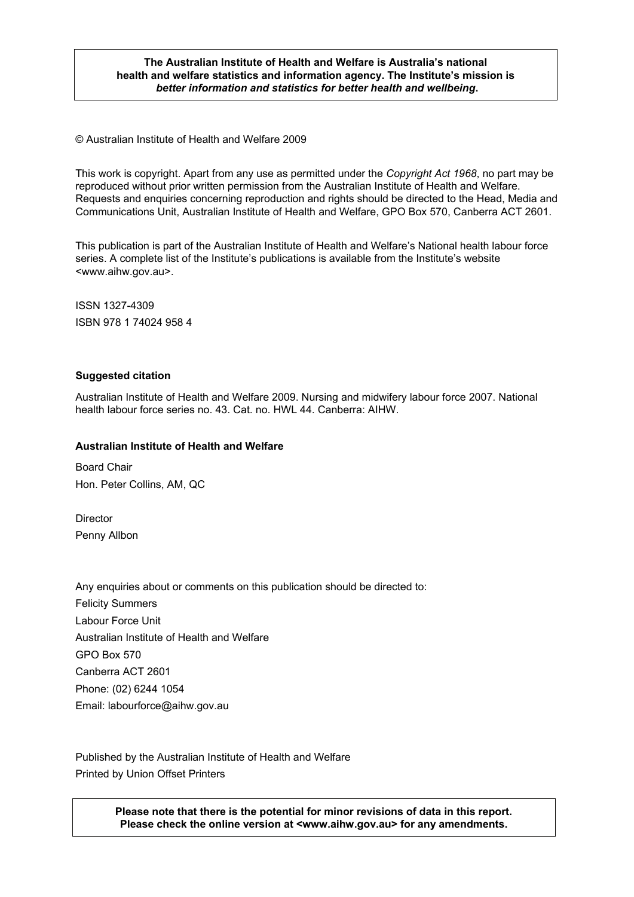#### **The Australian Institute of Health and Welfare is Australia's national health and welfare statistics and information agency. The Institute's mission is**  *better information and statistics for better health and wellbeing***.**

© Australian Institute of Health and Welfare 2009

This work is copyright. Apart from any use as permitted under the *Copyright Act 1968*, no part may be reproduced without prior written permission from the Australian Institute of Health and Welfare. Requests and enquiries concerning reproduction and rights should be directed to the Head, Media and Communications Unit, Australian Institute of Health and Welfare, GPO Box 570, Canberra ACT 2601.

This publication is part of the Australian Institute of Health and Welfare's National health labour force series. A complete list of the Institute's publications is available from the Institute's website <www.aihw.gov.au>.

ISSN 1327-4309 ISBN 978 1 74024 958 4

#### **Suggested citation**

Australian Institute of Health and Welfare 2009. Nursing and midwifery labour force 2007. National health labour force series no. 43. Cat. no. HWL 44. Canberra: AIHW.

#### **Australian Institute of Health and Welfare**

Board Chair Hon. Peter Collins, AM, QC

Director Penny Allbon

Any enquiries about or comments on this publication should be directed to: Felicity Summers Labour Force Unit Australian Institute of Health and Welfare GPO Box 570 Canberra ACT 2601 Phone: (02) 6244 1054 Email: labourforce@aihw.gov.au

Published by the Australian Institute of Health and Welfare Printed by Union Offset Printers

> **Please note that there is the potential for minor revisions of data in this report. Please check the online version at <www.aihw.gov.au> for any amendments.**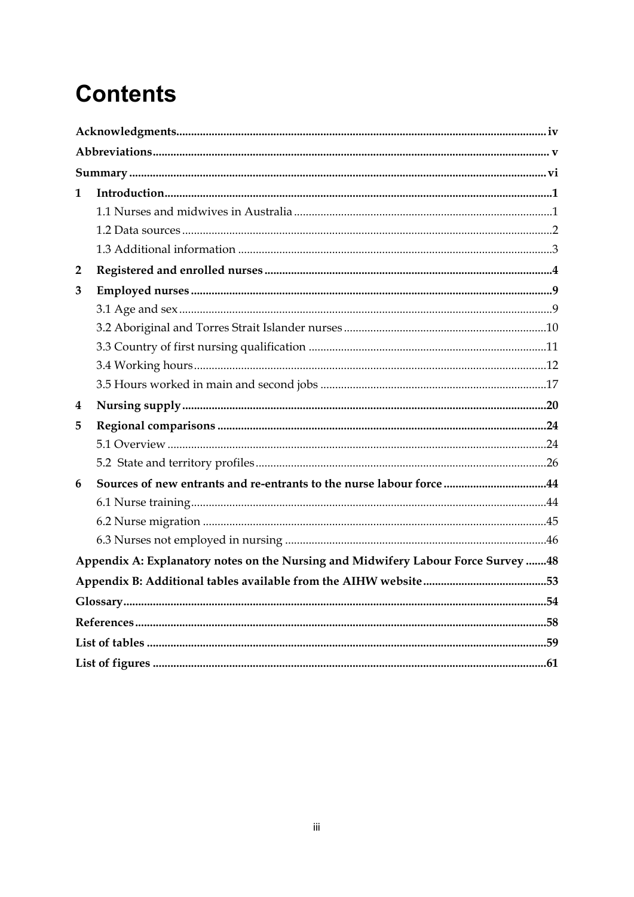# **Contents**

| 1 |                                                                                    |  |
|---|------------------------------------------------------------------------------------|--|
|   |                                                                                    |  |
|   |                                                                                    |  |
|   |                                                                                    |  |
| 2 |                                                                                    |  |
| 3 |                                                                                    |  |
|   |                                                                                    |  |
|   |                                                                                    |  |
|   |                                                                                    |  |
|   |                                                                                    |  |
|   |                                                                                    |  |
|   |                                                                                    |  |
| 4 |                                                                                    |  |
| 5 |                                                                                    |  |
|   |                                                                                    |  |
|   |                                                                                    |  |
| 6 | Sources of new entrants and re-entrants to the nurse labour force44                |  |
|   |                                                                                    |  |
|   |                                                                                    |  |
|   |                                                                                    |  |
|   | Appendix A: Explanatory notes on the Nursing and Midwifery Labour Force Survey  48 |  |
|   |                                                                                    |  |
|   |                                                                                    |  |
|   |                                                                                    |  |
|   |                                                                                    |  |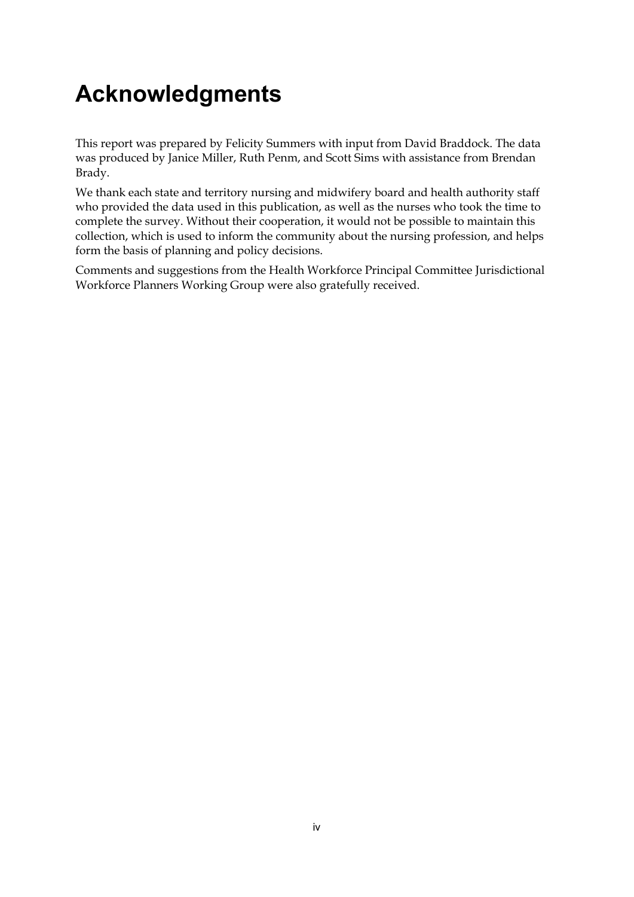# <span id="page-3-0"></span>**Acknowledgments**

This report was prepared by Felicity Summers with input from David Braddock. The data was produced by Janice Miller, Ruth Penm, and Scott Sims with assistance from Brendan Brady.

We thank each state and territory nursing and midwifery board and health authority staff who provided the data used in this publication, as well as the nurses who took the time to complete the survey. Without their cooperation, it would not be possible to maintain this collection, which is used to inform the community about the nursing profession, and helps form the basis of planning and policy decisions.

Comments and suggestions from the Health Workforce Principal Committee Jurisdictional Workforce Planners Working Group were also gratefully received.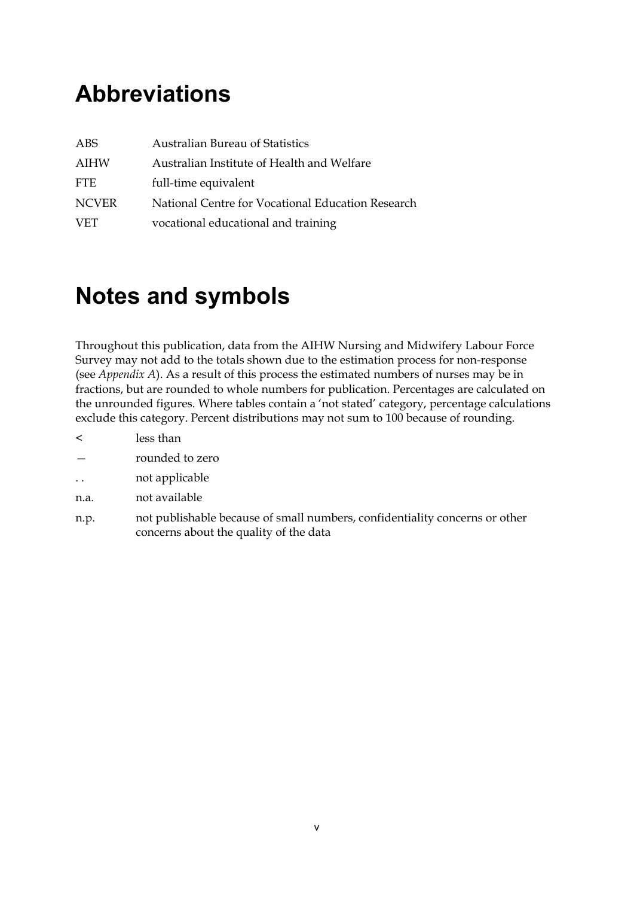# <span id="page-4-0"></span>**Abbreviations**

| ABS          | <b>Australian Bureau of Statistics</b>            |
|--------------|---------------------------------------------------|
| AIHW         | Australian Institute of Health and Welfare        |
| <b>FTE</b>   | full-time equivalent                              |
| <b>NCVER</b> | National Centre for Vocational Education Research |
| <b>VET</b>   | vocational educational and training               |

# **Notes and symbols**

Throughout this publication, data from the AIHW Nursing and Midwifery Labour Force Survey may not add to the totals shown due to the estimation process for non-response (see *Appendix A*). As a result of this process the estimated numbers of nurses may be in fractions, but are rounded to whole numbers for publication. Percentages are calculated on the unrounded figures. Where tables contain a 'not stated' category, percentage calculations exclude this category. Percent distributions may not sum to 100 because of rounding.

- < less than
- rounded to zero
- .. not applicable
- n.a. not available
- n.p. not publishable because of small numbers, confidentiality concerns or other concerns about the quality of the data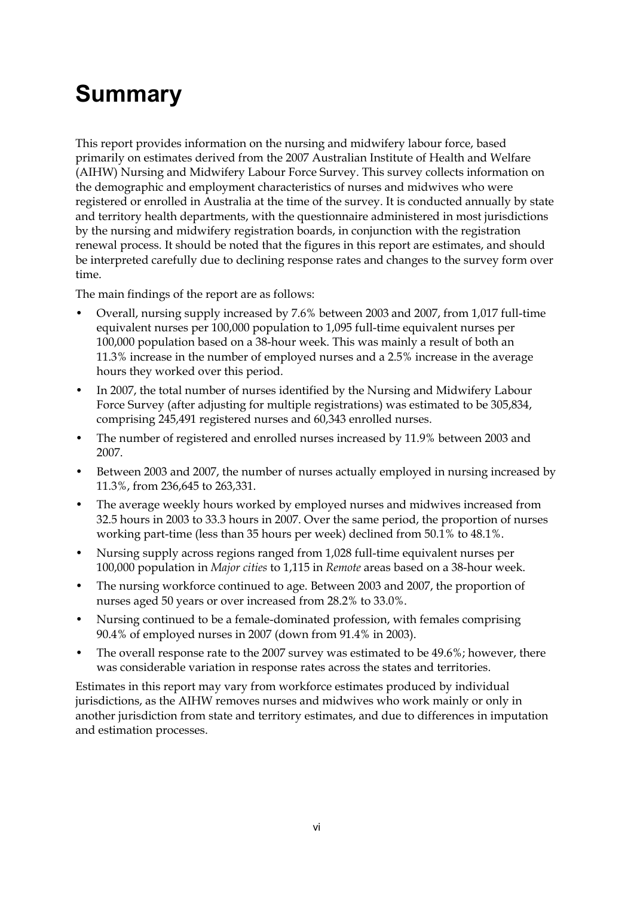# <span id="page-5-0"></span>**Summary**

This report provides information on the nursing and midwifery labour force, based primarily on estimates derived from the 2007 Australian Institute of Health and Welfare (AIHW) Nursing and Midwifery Labour Force Survey. This survey collects information on the demographic and employment characteristics of nurses and midwives who were registered or enrolled in Australia at the time of the survey. It is conducted annually by state and territory health departments, with the questionnaire administered in most jurisdictions by the nursing and midwifery registration boards, in conjunction with the registration renewal process. It should be noted that the figures in this report are estimates, and should be interpreted carefully due to declining response rates and changes to the survey form over time.

The main findings of the report are as follows:

- Overall, nursing supply increased by 7.6% between 2003 and 2007, from 1,017 full-time equivalent nurses per 100,000 population to 1,095 full-time equivalent nurses per 100,000 population based on a 38-hour week. This was mainly a result of both an 11.3% increase in the number of employed nurses and a 2.5% increase in the average hours they worked over this period.
- In 2007, the total number of nurses identified by the Nursing and Midwifery Labour Force Survey (after adjusting for multiple registrations) was estimated to be 305,834, comprising 245,491 registered nurses and 60,343 enrolled nurses.
- The number of registered and enrolled nurses increased by 11.9% between 2003 and 2007.
- Between 2003 and 2007, the number of nurses actually employed in nursing increased by 11.3%, from 236,645 to 263,331.
- The average weekly hours worked by employed nurses and midwives increased from 32.5 hours in 2003 to 33.3 hours in 2007. Over the same period, the proportion of nurses working part-time (less than 35 hours per week) declined from 50.1% to 48.1%.
- Nursing supply across regions ranged from 1,028 full-time equivalent nurses per 100,000 population in *Major cities* to 1,115 in *Remote* areas based on a 38-hour week.
- The nursing workforce continued to age. Between 2003 and 2007, the proportion of nurses aged 50 years or over increased from 28.2% to 33.0%.
- Nursing continued to be a female-dominated profession, with females comprising 90.4% of employed nurses in 2007 (down from 91.4% in 2003).
- The overall response rate to the 2007 survey was estimated to be 49.6%; however, there was considerable variation in response rates across the states and territories.

Estimates in this report may vary from workforce estimates produced by individual jurisdictions, as the AIHW removes nurses and midwives who work mainly or only in another jurisdiction from state and territory estimates, and due to differences in imputation and estimation processes.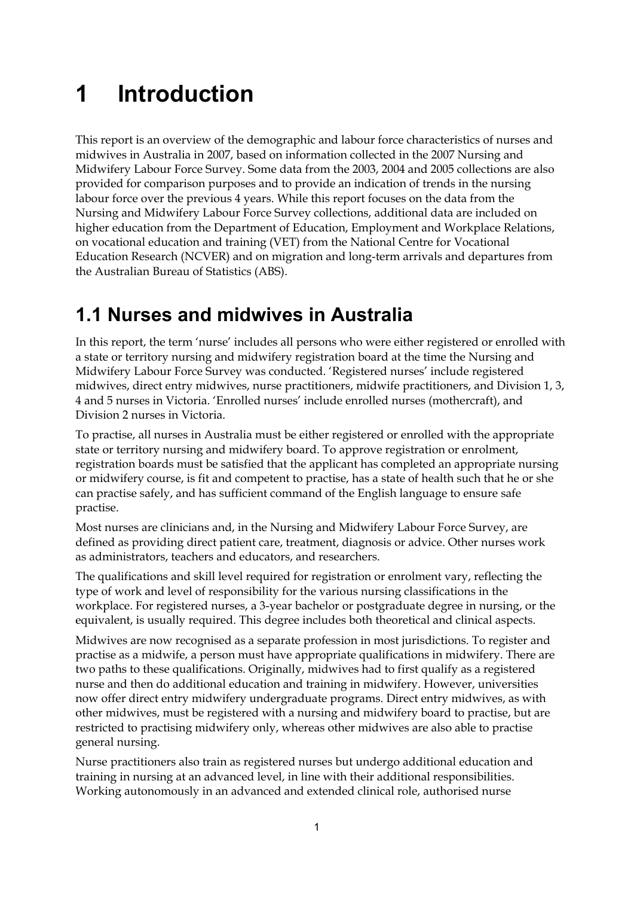# <span id="page-6-0"></span>**1 Introduction**

This report is an overview of the demographic and labour force characteristics of nurses and midwives in Australia in 2007, based on information collected in the 2007 Nursing and Midwifery Labour Force Survey. Some data from the 2003, 2004 and 2005 collections are also provided for comparison purposes and to provide an indication of trends in the nursing labour force over the previous 4 years. While this report focuses on the data from the Nursing and Midwifery Labour Force Survey collections, additional data are included on higher education from the Department of Education, Employment and Workplace Relations, on vocational education and training (VET) from the National Centre for Vocational Education Research (NCVER) and on migration and long-term arrivals and departures from the Australian Bureau of Statistics (ABS).

# <span id="page-6-1"></span>**1.1 Nurses and midwives in Australia**

In this report, the term 'nurse' includes all persons who were either registered or enrolled with a state or territory nursing and midwifery registration board at the time the Nursing and Midwifery Labour Force Survey was conducted. 'Registered nurses' include registered midwives, direct entry midwives, nurse practitioners, midwife practitioners, and Division 1, 3, 4 and 5 nurses in Victoria. 'Enrolled nurses' include enrolled nurses (mothercraft), and Division 2 nurses in Victoria.

To practise, all nurses in Australia must be either registered or enrolled with the appropriate state or territory nursing and midwifery board. To approve registration or enrolment, registration boards must be satisfied that the applicant has completed an appropriate nursing or midwifery course, is fit and competent to practise, has a state of health such that he or she can practise safely, and has sufficient command of the English language to ensure safe practise.

Most nurses are clinicians and, in the Nursing and Midwifery Labour Force Survey, are defined as providing direct patient care, treatment, diagnosis or advice. Other nurses work as administrators, teachers and educators, and researchers.

The qualifications and skill level required for registration or enrolment vary, reflecting the type of work and level of responsibility for the various nursing classifications in the workplace. For registered nurses, a 3-year bachelor or postgraduate degree in nursing, or the equivalent, is usually required. This degree includes both theoretical and clinical aspects.

Midwives are now recognised as a separate profession in most jurisdictions. To register and practise as a midwife, a person must have appropriate qualifications in midwifery. There are two paths to these qualifications. Originally, midwives had to first qualify as a registered nurse and then do additional education and training in midwifery. However, universities now offer direct entry midwifery undergraduate programs. Direct entry midwives, as with other midwives, must be registered with a nursing and midwifery board to practise, but are restricted to practising midwifery only, whereas other midwives are also able to practise general nursing.

Nurse practitioners also train as registered nurses but undergo additional education and training in nursing at an advanced level, in line with their additional responsibilities. Working autonomously in an advanced and extended clinical role, authorised nurse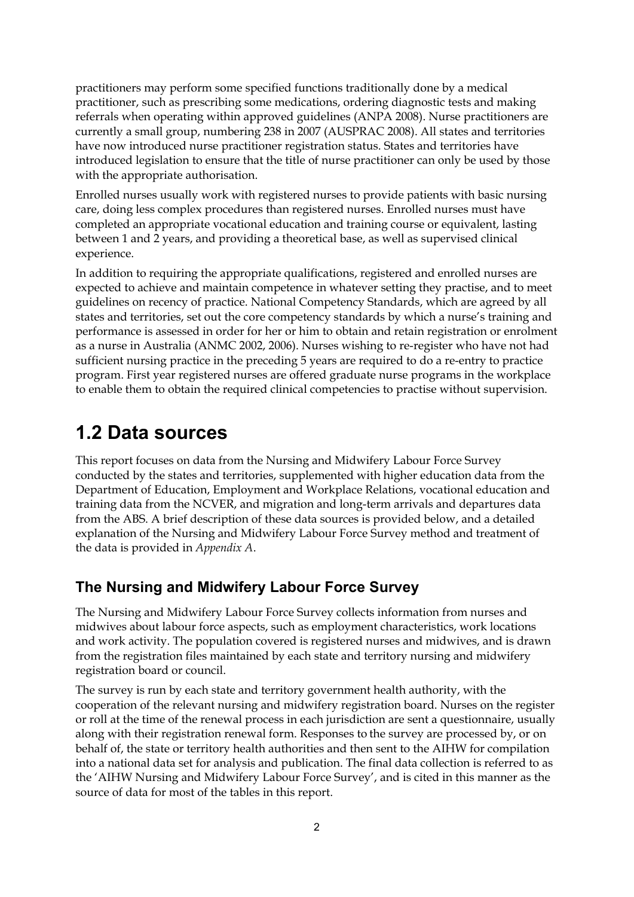practitioners may perform some specified functions traditionally done by a medical practitioner, such as prescribing some medications, ordering diagnostic tests and making referrals when operating within approved guidelines (ANPA 2008). Nurse practitioners are currently a small group, numbering 238 in 2007 (AUSPRAC 2008). All states and territories have now introduced nurse practitioner registration status. States and territories have introduced legislation to ensure that the title of nurse practitioner can only be used by those with the appropriate authorisation.

Enrolled nurses usually work with registered nurses to provide patients with basic nursing care, doing less complex procedures than registered nurses. Enrolled nurses must have completed an appropriate vocational education and training course or equivalent, lasting between 1 and 2 years, and providing a theoretical base, as well as supervised clinical experience.

In addition to requiring the appropriate qualifications, registered and enrolled nurses are expected to achieve and maintain competence in whatever setting they practise, and to meet guidelines on recency of practice. National Competency Standards, which are agreed by all states and territories, set out the core competency standards by which a nurse's training and performance is assessed in order for her or him to obtain and retain registration or enrolment as a nurse in Australia (ANMC 2002, 2006). Nurses wishing to re-register who have not had sufficient nursing practice in the preceding 5 years are required to do a re-entry to practice program. First year registered nurses are offered graduate nurse programs in the workplace to enable them to obtain the required clinical competencies to practise without supervision.

# <span id="page-7-0"></span>**1.2 Data sources**

This report focuses on data from the Nursing and Midwifery Labour Force Survey conducted by the states and territories, supplemented with higher education data from the Department of Education, Employment and Workplace Relations, vocational education and training data from the NCVER, and migration and long-term arrivals and departures data from the ABS. A brief description of these data sources is provided below, and a detailed explanation of the Nursing and Midwifery Labour Force Survey method and treatment of the data is provided in *Appendix A*.

## **The Nursing and Midwifery Labour Force Survey**

The Nursing and Midwifery Labour Force Survey collects information from nurses and midwives about labour force aspects, such as employment characteristics, work locations and work activity. The population covered is registered nurses and midwives, and is drawn from the registration files maintained by each state and territory nursing and midwifery registration board or council.

The survey is run by each state and territory government health authority, with the cooperation of the relevant nursing and midwifery registration board. Nurses on the register or roll at the time of the renewal process in each jurisdiction are sent a questionnaire, usually along with their registration renewal form. Responses to the survey are processed by, or on behalf of, the state or territory health authorities and then sent to the AIHW for compilation into a national data set for analysis and publication. The final data collection is referred to as the 'AIHW Nursing and Midwifery Labour Force Survey', and is cited in this manner as the source of data for most of the tables in this report.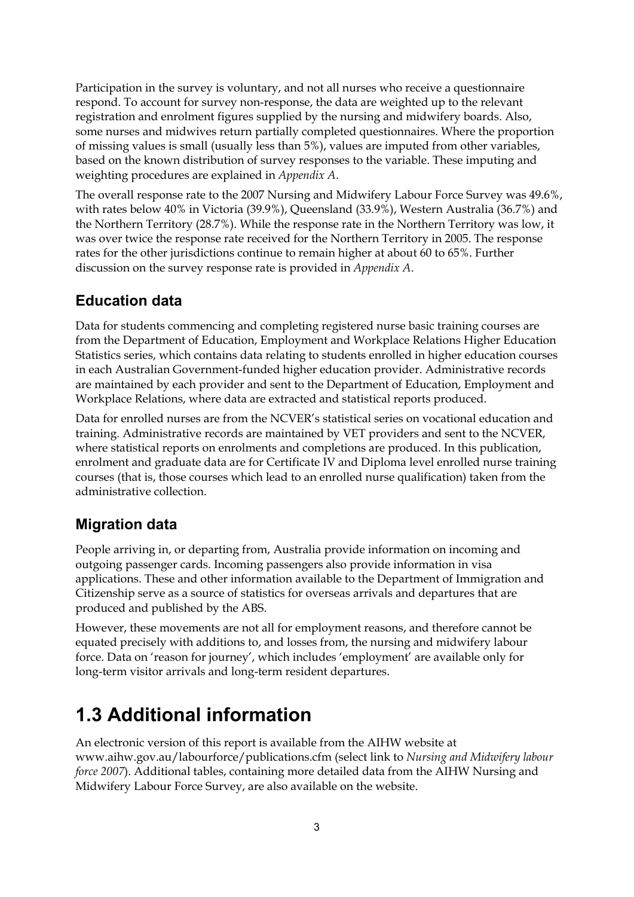Participation in the survey is voluntary, and not all nurses who receive a questionnaire respond. To account for survey non-response, the data are weighted up to the relevant registration and enrolment figures supplied by the nursing and midwifery boards. Also, some nurses and midwives return partially completed questionnaires. Where the proportion of missing values is small (usually less than 5%), values are imputed from other variables, based on the known distribution of survey responses to the variable. These imputing and weighting procedures are explained in *Appendix A*.

The overall response rate to the 2007 Nursing and Midwifery Labour Force Survey was 49.6%, with rates below 40% in Victoria (39.9%), Queensland (33.9%), Western Australia (36.7%) and the Northern Territory (28.7%). While the response rate in the Northern Territory was low, it was over twice the response rate received for the Northern Territory in 2005. The response rates for the other jurisdictions continue to remain higher at about 60 to 65%. Further discussion on the survey response rate is provided in *Appendix A*.

# **Education data**

Data for students commencing and completing registered nurse basic training courses are from the Department of Education, Employment and Workplace Relations Higher Education Statistics series, which contains data relating to students enrolled in higher education courses in each Australian Government-funded higher education provider. Administrative records are maintained by each provider and sent to the Department of Education, Employment and Workplace Relations, where data are extracted and statistical reports produced.

Data for enrolled nurses are from the NCVER's statistical series on vocational education and training. Administrative records are maintained by VET providers and sent to the NCVER, where statistical reports on enrolments and completions are produced. In this publication, enrolment and graduate data are for Certificate IV and Diploma level enrolled nurse training courses (that is, those courses which lead to an enrolled nurse qualification) taken from the administrative collection.

# **Migration data**

People arriving in, or departing from, Australia provide information on incoming and outgoing passenger cards. Incoming passengers also provide information in visa applications. These and other information available to the Department of Immigration and Citizenship serve as a source of statistics for overseas arrivals and departures that are produced and published by the ABS.

However, these movements are not all for employment reasons, and therefore cannot be equated precisely with additions to, and losses from, the nursing and midwifery labour force. Data on 'reason for journey', which includes 'employment' are available only for long-term visitor arrivals and long-term resident departures.

# <span id="page-8-0"></span>**1.3 Additional information**

An electronic version of this report is available from the AIHW website at www.aihw.gov.au/labourforce/publications.cfm (select link to *Nursing and Midwifery labour force 2007*). Additional tables, containing more detailed data from the AIHW Nursing and Midwifery Labour Force Survey, are also available on the website.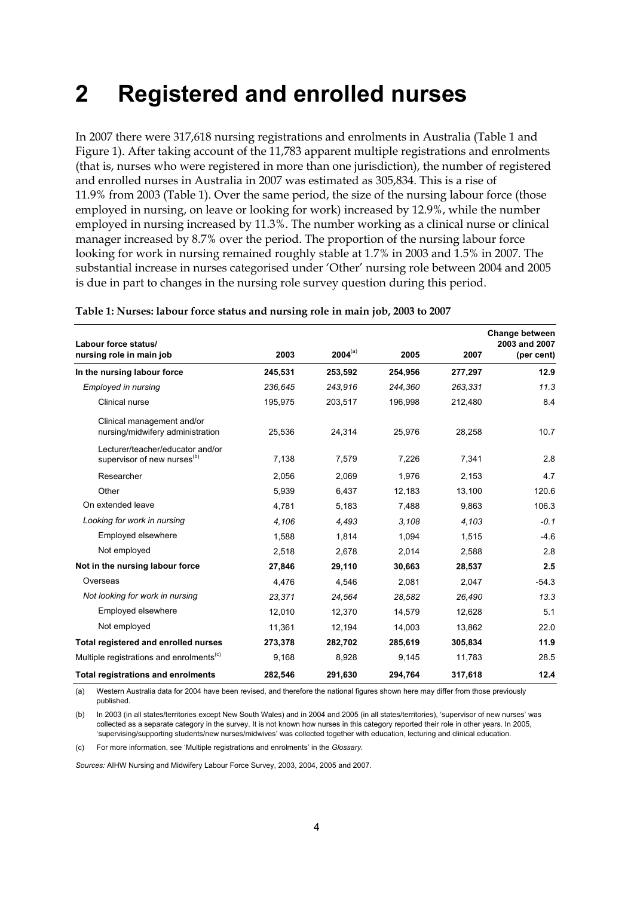# <span id="page-9-0"></span>**2 Registered and enrolled nurses**

In 2007 there were 317,618 nursing registrations and enrolments in Australia (Table 1 and Figure 1). After taking account of the 11,783 apparent multiple registrations and enrolments (that is, nurses who were registered in more than one jurisdiction), the number of registered and enrolled nurses in Australia in 2007 was estimated as 305,834. This is a rise of 11.9% from 2003 (Table 1). Over the same period, the size of the nursing labour force (those employed in nursing, on leave or looking for work) increased by 12.9%, while the number employed in nursing increased by 11.3%. The number working as a clinical nurse or clinical manager increased by 8.7% over the period. The proportion of the nursing labour force looking for work in nursing remained roughly stable at 1.7% in 2003 and 1.5% in 2007. The substantial increase in nurses categorised under 'Other' nursing role between 2004 and 2005 is due in part to changes in the nursing role survey question during this period.

<span id="page-9-1"></span>

|                                                                             |         |              |         |         | Change between              |
|-----------------------------------------------------------------------------|---------|--------------|---------|---------|-----------------------------|
| Labour force status/<br>nursing role in main job                            | 2003    | $2004^{(a)}$ | 2005    | 2007    | 2003 and 2007<br>(per cent) |
| In the nursing labour force                                                 | 245,531 | 253,592      | 254,956 | 277,297 | 12.9                        |
| <b>Employed in nursing</b>                                                  | 236,645 | 243,916      | 244,360 | 263,331 | 11.3                        |
| Clinical nurse                                                              | 195,975 | 203,517      | 196,998 | 212,480 | 8.4                         |
| Clinical management and/or<br>nursing/midwifery administration              | 25,536  | 24,314       | 25,976  | 28,258  | 10.7                        |
| Lecturer/teacher/educator and/or<br>supervisor of new nurses <sup>(b)</sup> | 7,138   | 7,579        | 7,226   | 7,341   | 2.8                         |
| Researcher                                                                  | 2,056   | 2,069        | 1,976   | 2,153   | 4.7                         |
| Other                                                                       | 5,939   | 6,437        | 12,183  | 13,100  | 120.6                       |
| On extended leave                                                           | 4,781   | 5,183        | 7.488   | 9,863   | 106.3                       |
| Looking for work in nursing                                                 | 4,106   | 4,493        | 3,108   | 4,103   | $-0.1$                      |
| Employed elsewhere                                                          | 1,588   | 1,814        | 1,094   | 1,515   | $-4.6$                      |
| Not employed                                                                | 2,518   | 2,678        | 2,014   | 2,588   | 2.8                         |
| Not in the nursing labour force                                             | 27,846  | 29,110       | 30,663  | 28,537  | 2.5                         |
| Overseas                                                                    | 4,476   | 4,546        | 2,081   | 2,047   | $-54.3$                     |
| Not looking for work in nursing                                             | 23.371  | 24.564       | 28.582  | 26.490  | 13.3                        |
| Employed elsewhere                                                          | 12,010  | 12,370       | 14,579  | 12,628  | 5.1                         |
| Not employed                                                                | 11,361  | 12,194       | 14,003  | 13,862  | 22.0                        |
| Total registered and enrolled nurses                                        | 273,378 | 282,702      | 285,619 | 305,834 | 11.9                        |
| Multiple registrations and enrolments <sup>(c)</sup>                        | 9,168   | 8,928        | 9,145   | 11,783  | 28.5                        |
| <b>Total registrations and enrolments</b>                                   | 282,546 | 291,630      | 294,764 | 317,618 | 12.4                        |

#### **Table 1: Nurses: labour force status and nursing role in main job, 2003 to 2007**

(a) Western Australia data for 2004 have been revised, and therefore the national figures shown here may differ from those previously published.

(b) In 2003 (in all states/territories except New South Wales) and in 2004 and 2005 (in all states/territories), 'supervisor of new nurses' was collected as a separate category in the survey. It is not known how nurses in this category reported their role in other years. In 2005, 'supervising/supporting students/new nurses/midwives' was collected together with education, lecturing and clinical education.

(c) For more information, see 'Multiple registrations and enrolments' in the *Glossary*.

*Sources:* AIHW Nursing and Midwifery Labour Force Survey, 2003, 2004, 2005 and 2007.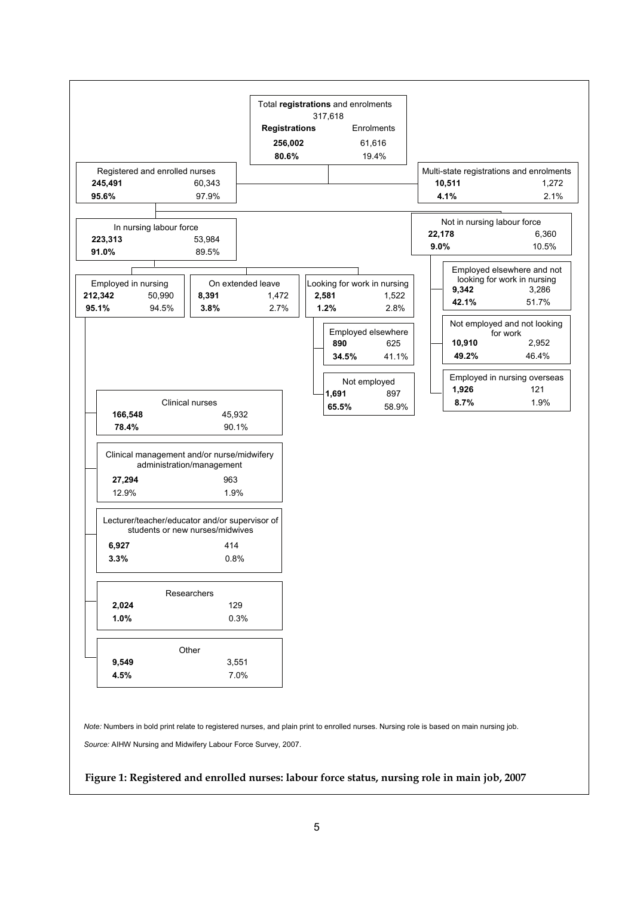

#### <span id="page-10-0"></span>**Figure 1: Registered and enrolled nurses: labour force status, nursing role in main job, 2007**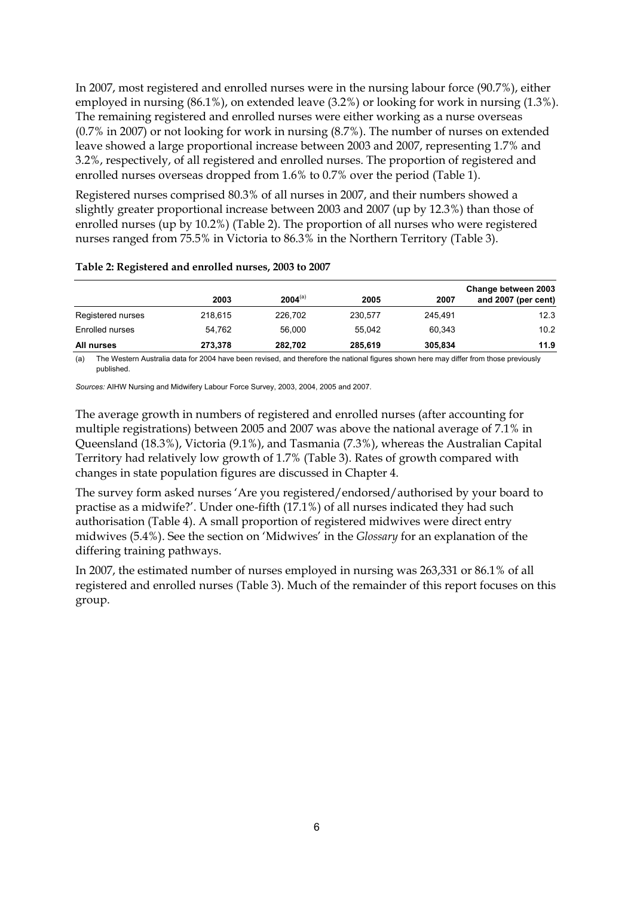In 2007, most registered and enrolled nurses were in the nursing labour force (90.7%), either employed in nursing (86.1%), on extended leave (3.2%) or looking for work in nursing (1.3%). The remaining registered and enrolled nurses were either working as a nurse overseas (0.7% in 2007) or not looking for work in nursing (8.7%). The number of nurses on extended leave showed a large proportional increase between 2003 and 2007, representing 1.7% and 3.2%, respectively, of all registered and enrolled nurses. The proportion of registered and enrolled nurses overseas dropped from 1.6% to 0.7% over the period (Table 1).

Registered nurses comprised 80.3% of all nurses in 2007, and their numbers showed a slightly greater proportional increase between 2003 and 2007 (up by 12.3%) than those of enrolled nurses (up by 10.2%) (Table 2). The proportion of all nurses who were registered nurses ranged from 75.5% in Victoria to 86.3% in the Northern Territory (Table 3).

|                   | 2003    | $2004^{(a)}$ | 2005    | 2007    | Change between 2003<br>and 2007 (per cent) |
|-------------------|---------|--------------|---------|---------|--------------------------------------------|
| Registered nurses | 218.615 | 226,702      | 230.577 | 245.491 | 12.3                                       |
| Enrolled nurses   | 54.762  | 56,000       | 55.042  | 60.343  | 10.2                                       |
| All nurses        | 273.378 | 282.702      | 285.619 | 305.834 | 11.9                                       |

#### <span id="page-11-0"></span>**Table 2: Registered and enrolled nurses, 2003 to 2007**

(a) The Western Australia data for 2004 have been revised, and therefore the national figures shown here may differ from those previously published.

*Sources:* AIHW Nursing and Midwifery Labour Force Survey, 2003, 2004, 2005 and 2007.

The average growth in numbers of registered and enrolled nurses (after accounting for multiple registrations) between 2005 and 2007 was above the national average of 7.1% in Queensland (18.3%), Victoria (9.1%), and Tasmania (7.3%), whereas the Australian Capital Territory had relatively low growth of 1.7% (Table 3). Rates of growth compared with changes in state population figures are discussed in Chapter 4.

The survey form asked nurses 'Are you registered/endorsed/authorised by your board to practise as a midwife?'. Under one-fifth (17.1%) of all nurses indicated they had such authorisation (Table 4). A small proportion of registered midwives were direct entry midwives (5.4%). See the section on 'Midwives' in the *Glossary* for an explanation of the differing training pathways.

In 2007, the estimated number of nurses employed in nursing was 263,331 or 86.1% of all registered and enrolled nurses (Table 3). Much of the remainder of this report focuses on this group.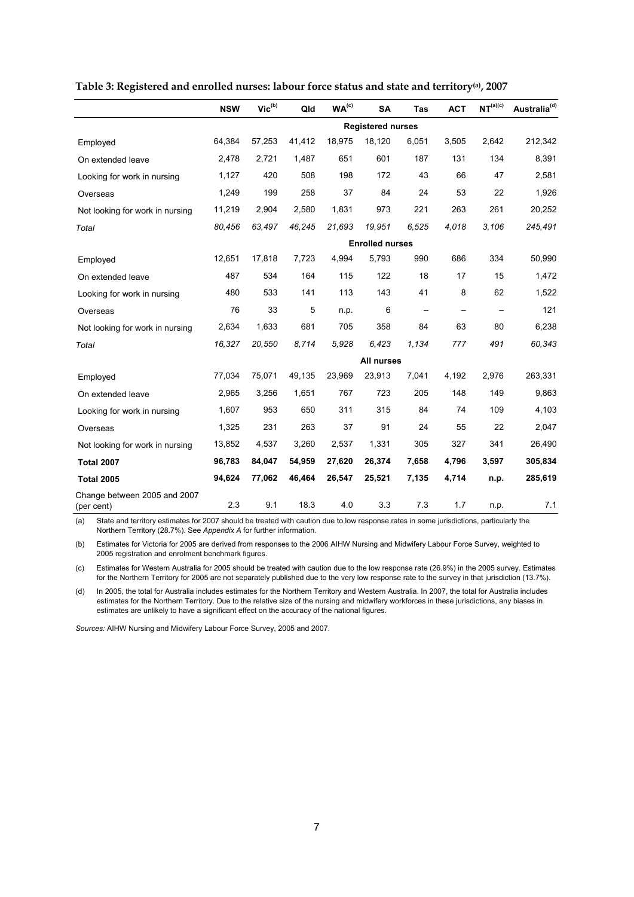|                                            | <b>NSW</b> | $\mathsf{Vic}^\mathsf{(b)}$ | Qld    | WA <sup>(c)</sup> | <b>SA</b>                | Tas                      | <b>ACT</b>        | NT <sup>(a)(c)</sup> | Australia <sup>(d)</sup> |
|--------------------------------------------|------------|-----------------------------|--------|-------------------|--------------------------|--------------------------|-------------------|----------------------|--------------------------|
|                                            |            |                             |        |                   | <b>Registered nurses</b> |                          |                   |                      |                          |
| Employed                                   | 64,384     | 57,253                      | 41,412 | 18,975            | 18,120                   | 6,051                    | 3,505             | 2,642                | 212,342                  |
| On extended leave                          | 2,478      | 2,721                       | 1,487  | 651               | 601                      | 187                      | 131               | 134                  | 8,391                    |
| Looking for work in nursing                | 1,127      | 420                         | 508    | 198               | 172                      | 43                       | 66                | 47                   | 2,581                    |
| Overseas                                   | 1,249      | 199                         | 258    | 37                | 84                       | 24                       | 53                | 22                   | 1,926                    |
| Not looking for work in nursing            | 11,219     | 2,904                       | 2,580  | 1,831             | 973                      | 221                      | 263               | 261                  | 20,252                   |
| Total                                      | 80,456     | 63,497                      | 46,245 | 21,693            | 19.951                   | 6.525                    | 4.018             | 3.106                | 245,491                  |
|                                            |            |                             |        |                   | <b>Enrolled nurses</b>   |                          |                   |                      |                          |
| Employed                                   | 12,651     | 17,818                      | 7,723  | 4,994             | 5,793                    | 990                      | 686               | 334                  | 50,990                   |
| On extended leave                          | 487        | 534                         | 164    | 115               | 122                      | 18                       | 17                | 15                   | 1,472                    |
| Looking for work in nursing                | 480        | 533                         | 141    | 113               | 143                      | 41                       | 8                 | 62                   | 1,522                    |
| Overseas                                   | 76         | 33                          | 5      | n.p.              | 6                        | $\overline{\phantom{m}}$ | $\qquad \qquad -$ |                      | 121                      |
| Not looking for work in nursing            | 2,634      | 1,633                       | 681    | 705               | 358                      | 84                       | 63                | 80                   | 6,238                    |
| Total                                      | 16,327     | 20,550                      | 8,714  | 5,928             | 6.423                    | 1,134                    | 777               | 491                  | 60,343                   |
|                                            |            |                             |        |                   | All nurses               |                          |                   |                      |                          |
| Employed                                   | 77,034     | 75,071                      | 49,135 | 23,969            | 23,913                   | 7,041                    | 4,192             | 2,976                | 263,331                  |
| On extended leave                          | 2,965      | 3,256                       | 1,651  | 767               | 723                      | 205                      | 148               | 149                  | 9,863                    |
| Looking for work in nursing                | 1,607      | 953                         | 650    | 311               | 315                      | 84                       | 74                | 109                  | 4,103                    |
| Overseas                                   | 1,325      | 231                         | 263    | 37                | 91                       | 24                       | 55                | 22                   | 2,047                    |
| Not looking for work in nursing            | 13,852     | 4,537                       | 3,260  | 2,537             | 1,331                    | 305                      | 327               | 341                  | 26,490                   |
| <b>Total 2007</b>                          | 96,783     | 84,047                      | 54,959 | 27,620            | 26,374                   | 7,658                    | 4,796             | 3,597                | 305,834                  |
| <b>Total 2005</b>                          | 94,624     | 77,062                      | 46,464 | 26,547            | 25,521                   | 7,135                    | 4,714             | n.p.                 | 285,619                  |
| Change between 2005 and 2007<br>(per cent) | 2.3        | 9.1                         | 18.3   | 4.0               | 3.3                      | 7.3                      | 1.7               | n.p.                 | 7.1                      |

#### <span id="page-12-0"></span>**Table 3: Registered and enrolled nurses: labour force status and state and territory(a), 2007**

(a) State and territory estimates for 2007 should be treated with caution due to low response rates in some jurisdictions, particularly the Northern Territory (28.7%). See *Appendix A* for further information.

(b) Estimates for Victoria for 2005 are derived from responses to the 2006 AIHW Nursing and Midwifery Labour Force Survey, weighted to 2005 registration and enrolment benchmark figures.

(c) Estimates for Western Australia for 2005 should be treated with caution due to the low response rate (26.9%) in the 2005 survey. Estimates for the Northern Territory for 2005 are not separately published due to the very low response rate to the survey in that jurisdiction (13.7%).

(d) In 2005, the total for Australia includes estimates for the Northern Territory and Western Australia. In 2007, the total for Australia includes estimates for the Northern Territory. Due to the relative size of the nursing and midwifery workforces in these jurisdictions, any biases in estimates are unlikely to have a significant effect on the accuracy of the national figures.

*Sources:* AIHW Nursing and Midwifery Labour Force Survey, 2005 and 2007.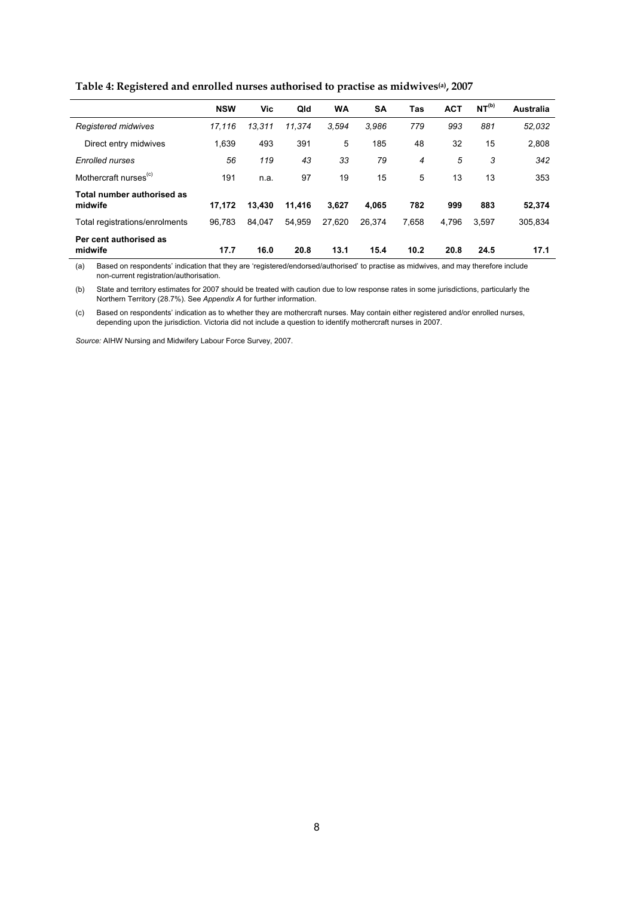**Table 4: Registered and enrolled nurses authorised to practise as midwives(a), 2007** 

<span id="page-13-0"></span>

|                                       | <b>NSW</b> | Vic    | Qld    | WA     | <b>SA</b> | Tas   | <b>ACT</b> | NT <sup>(b)</sup> | Australia |
|---------------------------------------|------------|--------|--------|--------|-----------|-------|------------|-------------------|-----------|
| Registered midwives                   | 17.116     | 13.311 | 11.374 | 3.594  | 3.986     | 779   | 993        | 881               | 52,032    |
| Direct entry midwives                 | 1,639      | 493    | 391    | 5      | 185       | 48    | 32         | 15                | 2,808     |
| <b>Enrolled nurses</b>                | 56         | 119    | 43     | 33     | 79        | 4     | 5          | 3                 | 342       |
| Mothercraft nurses <sup>(c)</sup>     | 191        | n.a.   | 97     | 19     | 15        | 5     | 13         | 13                | 353       |
| Total number authorised as<br>midwife | 17.172     | 13.430 | 11,416 | 3.627  | 4.065     | 782   | 999        | 883               | 52,374    |
| Total registrations/enrolments        | 96.783     | 84.047 | 54.959 | 27.620 | 26.374    | 7.658 | 4.796      | 3.597             | 305,834   |
| Per cent authorised as<br>midwife     | 17.7       | 16.0   | 20.8   | 13.1   | 15.4      | 10.2  | 20.8       | 24.5              | 17.1      |

(a) Based on respondents' indication that they are 'registered/endorsed/authorised' to practise as midwives, and may therefore include non-current registration/authorisation.

(b) State and territory estimates for 2007 should be treated with caution due to low response rates in some jurisdictions, particularly the Northern Territory (28.7%). See *Appendix A* for further information.

(c) Based on respondents' indication as to whether they are mothercraft nurses. May contain either registered and/or enrolled nurses, depending upon the jurisdiction. Victoria did not include a question to identify mothercraft nurses in 2007.

*Source:* AIHW Nursing and Midwifery Labour Force Survey, 2007.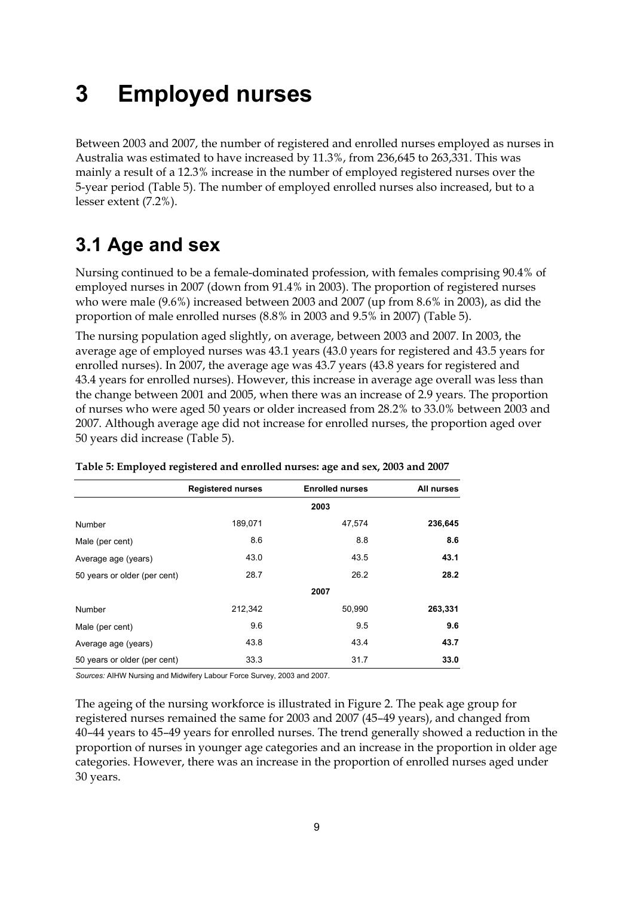# <span id="page-14-0"></span>**3 Employed nurses**

Between 2003 and 2007, the number of registered and enrolled nurses employed as nurses in Australia was estimated to have increased by 11.3%, from 236,645 to 263,331. This was mainly a result of a 12.3% increase in the number of employed registered nurses over the 5-year period (Table 5). The number of employed enrolled nurses also increased, but to a lesser extent (7.2%).

# <span id="page-14-1"></span>**3.1 Age and sex**

Nursing continued to be a female-dominated profession, with females comprising 90.4% of employed nurses in 2007 (down from 91.4% in 2003). The proportion of registered nurses who were male (9.6%) increased between 2003 and 2007 (up from 8.6% in 2003), as did the proportion of male enrolled nurses (8.8% in 2003 and 9.5% in 2007) (Table 5).

The nursing population aged slightly, on average, between 2003 and 2007. In 2003, the average age of employed nurses was 43.1 years (43.0 years for registered and 43.5 years for enrolled nurses). In 2007, the average age was 43.7 years (43.8 years for registered and 43.4 years for enrolled nurses). However, this increase in average age overall was less than the change between 2001 and 2005, when there was an increase of 2.9 years. The proportion of nurses who were aged 50 years or older increased from 28.2% to 33.0% between 2003 and 2007. Although average age did not increase for enrolled nurses, the proportion aged over 50 years did increase (Table 5).

|                              | <b>Registered nurses</b> | <b>Enrolled nurses</b> | All nurses |
|------------------------------|--------------------------|------------------------|------------|
|                              |                          | 2003                   |            |
| Number                       | 189,071                  | 47,574                 | 236,645    |
| Male (per cent)              | 8.6                      | 8.8                    | 8.6        |
| Average age (years)          | 43.0                     | 43.5                   | 43.1       |
| 50 years or older (per cent) | 28.7                     | 26.2                   | 28.2       |
|                              |                          | 2007                   |            |
| Number                       | 212,342                  | 50,990                 | 263,331    |
| Male (per cent)              | 9.6                      | 9.5                    | 9.6        |
| Average age (years)          | 43.8                     | 43.4                   | 43.7       |
| 50 years or older (per cent) | 33.3                     | 31.7                   | 33.0       |

<span id="page-14-2"></span>**Table 5: Employed registered and enrolled nurses: age and sex, 2003 and 2007** 

*Sources:* AIHW Nursing and Midwifery Labour Force Survey, 2003 and 2007.

The ageing of the nursing workforce is illustrated in Figure 2. The peak age group for registered nurses remained the same for 2003 and 2007 (45–49 years), and changed from 40–44 years to 45–49 years for enrolled nurses. The trend generally showed a reduction in the proportion of nurses in younger age categories and an increase in the proportion in older age categories. However, there was an increase in the proportion of enrolled nurses aged under 30 years.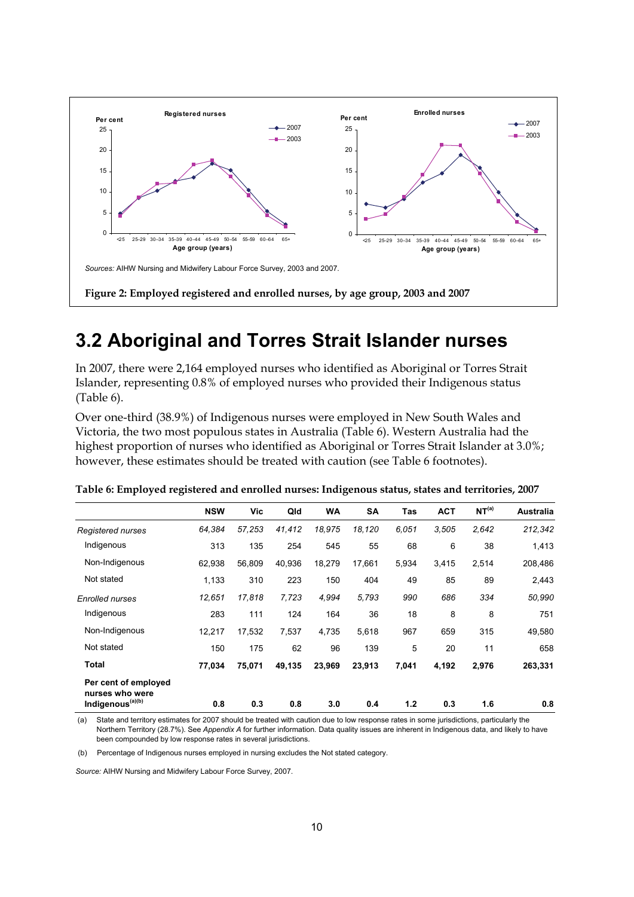

# <span id="page-15-2"></span><span id="page-15-0"></span>**3.2 Aboriginal and Torres Strait Islander nurses**

In 2007, there were 2,164 employed nurses who identified as Aboriginal or Torres Strait Islander, representing 0.8% of employed nurses who provided their Indigenous status (Table 6).

Over one-third (38.9%) of Indigenous nurses were employed in New South Wales and Victoria, the two most populous states in Australia (Table 6). Western Australia had the highest proportion of nurses who identified as Aboriginal or Torres Strait Islander at 3.0%; however, these estimates should be treated with caution (see Table 6 footnotes).

<span id="page-15-1"></span>

|                                                                         | <b>NSW</b> | Vic    | Qld    | <b>WA</b> | <b>SA</b> | Tas   | <b>ACT</b> | NT <sup>(a)</sup> | <b>Australia</b> |
|-------------------------------------------------------------------------|------------|--------|--------|-----------|-----------|-------|------------|-------------------|------------------|
| Registered nurses                                                       | 64,384     | 57,253 | 41,412 | 18,975    | 18,120    | 6.051 | 3,505      | 2,642             | 212,342          |
| Indigenous                                                              | 313        | 135    | 254    | 545       | 55        | 68    | 6          | 38                | 1,413            |
| Non-Indigenous                                                          | 62,938     | 56,809 | 40,936 | 18,279    | 17,661    | 5,934 | 3,415      | 2,514             | 208,486          |
| Not stated                                                              | 1,133      | 310    | 223    | 150       | 404       | 49    | 85         | 89                | 2,443            |
| <b>Enrolled nurses</b>                                                  | 12.651     | 17.818 | 7,723  | 4,994     | 5.793     | 990   | 686        | 334               | 50,990           |
| Indigenous                                                              | 283        | 111    | 124    | 164       | 36        | 18    | 8          | 8                 | 751              |
| Non-Indigenous                                                          | 12,217     | 17,532 | 7,537  | 4,735     | 5,618     | 967   | 659        | 315               | 49,580           |
| Not stated                                                              | 150        | 175    | 62     | 96        | 139       | 5     | 20         | 11                | 658              |
| Total                                                                   | 77,034     | 75,071 | 49,135 | 23,969    | 23,913    | 7,041 | 4,192      | 2,976             | 263,331          |
| Per cent of employed<br>nurses who were<br>Indigenous <sup>(a)(b)</sup> | 0.8        | 0.3    | 0.8    | 3.0       | 0.4       | 1.2   | 0.3        | 1.6               | 0.8              |

|  |  | Table 6: Employed registered and enrolled nurses: Indigenous status, states and territories, 2007 |
|--|--|---------------------------------------------------------------------------------------------------|
|  |  |                                                                                                   |

 (a) State and territory estimates for 2007 should be treated with caution due to low response rates in some jurisdictions, particularly the Northern Territory (28.7%). See *Appendix A* for further information. Data quality issues are inherent in Indigenous data, and likely to have been compounded by low response rates in several jurisdictions.

(b) Percentage of Indigenous nurses employed in nursing excludes the Not stated category.

*Source:* AIHW Nursing and Midwifery Labour Force Survey, 2007.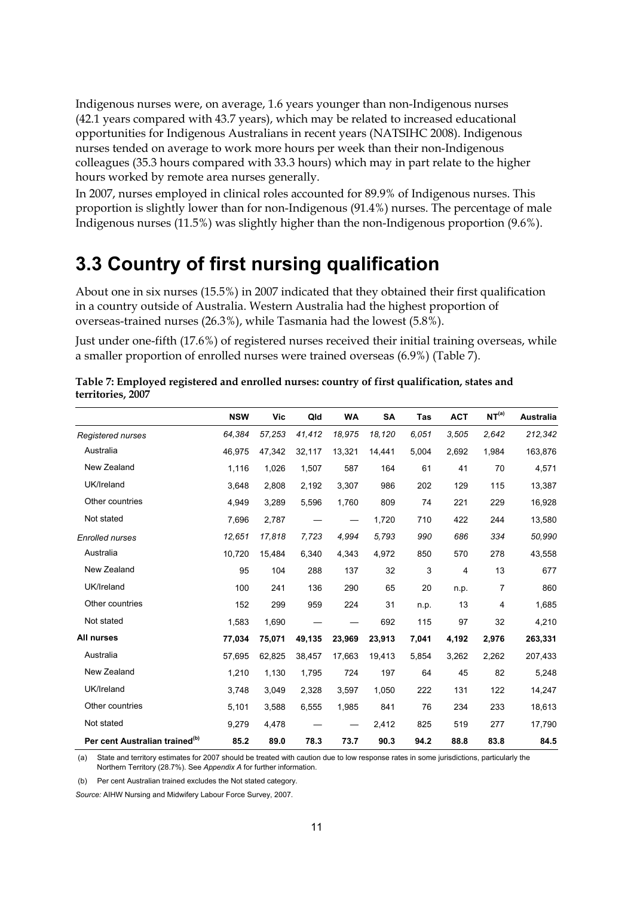Indigenous nurses were, on average, 1.6 years younger than non-Indigenous nurses (42.1 years compared with 43.7 years), which may be related to increased educational opportunities for Indigenous Australians in recent years (NATSIHC 2008). Indigenous nurses tended on average to work more hours per week than their non-Indigenous colleagues (35.3 hours compared with 33.3 hours) which may in part relate to the higher hours worked by remote area nurses generally.

In 2007, nurses employed in clinical roles accounted for 89.9% of Indigenous nurses. This proportion is slightly lower than for non-Indigenous (91.4%) nurses. The percentage of male Indigenous nurses (11.5%) was slightly higher than the non-Indigenous proportion (9.6%).

# <span id="page-16-0"></span>**3.3 Country of first nursing qualification**

About one in six nurses (15.5%) in 2007 indicated that they obtained their first qualification in a country outside of Australia. Western Australia had the highest proportion of overseas-trained nurses (26.3%), while Tasmania had the lowest (5.8%).

Just under one-fifth (17.6%) of registered nurses received their initial training overseas, while a smaller proportion of enrolled nurses were trained overseas (6.9%) (Table 7).

|                                            | <b>NSW</b> | Vic    | Qld    | <b>WA</b> | <b>SA</b> | Tas   | <b>ACT</b> | NT <sup>(a)</sup> | <b>Australia</b> |
|--------------------------------------------|------------|--------|--------|-----------|-----------|-------|------------|-------------------|------------------|
| Registered nurses                          | 64,384     | 57,253 | 41,412 | 18,975    | 18.120    | 6.051 | 3,505      | 2,642             | 212,342          |
| Australia                                  | 46,975     | 47,342 | 32,117 | 13,321    | 14,441    | 5,004 | 2,692      | 1,984             | 163,876          |
| New Zealand                                | 1,116      | 1,026  | 1,507  | 587       | 164       | 61    | 41         | 70                | 4,571            |
| UK/Ireland                                 | 3,648      | 2,808  | 2,192  | 3,307     | 986       | 202   | 129        | 115               | 13,387           |
| Other countries                            | 4,949      | 3,289  | 5,596  | 1,760     | 809       | 74    | 221        | 229               | 16,928           |
| Not stated                                 | 7,696      | 2,787  |        |           | 1,720     | 710   | 422        | 244               | 13,580           |
| <b>Enrolled nurses</b>                     | 12,651     | 17,818 | 7,723  | 4,994     | 5,793     | 990   | 686        | 334               | 50,990           |
| Australia                                  | 10,720     | 15,484 | 6,340  | 4,343     | 4,972     | 850   | 570        | 278               | 43,558           |
| New Zealand                                | 95         | 104    | 288    | 137       | 32        | 3     | 4          | 13                | 677              |
| UK/Ireland                                 | 100        | 241    | 136    | 290       | 65        | 20    | n.p.       | 7                 | 860              |
| Other countries                            | 152        | 299    | 959    | 224       | 31        | n.p.  | 13         | 4                 | 1,685            |
| Not stated                                 | 1,583      | 1,690  |        |           | 692       | 115   | 97         | 32                | 4,210            |
| All nurses                                 | 77,034     | 75,071 | 49,135 | 23,969    | 23,913    | 7,041 | 4,192      | 2,976             | 263,331          |
| Australia                                  | 57,695     | 62,825 | 38,457 | 17,663    | 19,413    | 5,854 | 3,262      | 2,262             | 207,433          |
| New Zealand                                | 1,210      | 1,130  | 1,795  | 724       | 197       | 64    | 45         | 82                | 5,248            |
| UK/Ireland                                 | 3,748      | 3,049  | 2,328  | 3,597     | 1,050     | 222   | 131        | 122               | 14,247           |
| Other countries                            | 5,101      | 3,588  | 6,555  | 1,985     | 841       | 76    | 234        | 233               | 18,613           |
| Not stated                                 | 9,279      | 4,478  |        |           | 2,412     | 825   | 519        | 277               | 17,790           |
| Per cent Australian trained <sup>(b)</sup> | 85.2       | 89.0   | 78.3   | 73.7      | 90.3      | 94.2  | 88.8       | 83.8              | 84.5             |

<span id="page-16-1"></span>

| Table 7: Employed registered and enrolled nurses: country of first qualification, states and |  |
|----------------------------------------------------------------------------------------------|--|
| territories, 2007                                                                            |  |

(a) State and territory estimates for 2007 should be treated with caution due to low response rates in some jurisdictions, particularly the Northern Territory (28.7%). See *Appendix A* for further information.

(b) Per cent Australian trained excludes the Not stated category.

*Source:* AIHW Nursing and Midwifery Labour Force Survey, 2007.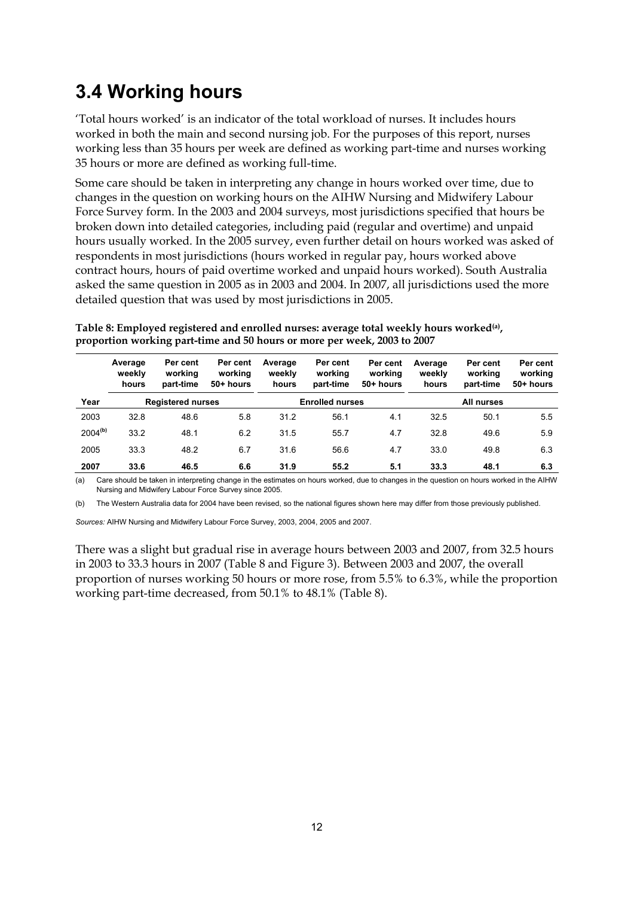# <span id="page-17-0"></span>**3.4 Working hours**

'Total hours worked' is an indicator of the total workload of nurses. It includes hours worked in both the main and second nursing job. For the purposes of this report, nurses working less than 35 hours per week are defined as working part-time and nurses working 35 hours or more are defined as working full-time.

Some care should be taken in interpreting any change in hours worked over time, due to changes in the question on working hours on the AIHW Nursing and Midwifery Labour Force Survey form. In the 2003 and 2004 surveys, most jurisdictions specified that hours be broken down into detailed categories, including paid (regular and overtime) and unpaid hours usually worked. In the 2005 survey, even further detail on hours worked was asked of respondents in most jurisdictions (hours worked in regular pay, hours worked above contract hours, hours of paid overtime worked and unpaid hours worked). South Australia asked the same question in 2005 as in 2003 and 2004. In 2007, all jurisdictions used the more detailed question that was used by most jurisdictions in 2005.

|                     | Average<br>weekly<br>hours | Per cent<br>working<br>part-time | Per cent<br>working<br>50+ hours | Average<br>weekly<br>hours | Per cent<br>working<br>part-time | Per cent<br>working<br>50+ hours | Average<br>weekly<br>hours | Per cent<br>working<br>part-time | Per cent<br>working<br>50+ hours |  |
|---------------------|----------------------------|----------------------------------|----------------------------------|----------------------------|----------------------------------|----------------------------------|----------------------------|----------------------------------|----------------------------------|--|
| Year                |                            | <b>Registered nurses</b>         |                                  |                            | <b>Enrolled nurses</b>           |                                  | All nurses                 |                                  |                                  |  |
| 2003                | 32.8                       | 48.6                             | 5.8                              | 31.2                       | 56.1                             | 4.1                              | 32.5                       | 50.1                             | 5.5                              |  |
| 2004 <sup>(b)</sup> | 33.2                       | 48.1                             | 6.2                              | 31.5                       | 55.7                             | 4.7                              | 32.8                       | 49.6                             | 5.9                              |  |
| 2005                | 33.3                       | 48.2                             | 6.7                              | 31.6                       | 56.6                             | 4.7                              | 33.0                       | 49.8                             | 6.3                              |  |
| 2007                | 33.6                       | 46.5                             | 6.6                              | 31.9                       | 55.2                             | 5.1                              | 33.3                       | 48.1                             | 6.3                              |  |

<span id="page-17-1"></span>**Table 8: Employed registered and enrolled nurses: average total weekly hours worked(a), proportion working part-time and 50 hours or more per week, 2003 to 2007** 

(a) Care should be taken in interpreting change in the estimates on hours worked, due to changes in the question on hours worked in the AIHW Nursing and Midwifery Labour Force Survey since 2005.

(b) The Western Australia data for 2004 have been revised, so the national figures shown here may differ from those previously published.

*Sources:* AIHW Nursing and Midwifery Labour Force Survey, 2003, 2004, 2005 and 2007.

There was a slight but gradual rise in average hours between 2003 and 2007, from 32.5 hours in 2003 to 33.3 hours in 2007 (Table 8 and Figure 3). Between 2003 and 2007, the overall proportion of nurses working 50 hours or more rose, from 5.5% to 6.3%, while the proportion working part-time decreased, from 50.1% to 48.1% (Table 8).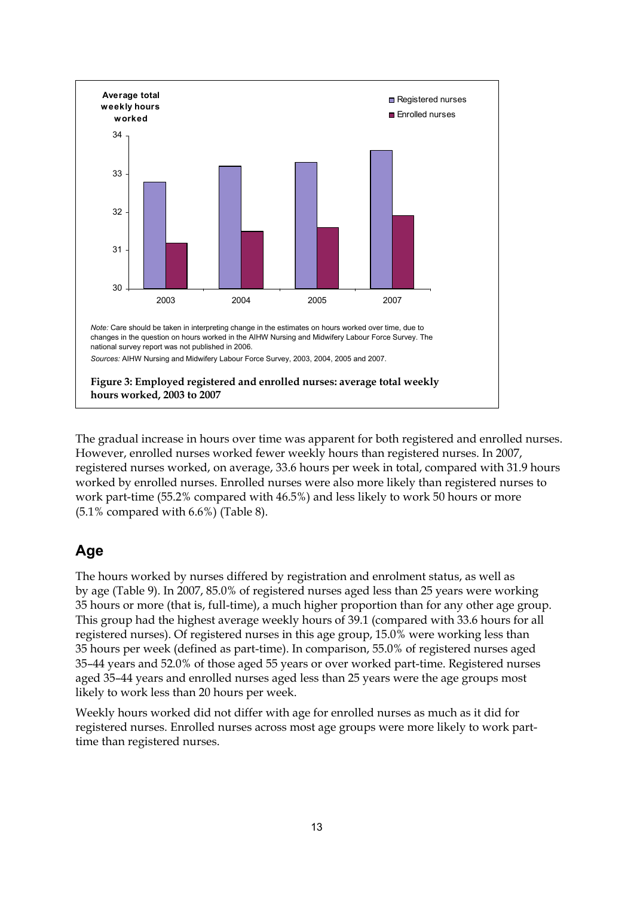

<span id="page-18-0"></span>The gradual increase in hours over time was apparent for both registered and enrolled nurses. However, enrolled nurses worked fewer weekly hours than registered nurses. In 2007, registered nurses worked, on average, 33.6 hours per week in total, compared with 31.9 hours worked by enrolled nurses. Enrolled nurses were also more likely than registered nurses to work part-time (55.2% compared with 46.5%) and less likely to work 50 hours or more  $(5.1\%$  compared with  $6.6\%$ ) (Table 8).

# **Age**

The hours worked by nurses differed by registration and enrolment status, as well as by age (Table 9). In 2007, 85.0% of registered nurses aged less than 25 years were working 35 hours or more (that is, full-time), a much higher proportion than for any other age group. This group had the highest average weekly hours of 39.1 (compared with 33.6 hours for all registered nurses). Of registered nurses in this age group, 15.0% were working less than 35 hours per week (defined as part-time). In comparison, 55.0% of registered nurses aged 35–44 years and 52.0% of those aged 55 years or over worked part-time. Registered nurses aged 35–44 years and enrolled nurses aged less than 25 years were the age groups most likely to work less than 20 hours per week.

Weekly hours worked did not differ with age for enrolled nurses as much as it did for registered nurses. Enrolled nurses across most age groups were more likely to work parttime than registered nurses.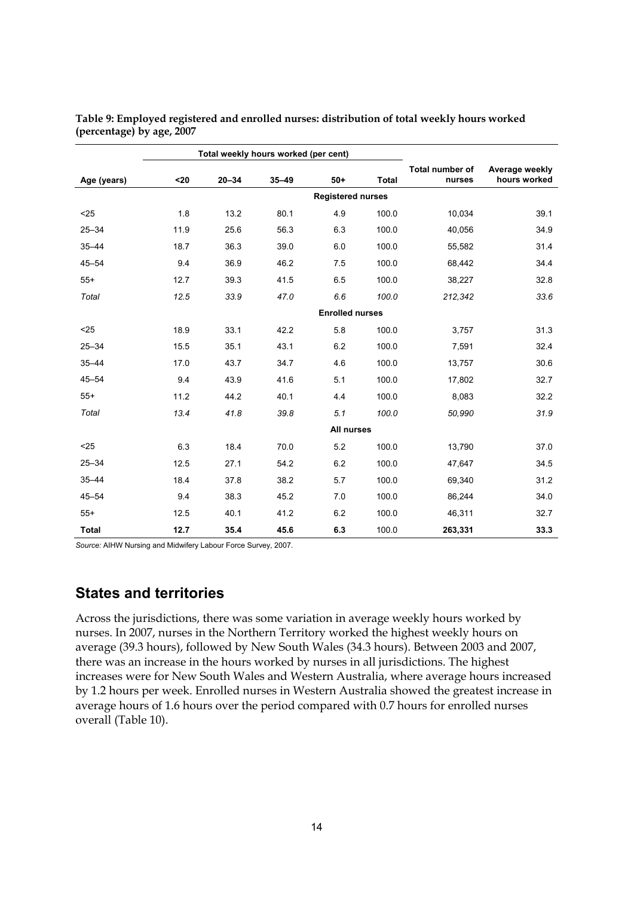|              |                        | Total weekly hours worked (per cent) |           |       |                          |                           |                                |  |  |  |
|--------------|------------------------|--------------------------------------|-----------|-------|--------------------------|---------------------------|--------------------------------|--|--|--|
| Age (years)  | $20$                   | $20 - 34$                            | $35 - 49$ | $50+$ | <b>Total</b>             | Total number of<br>nurses | Average weekly<br>hours worked |  |  |  |
|              |                        |                                      |           |       | <b>Registered nurses</b> |                           |                                |  |  |  |
| $25$         | 1.8                    | 13.2                                 | 80.1      | 4.9   | 100.0                    | 10,034                    | 39.1                           |  |  |  |
| $25 - 34$    | 11.9                   | 25.6                                 | 56.3      | 6.3   | 100.0                    | 40,056                    | 34.9                           |  |  |  |
| $35 - 44$    | 18.7                   | 36.3                                 | 39.0      | 6.0   | 100.0                    | 55,582                    | 31.4                           |  |  |  |
| $45 - 54$    | 9.4                    | 36.9                                 | 46.2      | 7.5   | 100.0                    | 68,442                    | 34.4                           |  |  |  |
| $55+$        | 12.7                   | 39.3                                 | 41.5      | 6.5   | 100.0                    | 38,227                    | 32.8                           |  |  |  |
| Total        | 12.5                   | 33.9                                 | 47.0      | 6.6   | 100.0                    | 212,342                   | 33.6                           |  |  |  |
|              | <b>Enrolled nurses</b> |                                      |           |       |                          |                           |                                |  |  |  |
| $25$         | 18.9                   | 33.1                                 | 42.2      | 5.8   | 100.0                    | 3,757                     | 31.3                           |  |  |  |
| $25 - 34$    | 15.5                   | 35.1                                 | 43.1      | 6.2   | 100.0                    | 7,591                     | 32.4                           |  |  |  |
| $35 - 44$    | 17.0                   | 43.7                                 | 34.7      | 4.6   | 100.0                    | 13,757                    | 30.6                           |  |  |  |
| $45 - 54$    | 9.4                    | 43.9                                 | 41.6      | 5.1   | 100.0                    | 17,802                    | 32.7                           |  |  |  |
| $55+$        | 11.2                   | 44.2                                 | 40.1      | 4.4   | 100.0                    | 8,083                     | 32.2                           |  |  |  |
| Total        | 13.4                   | 41.8                                 | 39.8      | 5.1   | 100.0                    | 50,990                    | 31.9                           |  |  |  |
|              |                        |                                      |           |       | All nurses               |                           |                                |  |  |  |
| $25$         | 6.3                    | 18.4                                 | 70.0      | 5.2   | 100.0                    | 13,790                    | 37.0                           |  |  |  |
| $25 - 34$    | 12.5                   | 27.1                                 | 54.2      | 6.2   | 100.0                    | 47,647                    | 34.5                           |  |  |  |
| $35 - 44$    | 18.4                   | 37.8                                 | 38.2      | 5.7   | 100.0                    | 69,340                    | 31.2                           |  |  |  |
| $45 - 54$    | 9.4                    | 38.3                                 | 45.2      | 7.0   | 100.0                    | 86,244                    | 34.0                           |  |  |  |
| $55+$        | 12.5                   | 40.1                                 | 41.2      | 6.2   | 100.0                    | 46,311                    | 32.7                           |  |  |  |
| <b>Total</b> | 12.7                   | 35.4                                 | 45.6      | 6.3   | 100.0                    | 263,331                   | 33.3                           |  |  |  |

<span id="page-19-0"></span>**Table 9: Employed registered and enrolled nurses: distribution of total weekly hours worked (percentage) by age, 2007** 

*Source:* AIHW Nursing and Midwifery Labour Force Survey, 2007.

### **States and territories**

Across the jurisdictions, there was some variation in average weekly hours worked by nurses. In 2007, nurses in the Northern Territory worked the highest weekly hours on average (39.3 hours), followed by New South Wales (34.3 hours). Between 2003 and 2007, there was an increase in the hours worked by nurses in all jurisdictions. The highest increases were for New South Wales and Western Australia, where average hours increased by 1.2 hours per week. Enrolled nurses in Western Australia showed the greatest increase in average hours of 1.6 hours over the period compared with 0.7 hours for enrolled nurses overall (Table 10).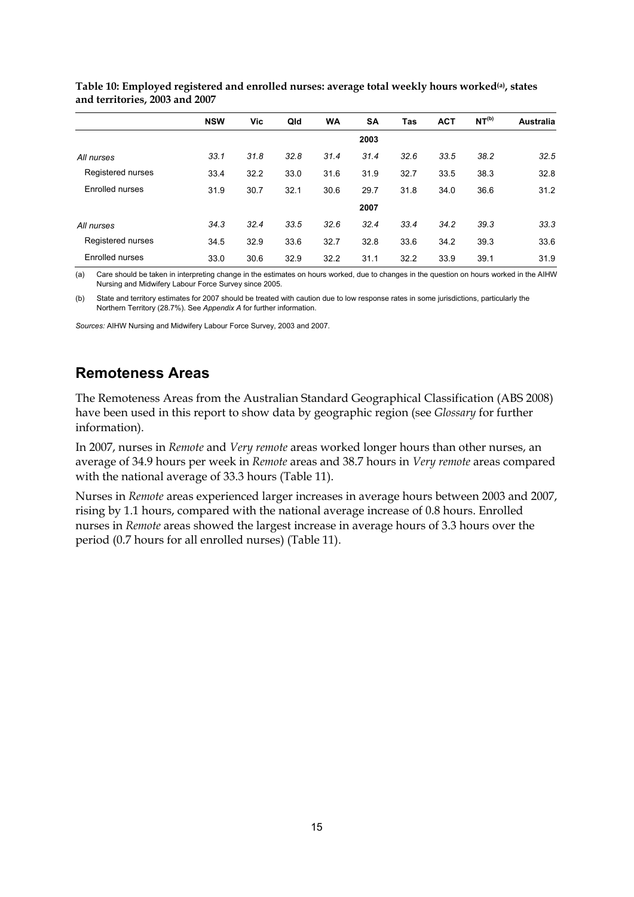|                        | <b>NSW</b> | Vic  | Qld  | WA   | <b>SA</b> | Tas  | <b>ACT</b> | NT <sup>(b)</sup> | Australia |
|------------------------|------------|------|------|------|-----------|------|------------|-------------------|-----------|
|                        |            |      |      |      | 2003      |      |            |                   |           |
| All nurses             | 33.1       | 31.8 | 32.8 | 31.4 | 31.4      | 32.6 | 33.5       | 38.2              | 32.5      |
| Registered nurses      | 33.4       | 32.2 | 33.0 | 31.6 | 31.9      | 32.7 | 33.5       | 38.3              | 32.8      |
| Enrolled nurses        | 31.9       | 30.7 | 32.1 | 30.6 | 29.7      | 31.8 | 34.0       | 36.6              | 31.2      |
|                        |            |      |      |      | 2007      |      |            |                   |           |
| All nurses             | 34.3       | 32.4 | 33.5 | 32.6 | 32.4      | 33.4 | 34.2       | 39.3              | 33.3      |
| Registered nurses      | 34.5       | 32.9 | 33.6 | 32.7 | 32.8      | 33.6 | 34.2       | 39.3              | 33.6      |
| <b>Enrolled nurses</b> | 33.0       | 30.6 | 32.9 | 32.2 | 31.1      | 32.2 | 33.9       | 39.1              | 31.9      |

<span id="page-20-0"></span>**Table 10: Employed registered and enrolled nurses: average total weekly hours worked(a), states and territories, 2003 and 2007** 

(a) Care should be taken in interpreting change in the estimates on hours worked, due to changes in the question on hours worked in the AIHW Nursing and Midwifery Labour Force Survey since 2005.

(b) State and territory estimates for 2007 should be treated with caution due to low response rates in some jurisdictions, particularly the Northern Territory (28.7%). See *Appendix A* for further information.

*Sources:* AIHW Nursing and Midwifery Labour Force Survey, 2003 and 2007.

## **Remoteness Areas**

The Remoteness Areas from the Australian Standard Geographical Classification (ABS 2008) have been used in this report to show data by geographic region (see *Glossary* for further information).

In 2007, nurses in *Remote* and *Very remote* areas worked longer hours than other nurses, an average of 34.9 hours per week in *Remote* areas and 38.7 hours in *Very remote* areas compared with the national average of 33.3 hours (Table 11).

Nurses in *Remote* areas experienced larger increases in average hours between 2003 and 2007, rising by 1.1 hours, compared with the national average increase of 0.8 hours. Enrolled nurses in *Remote* areas showed the largest increase in average hours of 3.3 hours over the period (0.7 hours for all enrolled nurses) (Table 11).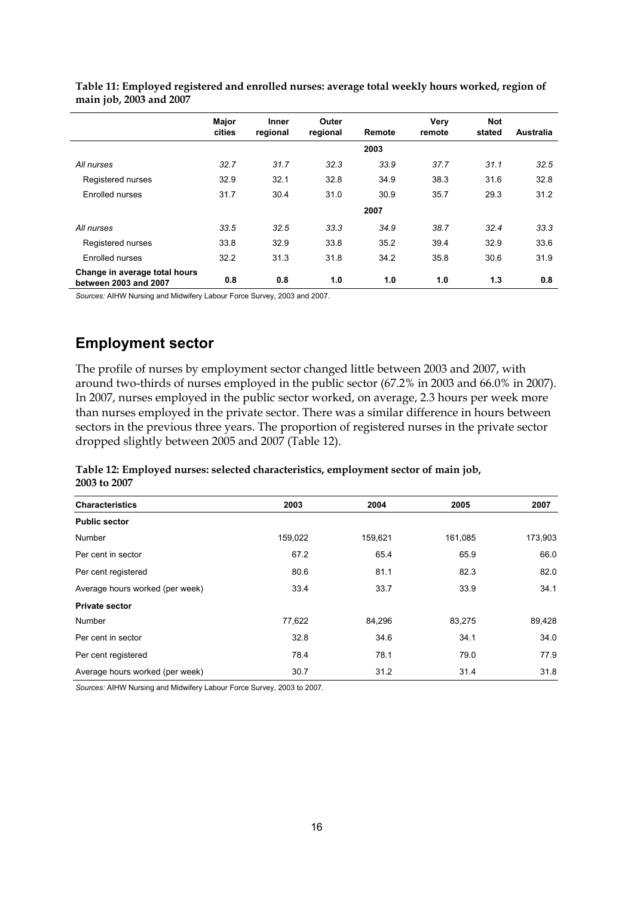|                                                        | Major<br>cities | <b>Inner</b><br>regional | Outer<br>regional | Remote | Verv<br>remote | <b>Not</b><br>stated | Australia |
|--------------------------------------------------------|-----------------|--------------------------|-------------------|--------|----------------|----------------------|-----------|
|                                                        |                 |                          |                   | 2003   |                |                      |           |
| All nurses                                             | 32.7            | 31.7                     | 32.3              | 33.9   | 37.7           | 31.1                 | 32.5      |
| Registered nurses                                      | 32.9            | 32.1                     | 32.8              | 34.9   | 38.3           | 31.6                 | 32.8      |
| Enrolled nurses                                        | 31.7            | 30.4                     | 31.0              | 30.9   | 35.7           | 29.3                 | 31.2      |
|                                                        |                 |                          |                   | 2007   |                |                      |           |
| All nurses                                             | 33.5            | 32.5                     | 33.3              | 34.9   | 38.7           | 32.4                 | 33.3      |
| Registered nurses                                      | 33.8            | 32.9                     | 33.8              | 35.2   | 39.4           | 32.9                 | 33.6      |
| Enrolled nurses                                        | 32.2            | 31.3                     | 31.8              | 34.2   | 35.8           | 30.6                 | 31.9      |
| Change in average total hours<br>between 2003 and 2007 | 0.8             | 0.8                      | 1.0               | 1.0    | 1.0            | 1.3                  | 0.8       |

<span id="page-21-0"></span>**Table 11: Employed registered and enrolled nurses: average total weekly hours worked, region of main job, 2003 and 2007** 

*Sources:* AIHW Nursing and Midwifery Labour Force Survey, 2003 and 2007.

## **Employment sector**

The profile of nurses by employment sector changed little between 2003 and 2007, with around two-thirds of nurses employed in the public sector (67.2% in 2003 and 66.0% in 2007). In 2007, nurses employed in the public sector worked, on average, 2.3 hours per week more than nurses employed in the private sector. There was a similar difference in hours between sectors in the previous three years. The proportion of registered nurses in the private sector dropped slightly between 2005 and 2007 (Table 12).

<span id="page-21-1"></span>**Table 12: Employed nurses: selected characteristics, employment sector of main job, 2003 to 2007** 

| <b>Characteristics</b>          | 2003    | 2004    | 2005    | 2007    |
|---------------------------------|---------|---------|---------|---------|
| <b>Public sector</b>            |         |         |         |         |
| Number                          | 159,022 | 159,621 | 161,085 | 173,903 |
| Per cent in sector              | 67.2    | 65.4    | 65.9    | 66.0    |
| Per cent registered             | 80.6    | 81.1    | 82.3    | 82.0    |
| Average hours worked (per week) | 33.4    | 33.7    | 33.9    | 34.1    |
| <b>Private sector</b>           |         |         |         |         |
| Number                          | 77,622  | 84,296  | 83,275  | 89,428  |
| Per cent in sector              | 32.8    | 34.6    | 34.1    | 34.0    |
| Per cent registered             | 78.4    | 78.1    | 79.0    | 77.9    |
| Average hours worked (per week) | 30.7    | 31.2    | 31.4    | 31.8    |

*Sources:* AIHW Nursing and Midwifery Labour Force Survey, 2003 to 2007.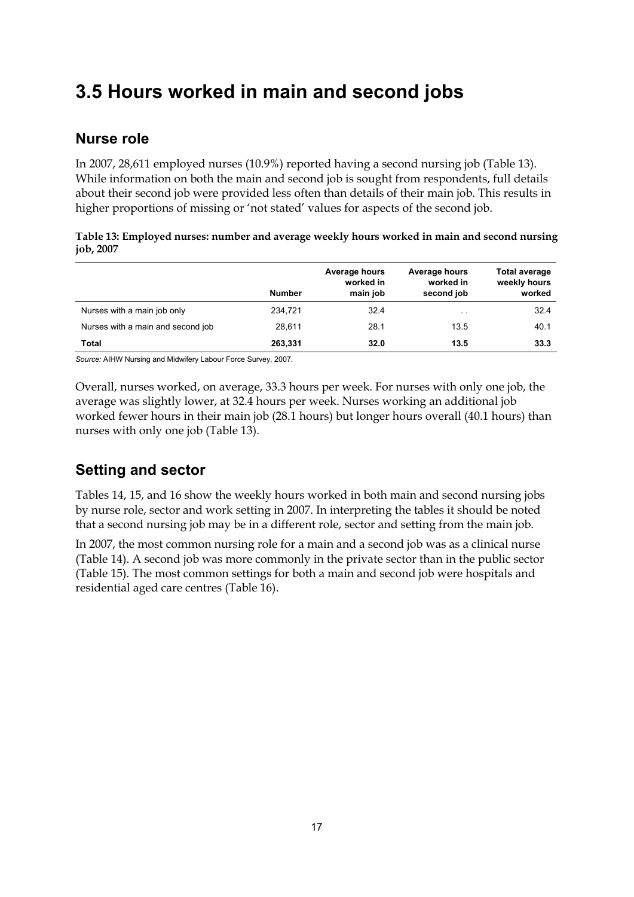# <span id="page-22-0"></span>**3.5 Hours worked in main and second jobs**

## **Nurse role**

In 2007, 28,611 employed nurses (10.9%) reported having a second nursing job (Table 13). While information on both the main and second job is sought from respondents, full details about their second job were provided less often than details of their main job. This results in higher proportions of missing or 'not stated' values for aspects of the second job.

<span id="page-22-1"></span>

| Table 13: Employed nurses: number and average weekly hours worked in main and second nursing |  |  |
|----------------------------------------------------------------------------------------------|--|--|
| job, 2007                                                                                    |  |  |

|                                   | <b>Number</b> | Average hours<br>worked in<br>main job | Average hours<br>worked in<br>second job | <b>Total average</b><br>weekly hours<br>worked |
|-----------------------------------|---------------|----------------------------------------|------------------------------------------|------------------------------------------------|
| Nurses with a main job only       | 234,721       | 32.4                                   | $\cdot$ .                                | 32.4                                           |
| Nurses with a main and second job | 28.611        | 28.1                                   | 13.5                                     | 40.1                                           |
| <b>Total</b>                      | 263,331       | 32.0                                   | 13.5                                     | 33.3                                           |

*Source:* AIHW Nursing and Midwifery Labour Force Survey, 2007.

Overall, nurses worked, on average, 33.3 hours per week. For nurses with only one job, the average was slightly lower, at 32.4 hours per week. Nurses working an additional job worked fewer hours in their main job (28.1 hours) but longer hours overall (40.1 hours) than nurses with only one job (Table 13).

# **Setting and sector**

Tables 14, 15, and 16 show the weekly hours worked in both main and second nursing jobs by nurse role, sector and work setting in 2007. In interpreting the tables it should be noted that a second nursing job may be in a different role, sector and setting from the main job.

In 2007, the most common nursing role for a main and a second job was as a clinical nurse (Table 14). A second job was more commonly in the private sector than in the public sector (Table 15). The most common settings for both a main and second job were hospitals and residential aged care centres (Table 16).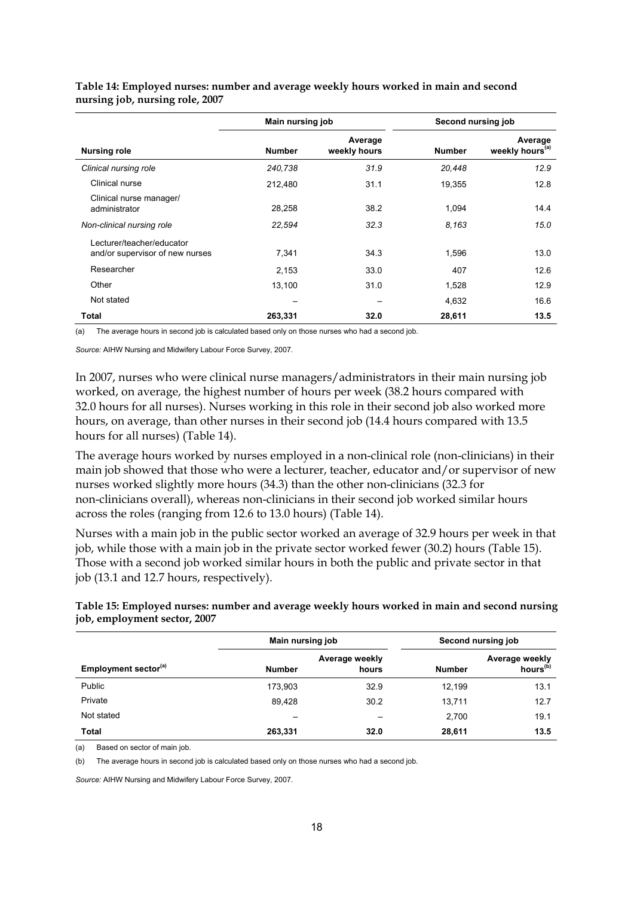|                                                              | Main nursing job |                         | Second nursing job |                                        |  |
|--------------------------------------------------------------|------------------|-------------------------|--------------------|----------------------------------------|--|
| <b>Nursing role</b>                                          | <b>Number</b>    | Average<br>weekly hours | <b>Number</b>      | Average<br>weekly hours <sup>(a)</sup> |  |
| Clinical nursing role                                        | 240,738          | 31.9                    | 20,448             | 12.9                                   |  |
| Clinical nurse                                               | 212,480          | 31.1                    | 19,355             | 12.8                                   |  |
| Clinical nurse manager/<br>administrator                     | 28,258           | 38.2                    | 1,094              | 14.4                                   |  |
| Non-clinical nursing role                                    | 22,594           | 32.3                    | 8,163              | 15.0                                   |  |
| Lecturer/teacher/educator<br>and/or supervisor of new nurses | 7,341            | 34.3                    | 1,596              | 13.0                                   |  |
| Researcher                                                   | 2,153            | 33.0                    | 407                | 12.6                                   |  |
| Other                                                        | 13,100           | 31.0                    | 1,528              | 12.9                                   |  |
| Not stated                                                   |                  |                         | 4,632              | 16.6                                   |  |
| Total                                                        | 263,331          | 32.0                    | 28,611             | 13.5                                   |  |

<span id="page-23-0"></span>**Table 14: Employed nurses: number and average weekly hours worked in main and second nursing job, nursing role, 2007** 

(a) The average hours in second job is calculated based only on those nurses who had a second job.

*Source:* AIHW Nursing and Midwifery Labour Force Survey, 2007.

In 2007, nurses who were clinical nurse managers/administrators in their main nursing job worked, on average, the highest number of hours per week (38.2 hours compared with 32.0 hours for all nurses). Nurses working in this role in their second job also worked more hours, on average, than other nurses in their second job (14.4 hours compared with 13.5 hours for all nurses) (Table 14).

The average hours worked by nurses employed in a non-clinical role (non-clinicians) in their main job showed that those who were a lecturer, teacher, educator and/or supervisor of new nurses worked slightly more hours (34.3) than the other non-clinicians (32.3 for non-clinicians overall), whereas non-clinicians in their second job worked similar hours across the roles (ranging from 12.6 to 13.0 hours) (Table 14).

Nurses with a main job in the public sector worked an average of 32.9 hours per week in that job, while those with a main job in the private sector worked fewer (30.2) hours (Table 15). Those with a second job worked similar hours in both the public and private sector in that job (13.1 and 12.7 hours, respectively).

<span id="page-23-1"></span>**Table 15: Employed nurses: number and average weekly hours worked in main and second nursing job, employment sector, 2007** 

|                                  | Main nursing job | Second nursing job      |               |                                        |
|----------------------------------|------------------|-------------------------|---------------|----------------------------------------|
| Employment sector <sup>(a)</sup> | <b>Number</b>    | Average weekly<br>hours | <b>Number</b> | Average weekly<br>hours <sup>(b)</sup> |
| Public                           | 173,903          | 32.9                    | 12.199        | 13.1                                   |
| Private                          | 89.428           | 30.2                    | 13,711        | 12.7                                   |
| Not stated                       | –                |                         | 2,700         | 19.1                                   |
| <b>Total</b>                     | 263,331          | 32.0                    | 28,611        | 13.5                                   |

(a) Based on sector of main job.

(b) The average hours in second job is calculated based only on those nurses who had a second job.

*Source:* AIHW Nursing and Midwifery Labour Force Survey, 2007.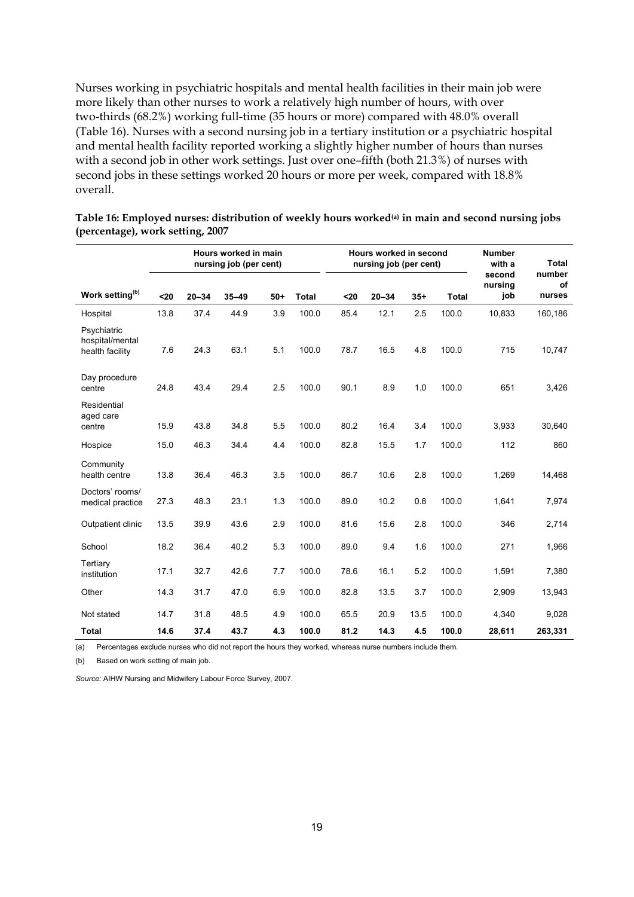Nurses working in psychiatric hospitals and mental health facilities in their main job were more likely than other nurses to work a relatively high number of hours, with over two-thirds (68.2%) working full-time (35 hours or more) compared with 48.0% overall (Table 16). Nurses with a second nursing job in a tertiary institution or a psychiatric hospital and mental health facility reported working a slightly higher number of hours than nurses with a second job in other work settings. Just over one–fifth (both 21.3%) of nurses with second jobs in these settings worked 20 hours or more per week, compared with 18.8% overall.

|                                                   | Hours worked in main<br>nursing job (per cent) |           |           |       |              |      | <b>Hours worked in second</b><br>nursing job (per cent) |       |              |                          | <b>Total</b>           |
|---------------------------------------------------|------------------------------------------------|-----------|-----------|-------|--------------|------|---------------------------------------------------------|-------|--------------|--------------------------|------------------------|
| Work setting <sup>(b)</sup>                       | $20$                                           | $20 - 34$ | $35 - 49$ | $50+$ | <b>Total</b> | $20$ | $20 - 34$                                               | $35+$ | <b>Total</b> | second<br>nursing<br>job | number<br>of<br>nurses |
| Hospital                                          | 13.8                                           | 37.4      | 44.9      | 3.9   | 100.0        | 85.4 | 12.1                                                    | 2.5   | 100.0        | 10,833                   | 160,186                |
| Psychiatric<br>hospital/mental<br>health facility | 7.6                                            | 24.3      | 63.1      | 5.1   | 100.0        | 78.7 | 16.5                                                    | 4.8   | 100.0        | 715                      | 10,747                 |
| Day procedure<br>centre                           | 24.8                                           | 43.4      | 29.4      | 2.5   | 100.0        | 90.1 | 8.9                                                     | 1.0   | 100.0        | 651                      | 3,426                  |
| Residential<br>aged care<br>centre                | 15.9                                           | 43.8      | 34.8      | 5.5   | 100.0        | 80.2 | 16.4                                                    | 3.4   | 100.0        | 3,933                    | 30,640                 |
| Hospice                                           | 15.0                                           | 46.3      | 34.4      | 4.4   | 100.0        | 82.8 | 15.5                                                    | 1.7   | 100.0        | 112                      | 860                    |
| Community<br>health centre                        | 13.8                                           | 36.4      | 46.3      | 3.5   | 100.0        | 86.7 | 10.6                                                    | 2.8   | 100.0        | 1,269                    | 14,468                 |
| Doctors' rooms/<br>medical practice               | 27.3                                           | 48.3      | 23.1      | 1.3   | 100.0        | 89.0 | 10.2                                                    | 0.8   | 100.0        | 1,641                    | 7,974                  |
| Outpatient clinic                                 | 13.5                                           | 39.9      | 43.6      | 2.9   | 100.0        | 81.6 | 15.6                                                    | 2.8   | 100.0        | 346                      | 2,714                  |
| School                                            | 18.2                                           | 36.4      | 40.2      | 5.3   | 100.0        | 89.0 | 9.4                                                     | 1.6   | 100.0        | 271                      | 1,966                  |
| Tertiary<br>institution                           | 17.1                                           | 32.7      | 42.6      | 7.7   | 100.0        | 78.6 | 16.1                                                    | 5.2   | 100.0        | 1,591                    | 7,380                  |
| Other                                             | 14.3                                           | 31.7      | 47.0      | 6.9   | 100.0        | 82.8 | 13.5                                                    | 3.7   | 100.0        | 2,909                    | 13,943                 |
| Not stated                                        | 14.7                                           | 31.8      | 48.5      | 4.9   | 100.0        | 65.5 | 20.9                                                    | 13.5  | 100.0        | 4,340                    | 9,028                  |
| <b>Total</b>                                      | 14.6                                           | 37.4      | 43.7      | 4.3   | 100.0        | 81.2 | 14.3                                                    | 4.5   | 100.0        | 28,611                   | 263,331                |

<span id="page-24-0"></span>**Table 16: Employed nurses: distribution of weekly hours worked(a) in main and second nursing jobs (percentage), work setting, 2007** 

(a) Percentages exclude nurses who did not report the hours they worked, whereas nurse numbers include them*.* 

(b) Based on work setting of main job.

*Source:* AIHW Nursing and Midwifery Labour Force Survey, 2007.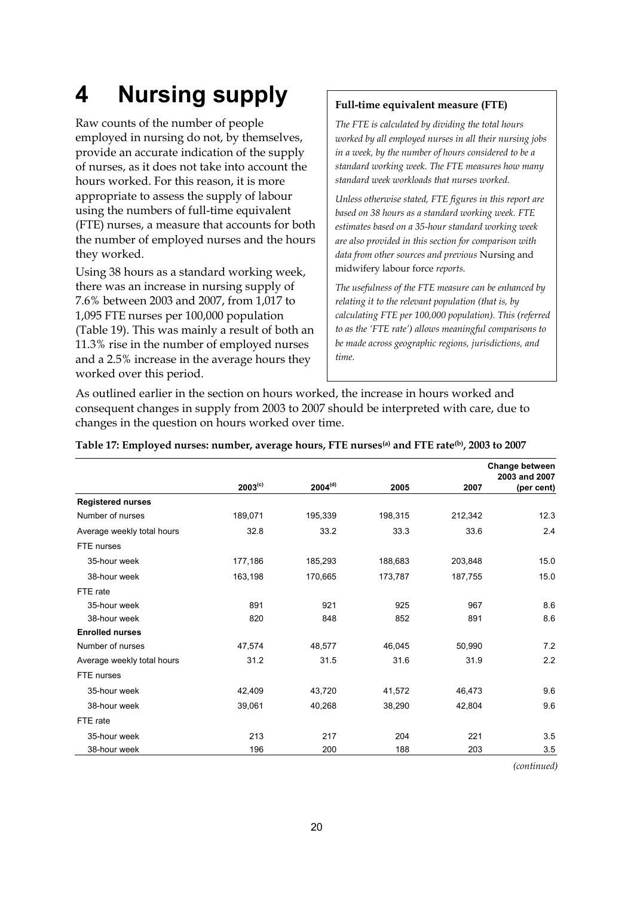# <span id="page-25-0"></span>**4 Nursing supply**

Raw counts of the number of people employed in nursing do not, by themselves, provide an accurate indication of the supply of nurses, as it does not take into account the hours worked. For this reason, it is more appropriate to assess the supply of labour using the numbers of full-time equivalent (FTE) nurses, a measure that accounts for both the number of employed nurses and the hours they worked.

Using 38 hours as a standard working week, there was an increase in nursing supply of 7.6% between 2003 and 2007, from 1,017 to 1,095 FTE nurses per 100,000 population (Table 19). This was mainly a result of both an 11.3% rise in the number of employed nurses and a 2.5% increase in the average hours they worked over this period.

#### **Full-time equivalent measure (FTE)**

*The FTE is calculated by dividing the total hours worked by all employed nurses in all their nursing jobs in a week, by the number of hours considered to be a standard working week. The FTE measures how many standard week workloads that nurses worked.* 

*Unless otherwise stated, FTE figures in this report are based on 38 hours as a standard working week. FTE estimates based on a 35-hour standard working week are also provided in this section for comparison with data from other sources and previous* Nursing and midwifery labour force *reports.* 

*The usefulness of the FTE measure can be enhanced by relating it to the relevant population (that is, by calculating FTE per 100,000 population). This (referred to as the 'FTE rate') allows meaningful comparisons to be made across geographic regions, jurisdictions, and time.* 

As outlined earlier in the section on hours worked, the increase in hours worked and consequent changes in supply from 2003 to 2007 should be interpreted with care, due to changes in the question on hours worked over time.

|                            |              |              |         |         | <b>Change between</b><br>2003 and 2007 |
|----------------------------|--------------|--------------|---------|---------|----------------------------------------|
|                            | $2003^{(c)}$ | $2004^{(d)}$ | 2005    | 2007    | (per cent)                             |
| <b>Registered nurses</b>   |              |              |         |         |                                        |
| Number of nurses           | 189,071      | 195,339      | 198,315 | 212,342 | 12.3                                   |
| Average weekly total hours | 32.8         | 33.2         | 33.3    | 33.6    | 2.4                                    |
| FTE nurses                 |              |              |         |         |                                        |
| 35-hour week               | 177,186      | 185,293      | 188,683 | 203,848 | 15.0                                   |
| 38-hour week               | 163,198      | 170,665      | 173,787 | 187,755 | 15.0                                   |
| FTE rate                   |              |              |         |         |                                        |
| 35-hour week               | 891          | 921          | 925     | 967     | 8.6                                    |
| 38-hour week               | 820          | 848          | 852     | 891     | 8.6                                    |
| <b>Enrolled nurses</b>     |              |              |         |         |                                        |
| Number of nurses           | 47,574       | 48,577       | 46,045  | 50,990  | 7.2                                    |
| Average weekly total hours | 31.2         | 31.5         | 31.6    | 31.9    | 2.2                                    |
| FTE nurses                 |              |              |         |         |                                        |
| 35-hour week               | 42,409       | 43,720       | 41,572  | 46,473  | 9.6                                    |
| 38-hour week               | 39,061       | 40,268       | 38,290  | 42,804  | 9.6                                    |
| FTE rate                   |              |              |         |         |                                        |
| 35-hour week               | 213          | 217          | 204     | 221     | 3.5                                    |
| 38-hour week               | 196          | 200          | 188     | 203     | 3.5                                    |

#### <span id="page-25-1"></span>**Table 17: Employed nurses: number, average hours, FTE nurses(a) and FTE rate(b), 2003 to 2007**

*(continued)*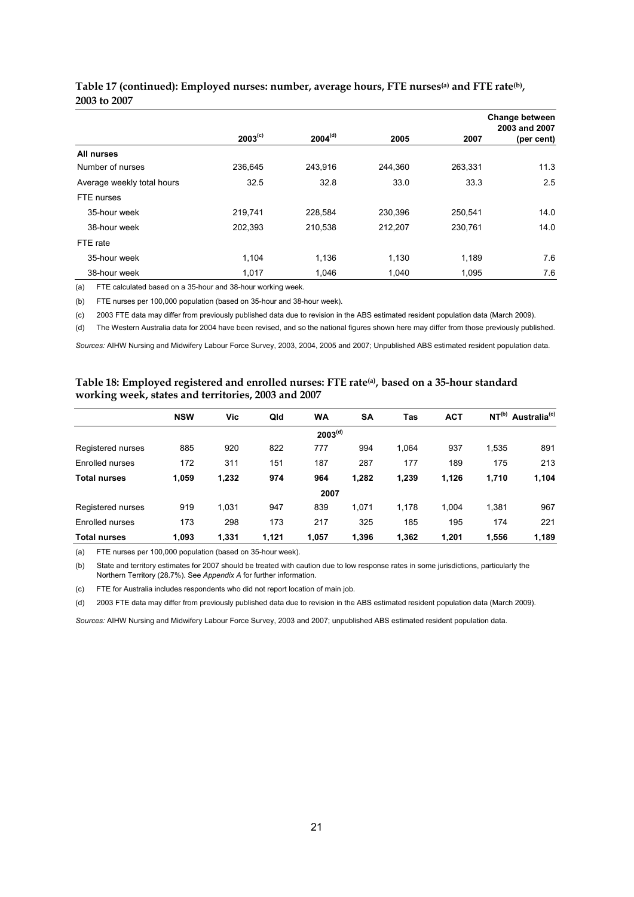|                            |              |                     |         |         | <b>Change between</b><br>2003 and 2007 |
|----------------------------|--------------|---------------------|---------|---------|----------------------------------------|
|                            | $2003^{(c)}$ | 2004 <sup>(d)</sup> | 2005    | 2007    | (per cent)                             |
| All nurses                 |              |                     |         |         |                                        |
| Number of nurses           | 236.645      | 243,916             | 244.360 | 263,331 | 11.3                                   |
| Average weekly total hours | 32.5         | 32.8                | 33.0    | 33.3    | 2.5                                    |
| FTE nurses                 |              |                     |         |         |                                        |
| 35-hour week               | 219,741      | 228,584             | 230,396 | 250.541 | 14.0                                   |
| 38-hour week               | 202.393      | 210.538             | 212.207 | 230.761 | 14.0                                   |
| FTE rate                   |              |                     |         |         |                                        |
| 35-hour week               | 1.104        | 1,136               | 1,130   | 1,189   | 7.6                                    |
| 38-hour week               | 1,017        | 1,046               | 1,040   | 1.095   | 7.6                                    |

#### **Table 17 (continued): Employed nurses: number, average hours, FTE nurses(a) and FTE rate(b), 2003 to 2007**

(a) FTE calculated based on a 35-hour and 38-hour working week.

(b) FTE nurses per 100,000 population (based on 35-hour and 38-hour week).

(c) 2003 FTE data may differ from previously published data due to revision in the ABS estimated resident population data (March 2009).

(d) The Western Australia data for 2004 have been revised, and so the national figures shown here may differ from those previously published.

*Sources:* AIHW Nursing and Midwifery Labour Force Survey, 2003, 2004, 2005 and 2007; Unpublished ABS estimated resident population data.

#### <span id="page-26-0"></span>**Table 18: Employed registered and enrolled nurses: FTE rate(a), based on a 35-hour standard working week, states and territories, 2003 and 2007**

|                     | <b>NSW</b> | Vic   | Qld   | <b>WA</b>           | <b>SA</b> | <b>Tas</b> | <b>ACT</b> |       | NT <sup>(b)</sup> Australia <sup>(c)</sup> |
|---------------------|------------|-------|-------|---------------------|-----------|------------|------------|-------|--------------------------------------------|
|                     |            |       |       | 2003 <sup>(d)</sup> |           |            |            |       |                                            |
| Registered nurses   | 885        | 920   | 822   | 777                 | 994       | 1.064      | 937        | 1,535 | 891                                        |
| Enrolled nurses     | 172        | 311   | 151   | 187                 | 287       | 177        | 189        | 175   | 213                                        |
| <b>Total nurses</b> | 1,059      | 1,232 | 974   | 964                 | 1,282     | 1,239      | 1,126      | 1,710 | 1,104                                      |
|                     |            |       |       | 2007                |           |            |            |       |                                            |
| Registered nurses   | 919        | 1.031 | 947   | 839                 | 1.071     | 1.178      | 1.004      | 1.381 | 967                                        |
| Enrolled nurses     | 173        | 298   | 173   | 217                 | 325       | 185        | 195        | 174   | 221                                        |
| <b>Total nurses</b> | 1,093      | 1.331 | 1.121 | 1.057               | 1.396     | 1.362      | 1.201      | 1.556 | 1,189                                      |

(a) FTE nurses per 100,000 population (based on 35-hour week).

(b) State and territory estimates for 2007 should be treated with caution due to low response rates in some jurisdictions, particularly the Northern Territory (28.7%). See *Appendix A* for further information.

(c) FTE for Australia includes respondents who did not report location of main job.

(d) 2003 FTE data may differ from previously published data due to revision in the ABS estimated resident population data (March 2009).

*Sources:* AIHW Nursing and Midwifery Labour Force Survey, 2003 and 2007; unpublished ABS estimated resident population data.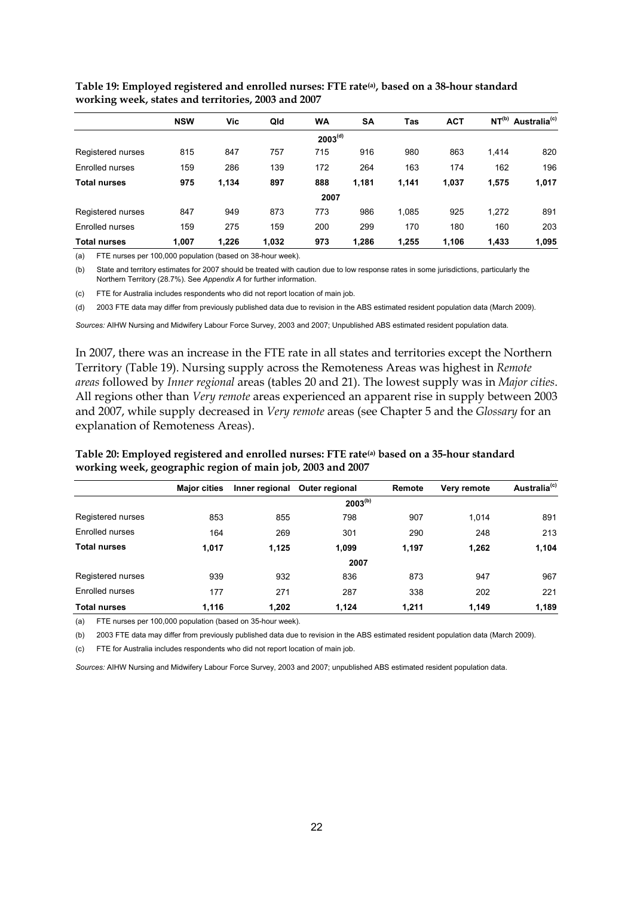|                        | <b>NSW</b> | Vic   | Qld   | <b>WA</b>           | <b>SA</b> | Tas   | <b>ACT</b> | $NT^{(b)}$ | Australia <sup>(c)</sup> |
|------------------------|------------|-------|-------|---------------------|-----------|-------|------------|------------|--------------------------|
|                        |            |       |       | 2003 <sup>(d)</sup> |           |       |            |            |                          |
| Registered nurses      | 815        | 847   | 757   | 715                 | 916       | 980   | 863        | 1,414      | 820                      |
| Enrolled nurses        | 159        | 286   | 139   | 172                 | 264       | 163   | 174        | 162        | 196                      |
| <b>Total nurses</b>    | 975        | 1,134 | 897   | 888                 | 1,181     | 1,141 | 1,037      | 1,575      | 1,017                    |
|                        |            |       |       | 2007                |           |       |            |            |                          |
| Registered nurses      | 847        | 949   | 873   | 773                 | 986       | 1,085 | 925        | 1,272      | 891                      |
| <b>Enrolled nurses</b> | 159        | 275   | 159   | 200                 | 299       | 170   | 180        | 160        | 203                      |
| <b>Total nurses</b>    | 1,007      | 1,226 | 1,032 | 973                 | 1,286     | 1,255 | 1,106      | 1,433      | 1,095                    |

<span id="page-27-0"></span>**Table 19: Employed registered and enrolled nurses: FTE rate(a), based on a 38-hour standard working week, states and territories, 2003 and 2007** 

(a) FTE nurses per 100,000 population (based on 38-hour week).

(b) State and territory estimates for 2007 should be treated with caution due to low response rates in some jurisdictions, particularly the Northern Territory (28.7%). See *Appendix A* for further information.

(c) FTE for Australia includes respondents who did not report location of main job.

(d) 2003 FTE data may differ from previously published data due to revision in the ABS estimated resident population data (March 2009).

*Sources:* AIHW Nursing and Midwifery Labour Force Survey, 2003 and 2007; Unpublished ABS estimated resident population data.

In 2007, there was an increase in the FTE rate in all states and territories except the Northern Territory (Table 19). Nursing supply across the Remoteness Areas was highest in *Remote areas* followed by *Inner regional* areas (tables 20 and 21). The lowest supply was in *Major cities*. All regions other than *Very remote* areas experienced an apparent rise in supply between 2003 and 2007, while supply decreased in *Very remote* areas (see Chapter 5 and the *Glossary* for an explanation of Remoteness Areas).

<span id="page-27-1"></span>**Table 20: Employed registered and enrolled nurses: FTE rate(a) based on a 35-hour standard working week, geographic region of main job, 2003 and 2007** 

|                     | <b>Major cities</b> |       | Inner regional Outer regional | Remote | Very remote | Australia <sup>(c)</sup> |
|---------------------|---------------------|-------|-------------------------------|--------|-------------|--------------------------|
|                     |                     |       | $2003^{(b)}$                  |        |             |                          |
| Registered nurses   | 853                 | 855   | 798                           | 907    | 1,014       | 891                      |
| Enrolled nurses     | 164                 | 269   | 301                           | 290    | 248         | 213                      |
| <b>Total nurses</b> | 1,017               | 1,125 | 1,099                         | 1,197  | 1,262       | 1,104                    |
|                     |                     |       | 2007                          |        |             |                          |
| Registered nurses   | 939                 | 932   | 836                           | 873    | 947         | 967                      |
| Enrolled nurses     | 177                 | 271   | 287                           | 338    | 202         | 221                      |
| <b>Total nurses</b> | 1,116               | 1,202 | 1,124                         | 1,211  | 1,149       | 1,189                    |

(a) FTE nurses per 100,000 population (based on 35-hour week).

(b) 2003 FTE data may differ from previously published data due to revision in the ABS estimated resident population data (March 2009).

(c) FTE for Australia includes respondents who did not report location of main job.

*Sources:* AIHW Nursing and Midwifery Labour Force Survey, 2003 and 2007; unpublished ABS estimated resident population data.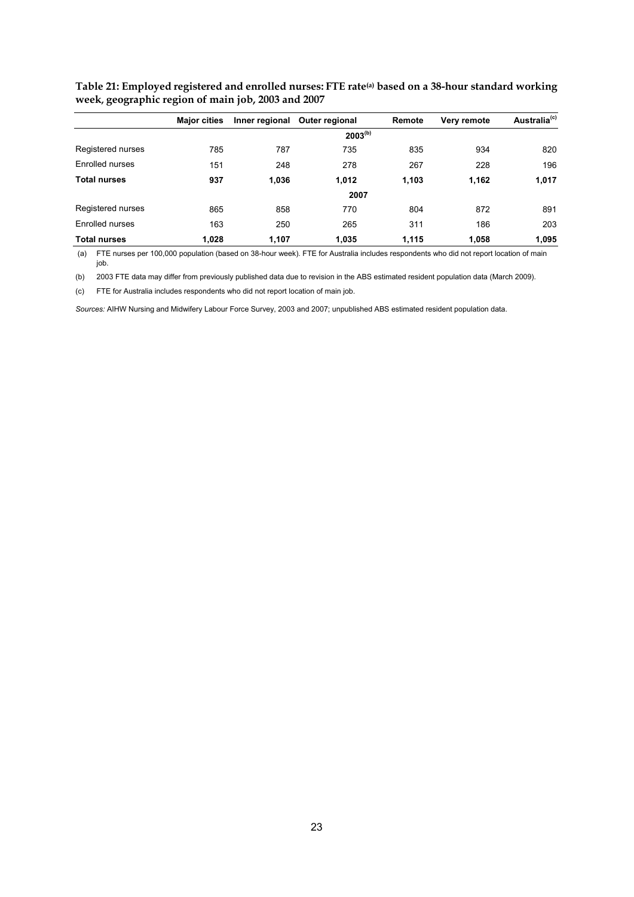|                     | <b>Major cities</b> |       | Inner regional Outer regional | Remote | Very remote | Australia <sup>(c)</sup> |
|---------------------|---------------------|-------|-------------------------------|--------|-------------|--------------------------|
|                     |                     |       | $2003^{(b)}$                  |        |             |                          |
| Registered nurses   | 785                 | 787   | 735                           | 835    | 934         | 820                      |
| Enrolled nurses     | 151                 | 248   | 278                           | 267    | 228         | 196                      |
| <b>Total nurses</b> | 937                 | 1,036 | 1.012                         | 1.103  | 1,162       | 1,017                    |
|                     |                     |       | 2007                          |        |             |                          |
| Registered nurses   | 865                 | 858   | 770                           | 804    | 872         | 891                      |
| Enrolled nurses     | 163                 | 250   | 265                           | 311    | 186         | 203                      |
| <b>Total nurses</b> | 1,028               | 1,107 | 1.035                         | 1.115  | 1,058       | 1,095                    |

<span id="page-28-0"></span>**Table 21: Employed registered and enrolled nurses: FTE rate(a) based on a 38-hour standard working week, geographic region of main job, 2003 and 2007** 

 (a) FTE nurses per 100,000 population (based on 38-hour week). FTE for Australia includes respondents who did not report location of main job.

(b) 2003 FTE data may differ from previously published data due to revision in the ABS estimated resident population data (March 2009).

(c) FTE for Australia includes respondents who did not report location of main job.

*Sources:* AIHW Nursing and Midwifery Labour Force Survey, 2003 and 2007; unpublished ABS estimated resident population data.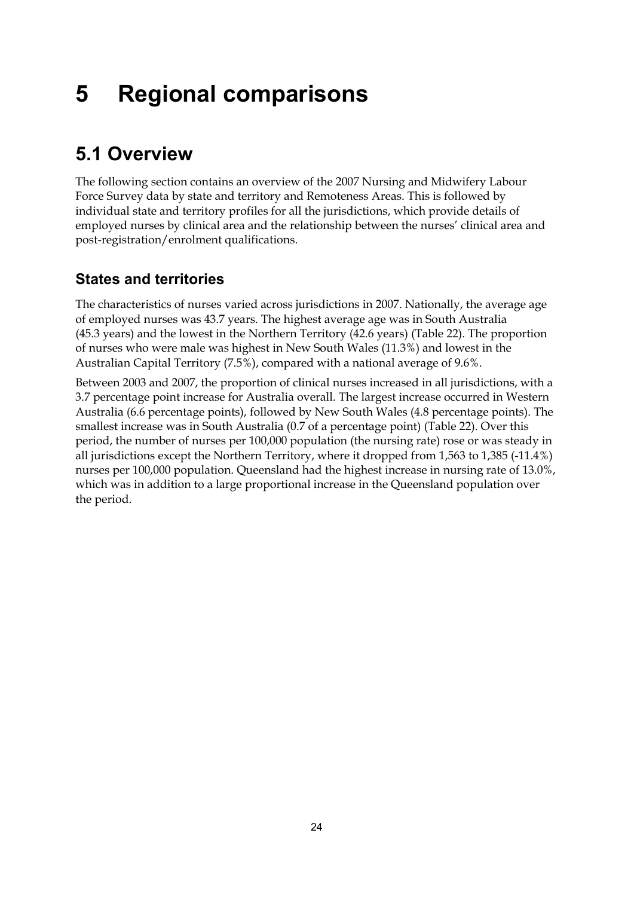# <span id="page-29-0"></span>**5 Regional comparisons**

# <span id="page-29-1"></span>**5.1 Overview**

The following section contains an overview of the 2007 Nursing and Midwifery Labour Force Survey data by state and territory and Remoteness Areas. This is followed by individual state and territory profiles for all the jurisdictions, which provide details of employed nurses by clinical area and the relationship between the nurses' clinical area and post-registration/enrolment qualifications.

# **States and territories**

The characteristics of nurses varied across jurisdictions in 2007. Nationally, the average age of employed nurses was 43.7 years. The highest average age was in South Australia (45.3 years) and the lowest in the Northern Territory (42.6 years) (Table 22). The proportion of nurses who were male was highest in New South Wales (11.3%) and lowest in the Australian Capital Territory (7.5%), compared with a national average of 9.6%.

Between 2003 and 2007, the proportion of clinical nurses increased in all jurisdictions, with a 3.7 percentage point increase for Australia overall. The largest increase occurred in Western Australia (6.6 percentage points), followed by New South Wales (4.8 percentage points). The smallest increase was in South Australia (0.7 of a percentage point) (Table 22). Over this period, the number of nurses per 100,000 population (the nursing rate) rose or was steady in all jurisdictions except the Northern Territory, where it dropped from 1,563 to 1,385 (-11.4%) nurses per 100,000 population. Queensland had the highest increase in nursing rate of 13.0%, which was in addition to a large proportional increase in the Queensland population over the period.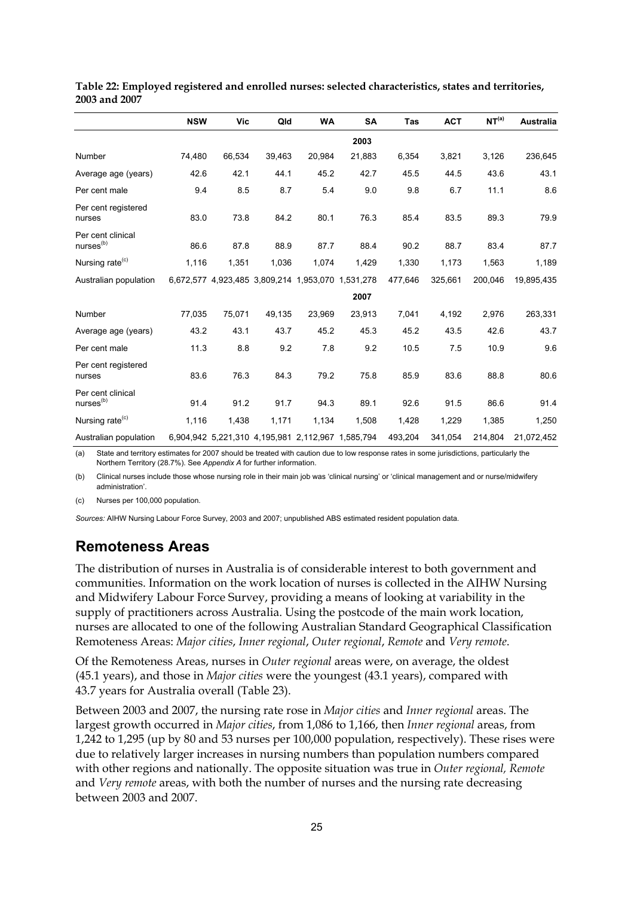|                                           | <b>NSW</b> | Vic                                               | Qld    | <b>WA</b> | <b>SA</b> | Tas     | <b>ACT</b> | NT <sup>(a)</sup> | Australia  |
|-------------------------------------------|------------|---------------------------------------------------|--------|-----------|-----------|---------|------------|-------------------|------------|
|                                           |            |                                                   |        |           | 2003      |         |            |                   |            |
| Number                                    | 74,480     | 66,534                                            | 39,463 | 20,984    | 21,883    | 6,354   | 3,821      | 3,126             | 236,645    |
| Average age (years)                       | 42.6       | 42.1                                              | 44.1   | 45.2      | 42.7      | 45.5    | 44.5       | 43.6              | 43.1       |
| Per cent male                             | 9.4        | 8.5                                               | 8.7    | 5.4       | 9.0       | 9.8     | 6.7        | 11.1              | 8.6        |
| Per cent registered<br>nurses             | 83.0       | 73.8                                              | 84.2   | 80.1      | 76.3      | 85.4    | 83.5       | 89.3              | 79.9       |
| Per cent clinical<br>nures <sup>(b)</sup> | 86.6       | 87.8                                              | 88.9   | 87.7      | 88.4      | 90.2    | 88.7       | 83.4              | 87.7       |
| Nursing rate <sup>(c)</sup>               | 1,116      | 1,351                                             | 1,036  | 1,074     | 1,429     | 1,330   | 1,173      | 1,563             | 1,189      |
| Australian population                     |            | 6,672,577 4,923,485 3,809,214 1,953,070 1,531,278 |        |           |           | 477,646 | 325,661    | 200,046           | 19,895,435 |
|                                           |            |                                                   |        |           | 2007      |         |            |                   |            |
| Number                                    | 77,035     | 75,071                                            | 49,135 | 23,969    | 23,913    | 7,041   | 4,192      | 2,976             | 263,331    |
| Average age (years)                       | 43.2       | 43.1                                              | 43.7   | 45.2      | 45.3      | 45.2    | 43.5       | 42.6              | 43.7       |
| Per cent male                             | 11.3       | 8.8                                               | 9.2    | 7.8       | 9.2       | 10.5    | 7.5        | 10.9              | 9.6        |
| Per cent registered<br>nurses             | 83.6       | 76.3                                              | 84.3   | 79.2      | 75.8      | 85.9    | 83.6       | 88.8              | 80.6       |
| Per cent clinical<br>nures <sup>(b)</sup> | 91.4       | 91.2                                              | 91.7   | 94.3      | 89.1      | 92.6    | 91.5       | 86.6              | 91.4       |
| Nursing rate <sup>(c)</sup>               | 1,116      | 1,438                                             | 1,171  | 1,134     | 1,508     | 1,428   | 1,229      | 1,385             | 1,250      |
| Australian population                     |            | 6,904,942 5,221,310 4,195,981 2,112,967 1,585,794 |        |           |           | 493,204 | 341,054    | 214,804           | 21,072,452 |

#### <span id="page-30-0"></span>**Table 22: Employed registered and enrolled nurses: selected characteristics, states and territories, 2003 and 2007**

(a) State and territory estimates for 2007 should be treated with caution due to low response rates in some jurisdictions, particularly the Northern Territory (28.7%). See *Appendix A* for further information.

(b) Clinical nurses include those whose nursing role in their main job was 'clinical nursing' or 'clinical management and or nurse/midwifery administration'.

(c) Nurses per 100,000 population.

*Sources:* AIHW Nursing Labour Force Survey, 2003 and 2007; unpublished ABS estimated resident population data.

## **Remoteness Areas**

The distribution of nurses in Australia is of considerable interest to both government and communities. Information on the work location of nurses is collected in the AIHW Nursing and Midwifery Labour Force Survey, providing a means of looking at variability in the supply of practitioners across Australia. Using the postcode of the main work location, nurses are allocated to one of the following Australian Standard Geographical Classification Remoteness Areas: *Major cities*, *Inner regional*, *Outer regional*, *Remote* and *Very remote*.

Of the Remoteness Areas, nurses in *Outer regional* areas were, on average, the oldest (45.1 years), and those in *Major cities* were the youngest (43.1 years), compared with 43.7 years for Australia overall (Table 23).

Between 2003 and 2007, the nursing rate rose in *Major cities* and *Inner regional* areas. The largest growth occurred in *Major cities*, from 1,086 to 1,166, then *Inner regional* areas, from 1,242 to 1,295 (up by 80 and 53 nurses per 100,000 population, respectively). These rises were due to relatively larger increases in nursing numbers than population numbers compared with other regions and nationally. The opposite situation was true in *Outer regional, Remote*  and *Very remote* areas, with both the number of nurses and the nursing rate decreasing between 2003 and 2007.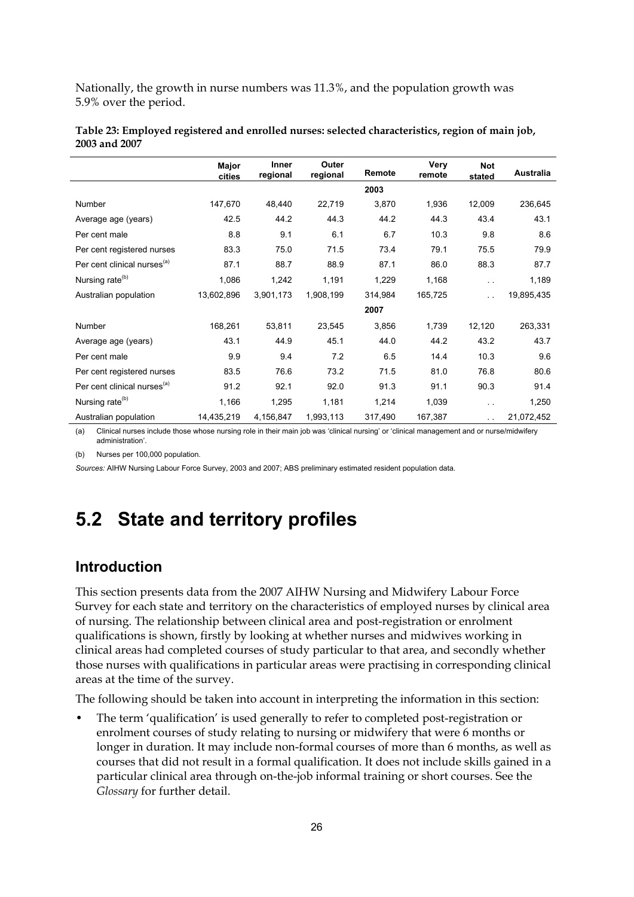Nationally, the growth in nurse numbers was 11.3%, and the population growth was 5.9% over the period.

|                                         | Major<br>cities | Inner<br>regional | Outer<br>regional | Remote  | Very<br>remote | <b>Not</b><br>stated | Australia  |
|-----------------------------------------|-----------------|-------------------|-------------------|---------|----------------|----------------------|------------|
|                                         |                 |                   |                   | 2003    |                |                      |            |
| Number                                  | 147,670         | 48,440            | 22,719            | 3,870   | 1,936          | 12,009               | 236,645    |
| Average age (years)                     | 42.5            | 44.2              | 44.3              | 44.2    | 44.3           | 43.4                 | 43.1       |
| Per cent male                           | 8.8             | 9.1               | 6.1               | 6.7     | 10.3           | 9.8                  | 8.6        |
| Per cent registered nurses              | 83.3            | 75.0              | 71.5              | 73.4    | 79.1           | 75.5                 | 79.9       |
| Per cent clinical nurses <sup>(a)</sup> | 87.1            | 88.7              | 88.9              | 87.1    | 86.0           | 88.3                 | 87.7       |
| Nursing rate <sup>(b)</sup>             | 1,086           | 1,242             | 1,191             | 1,229   | 1,168          | $\ddot{\phantom{1}}$ | 1,189      |
| Australian population                   | 13,602,896      | 3,901,173         | 1,908,199         | 314,984 | 165,725        | $\ddotsc$            | 19,895,435 |
|                                         |                 |                   |                   | 2007    |                |                      |            |
| Number                                  | 168,261         | 53,811            | 23,545            | 3,856   | 1,739          | 12,120               | 263,331    |
| Average age (years)                     | 43.1            | 44.9              | 45.1              | 44.0    | 44.2           | 43.2                 | 43.7       |
| Per cent male                           | 9.9             | 9.4               | 7.2               | 6.5     | 14.4           | 10.3                 | 9.6        |
| Per cent registered nurses              | 83.5            | 76.6              | 73.2              | 71.5    | 81.0           | 76.8                 | 80.6       |
| Per cent clinical nurses <sup>(a)</sup> | 91.2            | 92.1              | 92.0              | 91.3    | 91.1           | 90.3                 | 91.4       |
| Nursing rate <sup>(b)</sup>             | 1,166           | 1,295             | 1,181             | 1,214   | 1,039          | . .                  | 1,250      |
| Australian population                   | 14,435,219      | 4,156,847         | 1,993,113         | 317,490 | 167,387        | $\ddotsc$            | 21,072,452 |

<span id="page-31-1"></span>**Table 23: Employed registered and enrolled nurses: selected characteristics, region of main job, 2003 and 2007** 

(a) Clinical nurses include those whose nursing role in their main job was 'clinical nursing' or 'clinical management and or nurse/midwifery administration'.

(b) Nurses per 100,000 population.

*Sources:* AIHW Nursing Labour Force Survey, 2003 and 2007; ABS preliminary estimated resident population data.

# <span id="page-31-0"></span>**5.2 State and territory profiles**

## **Introduction**

This section presents data from the 2007 AIHW Nursing and Midwifery Labour Force Survey for each state and territory on the characteristics of employed nurses by clinical area of nursing. The relationship between clinical area and post-registration or enrolment qualifications is shown, firstly by looking at whether nurses and midwives working in clinical areas had completed courses of study particular to that area, and secondly whether those nurses with qualifications in particular areas were practising in corresponding clinical areas at the time of the survey.

The following should be taken into account in interpreting the information in this section:

• The term 'qualification' is used generally to refer to completed post-registration or enrolment courses of study relating to nursing or midwifery that were 6 months or longer in duration. It may include non-formal courses of more than 6 months, as well as courses that did not result in a formal qualification. It does not include skills gained in a particular clinical area through on-the-job informal training or short courses. See the *Glossary* for further detail.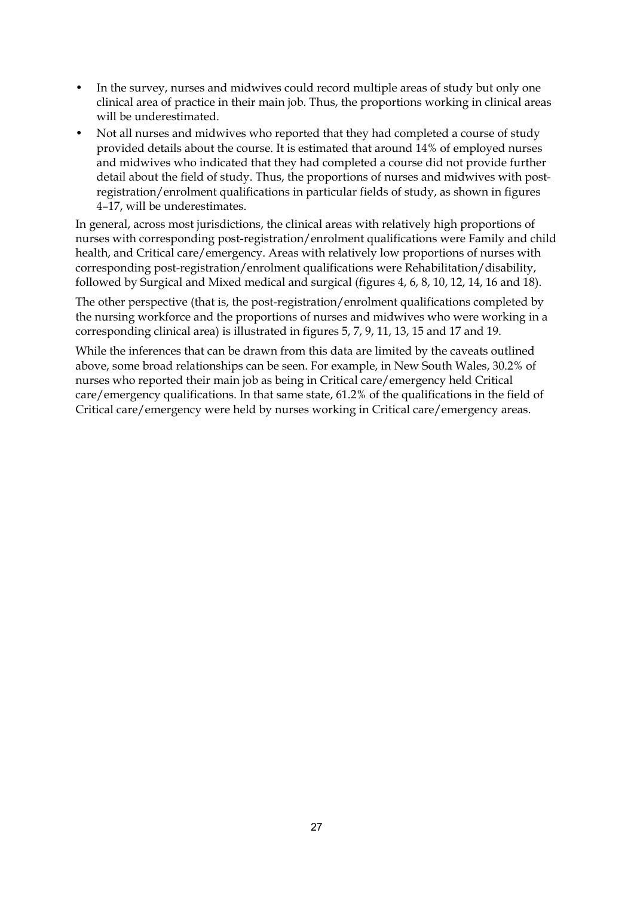- In the survey, nurses and midwives could record multiple areas of study but only one clinical area of practice in their main job. Thus, the proportions working in clinical areas will be underestimated.
- Not all nurses and midwives who reported that they had completed a course of study provided details about the course. It is estimated that around 14% of employed nurses and midwives who indicated that they had completed a course did not provide further detail about the field of study. Thus, the proportions of nurses and midwives with postregistration/enrolment qualifications in particular fields of study, as shown in figures 4–17, will be underestimates.

In general, across most jurisdictions, the clinical areas with relatively high proportions of nurses with corresponding post-registration/enrolment qualifications were Family and child health, and Critical care/emergency. Areas with relatively low proportions of nurses with corresponding post-registration/enrolment qualifications were Rehabilitation/disability, followed by Surgical and Mixed medical and surgical (figures 4, 6, 8, 10, 12, 14, 16 and 18).

The other perspective (that is, the post-registration/enrolment qualifications completed by the nursing workforce and the proportions of nurses and midwives who were working in a corresponding clinical area) is illustrated in figures 5, 7, 9, 11, 13, 15 and 17 and 19.

While the inferences that can be drawn from this data are limited by the caveats outlined above, some broad relationships can be seen. For example, in New South Wales, 30.2% of nurses who reported their main job as being in Critical care/emergency held Critical care/emergency qualifications. In that same state, 61.2% of the qualifications in the field of Critical care/emergency were held by nurses working in Critical care/emergency areas.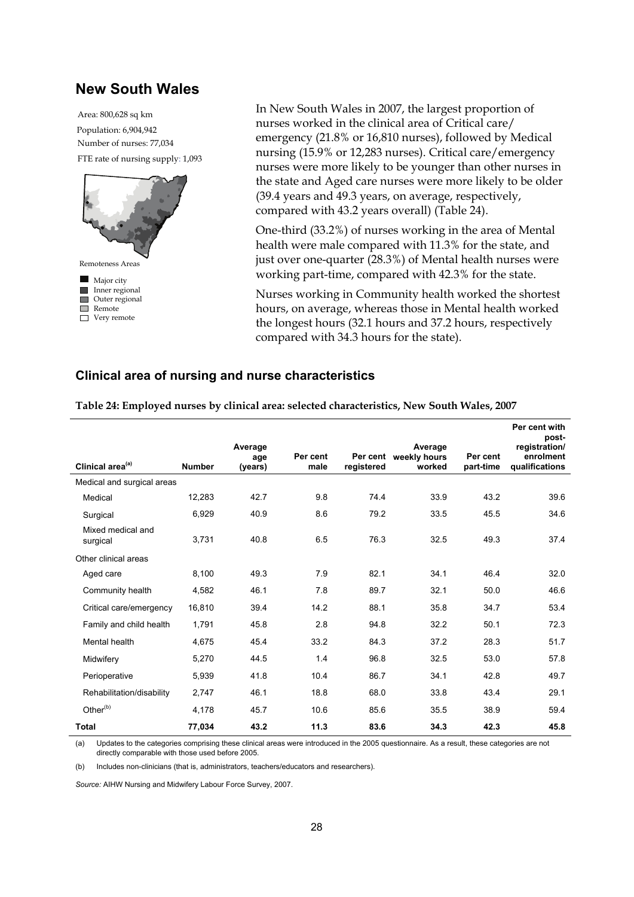### **New South Wales**

FTE rate of nursing supply: 1,093 Population: 6,904,942 Area: 800,628 sq km Number of nurses: 77,034



In New South Wales in 2007, the largest proportion of nurses worked in the clinical area of Critical care/ emergency (21.8% or 16,810 nurses), followed by Medical nursing (15.9% or 12,283 nurses). Critical care/emergency nurses were more likely to be younger than other nurses in the state and Aged care nurses were more likely to be older (39.4 years and 49.3 years, on average, respectively, compared with 43.2 years overall) (Table 24).

One-third (33.2%) of nurses working in the area of Mental health were male compared with 11.3% for the state, and just over one-quarter (28.3%) of Mental health nurses were working part-time, compared with 42.3% for the state.

Nurses working in Community health worked the shortest hours, on average, whereas those in Mental health worked the longest hours (32.1 hours and 37.2 hours, respectively compared with 34.3 hours for the state).

#### **Clinical area of nursing and nurse characteristics**

<span id="page-33-0"></span>

| Clinical area <sup>(a)</sup>  | <b>Number</b> | Average<br>age<br>(years) | Per cent<br>male | registered | Average<br>Per cent weekly hours<br>worked | Per cent<br>part-time | Per cent with<br>post-<br>registration/<br>enrolment<br>qualifications |
|-------------------------------|---------------|---------------------------|------------------|------------|--------------------------------------------|-----------------------|------------------------------------------------------------------------|
|                               |               |                           |                  |            |                                            |                       |                                                                        |
| Medical and surgical areas    |               |                           |                  |            |                                            |                       |                                                                        |
| Medical                       | 12,283        | 42.7                      | 9.8              | 74.4       | 33.9                                       | 43.2                  | 39.6                                                                   |
| Surgical                      | 6,929         | 40.9                      | 8.6              | 79.2       | 33.5                                       | 45.5                  | 34.6                                                                   |
| Mixed medical and<br>surgical | 3,731         | 40.8                      | 6.5              | 76.3       | 32.5                                       | 49.3                  | 37.4                                                                   |
| Other clinical areas          |               |                           |                  |            |                                            |                       |                                                                        |
| Aged care                     | 8,100         | 49.3                      | 7.9              | 82.1       | 34.1                                       | 46.4                  | 32.0                                                                   |
| Community health              | 4,582         | 46.1                      | 7.8              | 89.7       | 32.1                                       | 50.0                  | 46.6                                                                   |
| Critical care/emergency       | 16,810        | 39.4                      | 14.2             | 88.1       | 35.8                                       | 34.7                  | 53.4                                                                   |
| Family and child health       | 1,791         | 45.8                      | 2.8              | 94.8       | 32.2                                       | 50.1                  | 72.3                                                                   |
| Mental health                 | 4.675         | 45.4                      | 33.2             | 84.3       | 37.2                                       | 28.3                  | 51.7                                                                   |
| Midwifery                     | 5,270         | 44.5                      | 1.4              | 96.8       | 32.5                                       | 53.0                  | 57.8                                                                   |
| Perioperative                 | 5,939         | 41.8                      | 10.4             | 86.7       | 34.1                                       | 42.8                  | 49.7                                                                   |
| Rehabilitation/disability     | 2.747         | 46.1                      | 18.8             | 68.0       | 33.8                                       | 43.4                  | 29.1                                                                   |
| Other <sup>(b)</sup>          | 4.178         | 45.7                      | 10.6             | 85.6       | 35.5                                       | 38.9                  | 59.4                                                                   |
| <b>Total</b>                  | 77,034        | 43.2                      | 11.3             | 83.6       | 34.3                                       | 42.3                  | 45.8                                                                   |

**Table 24: Employed nurses by clinical area: selected characteristics, New South Wales, 2007** 

(a) Updates to the categories comprising these clinical areas were introduced in the 2005 questionnaire. As a result, these categories are not directly comparable with those used before 2005.

(b) Includes non-clinicians (that is, administrators, teachers/educators and researchers).

*Source:* AIHW Nursing and Midwifery Labour Force Survey, 2007.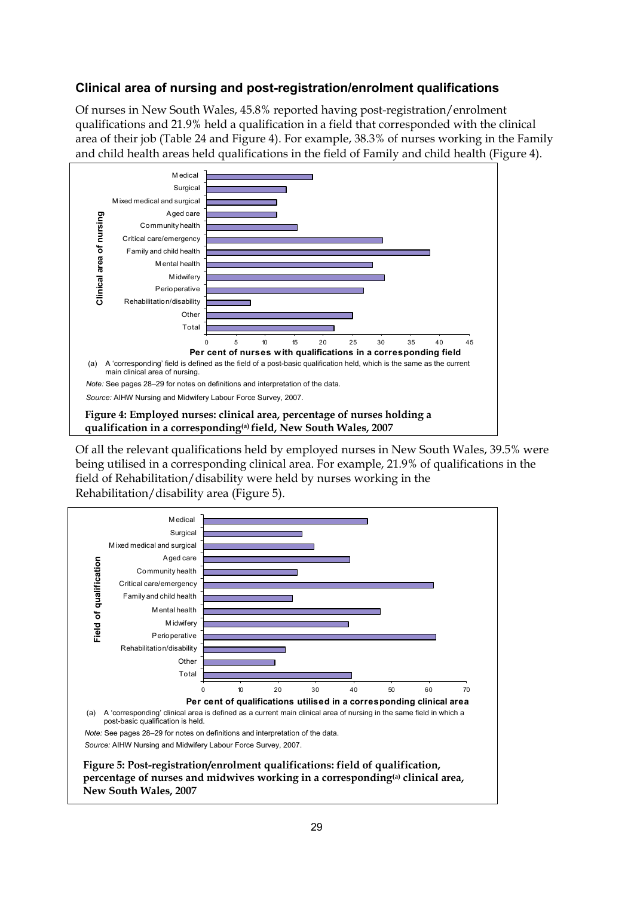### **Clinical area of nursing and post-registration/enrolment qualifications**

Of nurses in New South Wales, 45.8% reported having post-registration/enrolment qualifications and 21.9% held a qualification in a field that corresponded with the clinical area of their job (Table 24 and Figure 4). For example, 38.3% of nurses working in the Family and child health areas held qualifications in the field of Family and child health (Figure 4).



<span id="page-34-1"></span><span id="page-34-0"></span>Of all the relevant qualifications held by employed nurses in New South Wales, 39.5% were being utilised in a corresponding clinical area. For example, 21.9% of qualifications in the field of Rehabilitation/disability were held by nurses working in the Rehabilitation/disability area (Figure 5).

<span id="page-34-3"></span><span id="page-34-2"></span>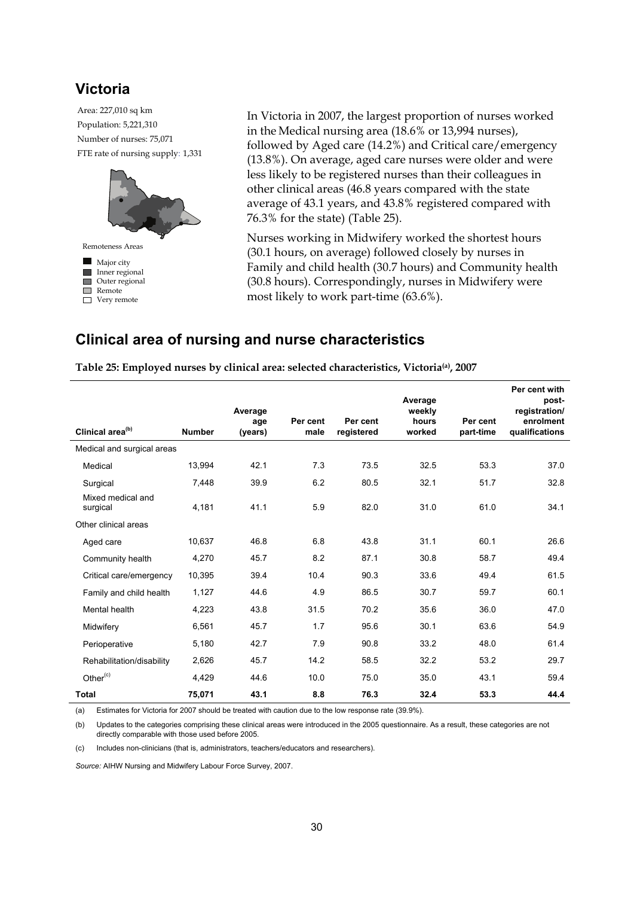## **Victoria**

FTE rate of nursing supply: 1,331 Population: 5,221,310 Area: 227,010 sq km Number of nurses: 75,071



In Victoria in 2007, the largest proportion of nurses worked in the Medical nursing area (18.6% or 13,994 nurses), followed by Aged care (14.2%) and Critical care/emergency (13.8%). On average, aged care nurses were older and were less likely to be registered nurses than their colleagues in other clinical areas (46.8 years compared with the state average of 43.1 years, and 43.8% registered compared with 76.3% for the state) (Table 25).

Nurses working in Midwifery worked the shortest hours (30.1 hours, on average) followed closely by nurses in Family and child health (30.7 hours) and Community health (30.8 hours). Correspondingly, nurses in Midwifery were most likely to work part-time (63.6%).

## **Clinical area of nursing and nurse characteristics**

|                               |               | Average |          |            | Average<br>weekly |           | Per cent with<br>post-<br>registration/ |
|-------------------------------|---------------|---------|----------|------------|-------------------|-----------|-----------------------------------------|
|                               |               | age     | Per cent | Per cent   | hours             | Per cent  | enrolment                               |
| Clinical area <sup>(b)</sup>  | <b>Number</b> | (years) | male     | registered | worked            | part-time | qualifications                          |
| Medical and surgical areas    |               |         |          |            |                   |           |                                         |
| Medical                       | 13,994        | 42.1    | 7.3      | 73.5       | 32.5              | 53.3      | 37.0                                    |
| Surgical                      | 7,448         | 39.9    | 6.2      | 80.5       | 32.1              | 51.7      | 32.8                                    |
| Mixed medical and<br>surgical | 4,181         | 41.1    | 5.9      | 82.0       | 31.0              | 61.0      | 34.1                                    |
| Other clinical areas          |               |         |          |            |                   |           |                                         |
| Aged care                     | 10,637        | 46.8    | 6.8      | 43.8       | 31.1              | 60.1      | 26.6                                    |
| Community health              | 4,270         | 45.7    | 8.2      | 87.1       | 30.8              | 58.7      | 49.4                                    |
| Critical care/emergency       | 10,395        | 39.4    | 10.4     | 90.3       | 33.6              | 49.4      | 61.5                                    |
| Family and child health       | 1,127         | 44.6    | 4.9      | 86.5       | 30.7              | 59.7      | 60.1                                    |
| Mental health                 | 4,223         | 43.8    | 31.5     | 70.2       | 35.6              | 36.0      | 47.0                                    |
| Midwifery                     | 6,561         | 45.7    | 1.7      | 95.6       | 30.1              | 63.6      | 54.9                                    |
| Perioperative                 | 5,180         | 42.7    | 7.9      | 90.8       | 33.2              | 48.0      | 61.4                                    |
| Rehabilitation/disability     | 2,626         | 45.7    | 14.2     | 58.5       | 32.2              | 53.2      | 29.7                                    |
| Other <sup>(c)</sup>          | 4,429         | 44.6    | 10.0     | 75.0       | 35.0              | 43.1      | 59.4                                    |
| <b>Total</b>                  | 75,071        | 43.1    | 8.8      | 76.3       | 32.4              | 53.3      | 44.4                                    |

<span id="page-35-0"></span>**Table 25: Employed nurses by clinical area: selected characteristics, Victoria(a), 2007** 

(a) Estimates for Victoria for 2007 should be treated with caution due to the low response rate (39.9%).

(b) Updates to the categories comprising these clinical areas were introduced in the 2005 questionnaire. As a result, these categories are not directly comparable with those used before 2005.

(c) Includes non-clinicians (that is, administrators, teachers/educators and researchers).

*Source:* AIHW Nursing and Midwifery Labour Force Survey, 2007.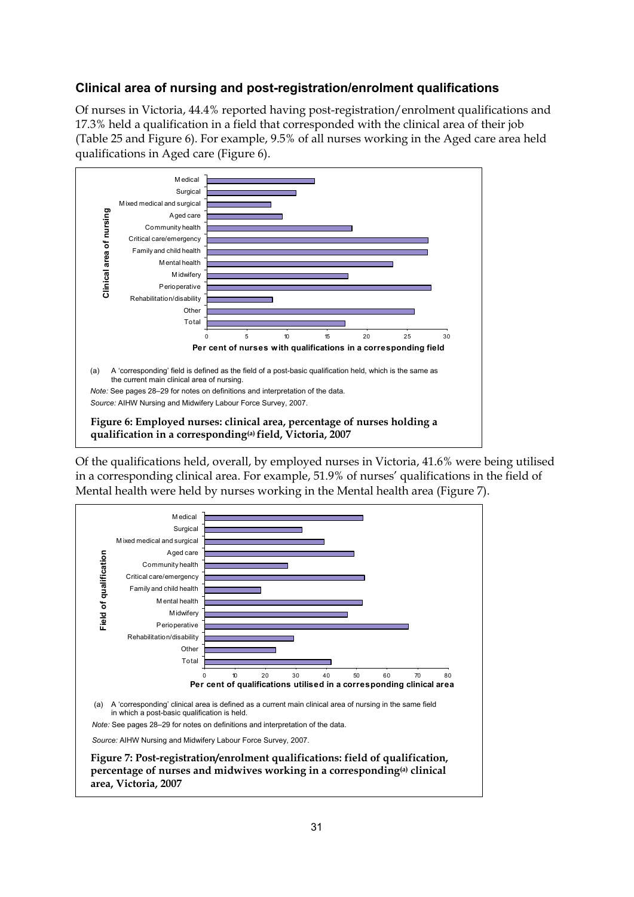## **Clinical area of nursing and post-registration/enrolment qualifications**

Of nurses in Victoria, 44.4% reported having post-registration/enrolment qualifications and 17.3% held a qualification in a field that corresponded with the clinical area of their job (Table 25 and Figure 6). For example, 9.5% of all nurses working in the Aged care area held qualifications in Aged care (Figure 6).



<span id="page-36-1"></span><span id="page-36-0"></span>Of the qualifications held, overall, by employed nurses in Victoria, 41.6% were being utilised in a corresponding clinical area. For example, 51.9% of nurses' qualifications in the field of Mental health were held by nurses working in the Mental health area (Figure 7).

<span id="page-36-2"></span>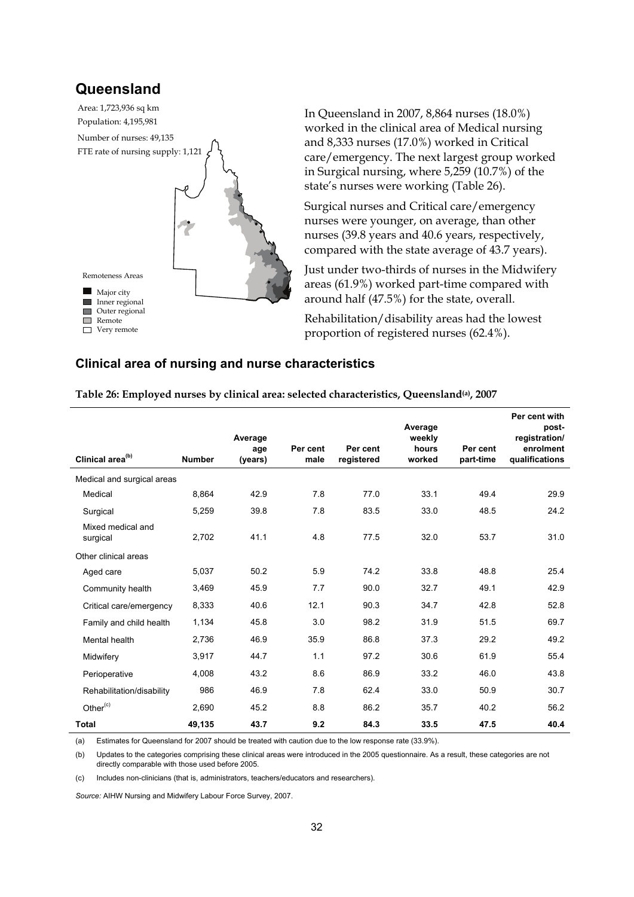## **Queensland**

FTE rate of nursing supply: 1,121 Population: 4,195,981 Area: 1,723,936 sq km Number of nurses: 49,135 **Major** city Inner regional Outer regional Remote □ Very remote Remoteness Areas

In Queensland in 2007, 8,864 nurses (18.0%) worked in the clinical area of Medical nursing and 8,333 nurses (17.0%) worked in Critical care/emergency. The next largest group worked in Surgical nursing, where 5,259 (10.7%) of the state's nurses were working (Table 26).

Surgical nurses and Critical care/emergency nurses were younger, on average, than other nurses (39.8 years and 40.6 years, respectively, compared with the state average of 43.7 years).

Just under two-thirds of nurses in the Midwifery areas (61.9%) worked part-time compared with around half (47.5%) for the state, overall.

Rehabilitation/disability areas had the lowest proportion of registered nurses (62.4%).

#### **Clinical area of nursing and nurse characteristics**

<span id="page-37-0"></span>**Table 26: Employed nurses by clinical area: selected characteristics, Queensland(a), 2007** 

| Clinical area <sup>(b)</sup>  | <b>Number</b> | Average<br>age<br>(years) | Per cent<br>male | Per cent<br>registered | Average<br>weekly<br>hours<br>worked | Per cent<br>part-time | Per cent with<br>post-<br>registration/<br>enrolment<br>qualifications |
|-------------------------------|---------------|---------------------------|------------------|------------------------|--------------------------------------|-----------------------|------------------------------------------------------------------------|
| Medical and surgical areas    |               |                           |                  |                        |                                      |                       |                                                                        |
| Medical                       | 8,864         | 42.9                      | 7.8              | 77.0                   | 33.1                                 | 49.4                  | 29.9                                                                   |
|                               |               |                           |                  |                        |                                      |                       |                                                                        |
| Surgical                      | 5,259         | 39.8                      | 7.8              | 83.5                   | 33.0                                 | 48.5                  | 24.2                                                                   |
| Mixed medical and<br>surgical | 2,702         | 41.1                      | 4.8              | 77.5                   | 32.0                                 | 53.7                  | 31.0                                                                   |
| Other clinical areas          |               |                           |                  |                        |                                      |                       |                                                                        |
| Aged care                     | 5,037         | 50.2                      | 5.9              | 74.2                   | 33.8                                 | 48.8                  | 25.4                                                                   |
| Community health              | 3,469         | 45.9                      | 7.7              | 90.0                   | 32.7                                 | 49.1                  | 42.9                                                                   |
| Critical care/emergency       | 8,333         | 40.6                      | 12.1             | 90.3                   | 34.7                                 | 42.8                  | 52.8                                                                   |
| Family and child health       | 1,134         | 45.8                      | 3.0              | 98.2                   | 31.9                                 | 51.5                  | 69.7                                                                   |
| Mental health                 | 2,736         | 46.9                      | 35.9             | 86.8                   | 37.3                                 | 29.2                  | 49.2                                                                   |
| Midwifery                     | 3,917         | 44.7                      | 1.1              | 97.2                   | 30.6                                 | 61.9                  | 55.4                                                                   |
| Perioperative                 | 4,008         | 43.2                      | 8.6              | 86.9                   | 33.2                                 | 46.0                  | 43.8                                                                   |
| Rehabilitation/disability     | 986           | 46.9                      | 7.8              | 62.4                   | 33.0                                 | 50.9                  | 30.7                                                                   |
| Other <sup>(c)</sup>          | 2,690         | 45.2                      | 8.8              | 86.2                   | 35.7                                 | 40.2                  | 56.2                                                                   |
| <b>Total</b>                  | 49,135        | 43.7                      | 9.2              | 84.3                   | 33.5                                 | 47.5                  | 40.4                                                                   |

(a) Estimates for Queensland for 2007 should be treated with caution due to the low response rate (33.9%).

(b) Updates to the categories comprising these clinical areas were introduced in the 2005 questionnaire. As a result, these categories are not directly comparable with those used before 2005.

(c) Includes non-clinicians (that is, administrators, teachers/educators and researchers).

*Source:* AIHW Nursing and Midwifery Labour Force Survey, 2007.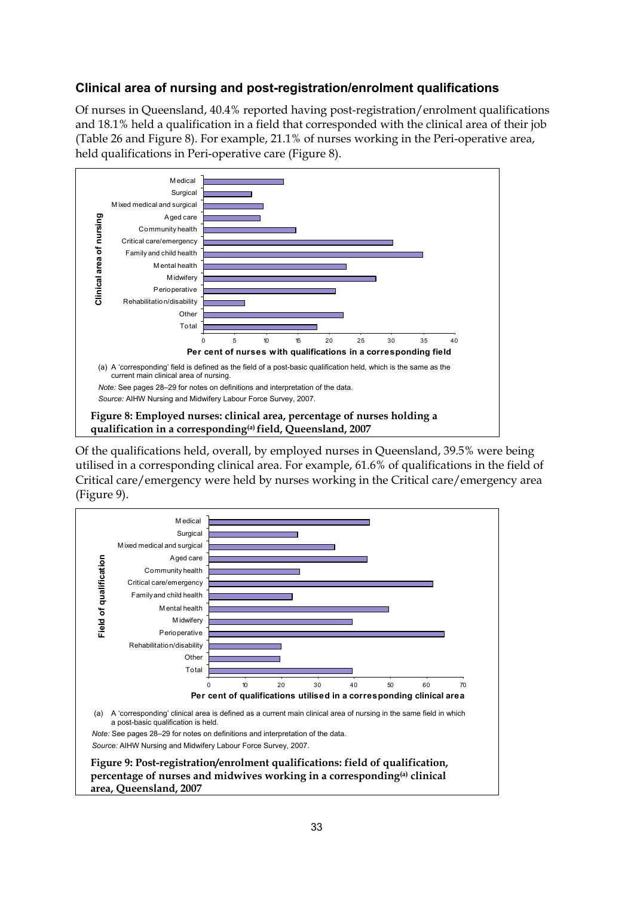### **Clinical area of nursing and post-registration/enrolment qualifications**

Of nurses in Queensland, 40.4% reported having post-registration/enrolment qualifications and 18.1% held a qualification in a field that corresponded with the clinical area of their job (Table 26 and Figure 8). For example, 21.1% of nurses working in the Peri-operative area, held qualifications in Peri-operative care (Figure 8).



<span id="page-38-1"></span><span id="page-38-0"></span>Of the qualifications held, overall, by employed nurses in Queensland, 39.5% were being utilised in a corresponding clinical area. For example, 61.6% of qualifications in the field of Critical care/emergency were held by nurses working in the Critical care/emergency area (Figure 9).

<span id="page-38-2"></span>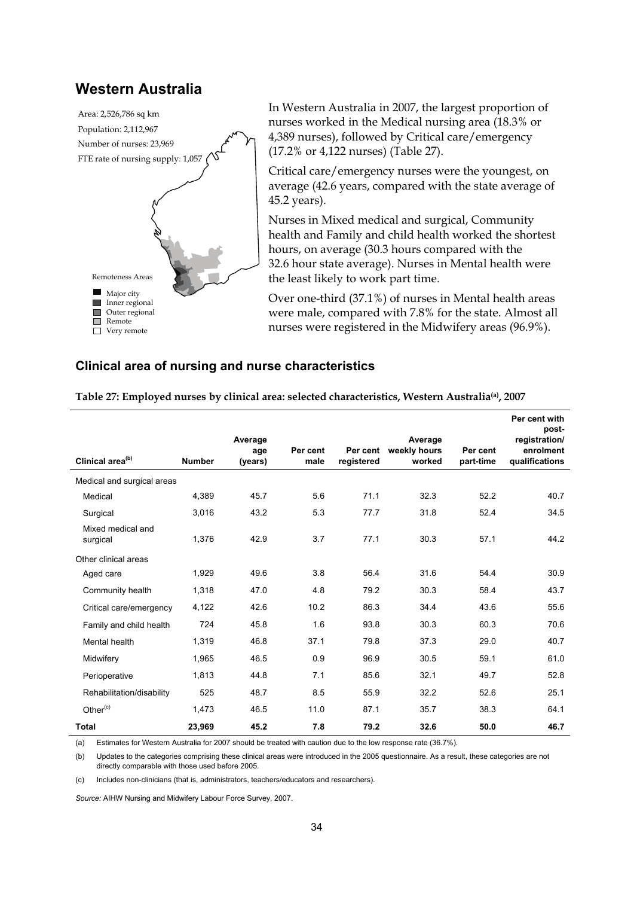### **Western Australia**



In Western Australia in 2007, the largest proportion of nurses worked in the Medical nursing area (18.3% or 4,389 nurses), followed by Critical care/emergency (17.2% or 4,122 nurses) (Table 27).

Critical care/emergency nurses were the youngest, on average (42.6 years, compared with the state average of 45.2 years).

Nurses in Mixed medical and surgical, Community health and Family and child health worked the shortest hours, on average (30.3 hours compared with the 32.6 hour state average). Nurses in Mental health were the least likely to work part time.

Over one-third (37.1%) of nurses in Mental health areas were male, compared with 7.8% for the state. Almost all nurses were registered in the Midwifery areas (96.9%).

#### **Clinical area of nursing and nurse characteristics**

|                               |               | Average<br>age | Per cent | Per cent   | Average<br>weekly hours | Per cent  | Per cent with<br>post-<br>registration/<br>enrolment |
|-------------------------------|---------------|----------------|----------|------------|-------------------------|-----------|------------------------------------------------------|
| Clinical area <sup>(b)</sup>  | <b>Number</b> | (years)        | male     | registered | worked                  | part-time | qualifications                                       |
| Medical and surgical areas    |               |                |          |            |                         |           |                                                      |
| Medical                       | 4,389         | 45.7           | 5.6      | 71.1       | 32.3                    | 52.2      | 40.7                                                 |
| Surgical                      | 3,016         | 43.2           | 5.3      | 77.7       | 31.8                    | 52.4      | 34.5                                                 |
| Mixed medical and<br>surgical | 1,376         | 42.9           | 3.7      | 77.1       | 30.3                    | 57.1      | 44.2                                                 |
| Other clinical areas          |               |                |          |            |                         |           |                                                      |
| Aged care                     | 1,929         | 49.6           | 3.8      | 56.4       | 31.6                    | 54.4      | 30.9                                                 |
| Community health              | 1,318         | 47.0           | 4.8      | 79.2       | 30.3                    | 58.4      | 43.7                                                 |
| Critical care/emergency       | 4,122         | 42.6           | 10.2     | 86.3       | 34.4                    | 43.6      | 55.6                                                 |
| Family and child health       | 724           | 45.8           | 1.6      | 93.8       | 30.3                    | 60.3      | 70.6                                                 |
| Mental health                 | 1,319         | 46.8           | 37.1     | 79.8       | 37.3                    | 29.0      | 40.7                                                 |
| Midwifery                     | 1,965         | 46.5           | 0.9      | 96.9       | 30.5                    | 59.1      | 61.0                                                 |
| Perioperative                 | 1,813         | 44.8           | 7.1      | 85.6       | 32.1                    | 49.7      | 52.8                                                 |
| Rehabilitation/disability     | 525           | 48.7           | 8.5      | 55.9       | 32.2                    | 52.6      | 25.1                                                 |
| Other $(c)$                   | 1.473         | 46.5           | 11.0     | 87.1       | 35.7                    | 38.3      | 64.1                                                 |
| <b>Total</b>                  | 23,969        | 45.2           | 7.8      | 79.2       | 32.6                    | 50.0      | 46.7                                                 |

<span id="page-39-0"></span>**Table 27: Employed nurses by clinical area: selected characteristics, Western Australia(a), 2007** 

(a) Estimates for Western Australia for 2007 should be treated with caution due to the low response rate (36.7%).

(b) Updates to the categories comprising these clinical areas were introduced in the 2005 questionnaire. As a result, these categories are not directly comparable with those used before 2005.

(c) Includes non-clinicians (that is, administrators, teachers/educators and researchers).

*Source:* AIHW Nursing and Midwifery Labour Force Survey, 2007.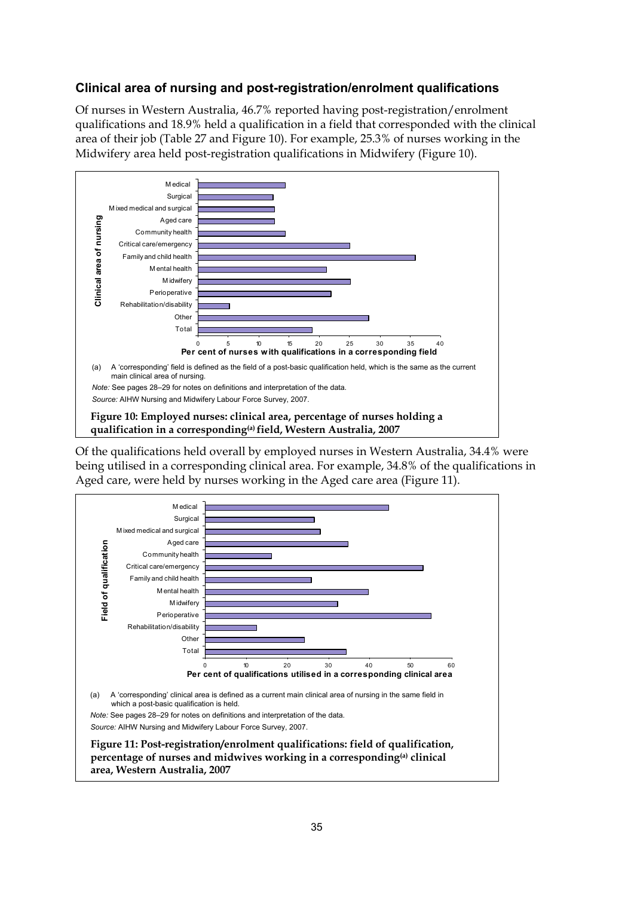### **Clinical area of nursing and post-registration/enrolment qualifications**

Of nurses in Western Australia, 46.7% reported having post-registration/enrolment qualifications and 18.9% held a qualification in a field that corresponded with the clinical area of their job (Table 27 and Figure 10). For example, 25.3% of nurses working in the Midwifery area held post-registration qualifications in Midwifery (Figure 10).



<span id="page-40-0"></span>Of the qualifications held overall by employed nurses in Western Australia, 34.4% were being utilised in a corresponding clinical area. For example, 34.8% of the qualifications in Aged care, were held by nurses working in the Aged care area (Figure 11).

<span id="page-40-1"></span>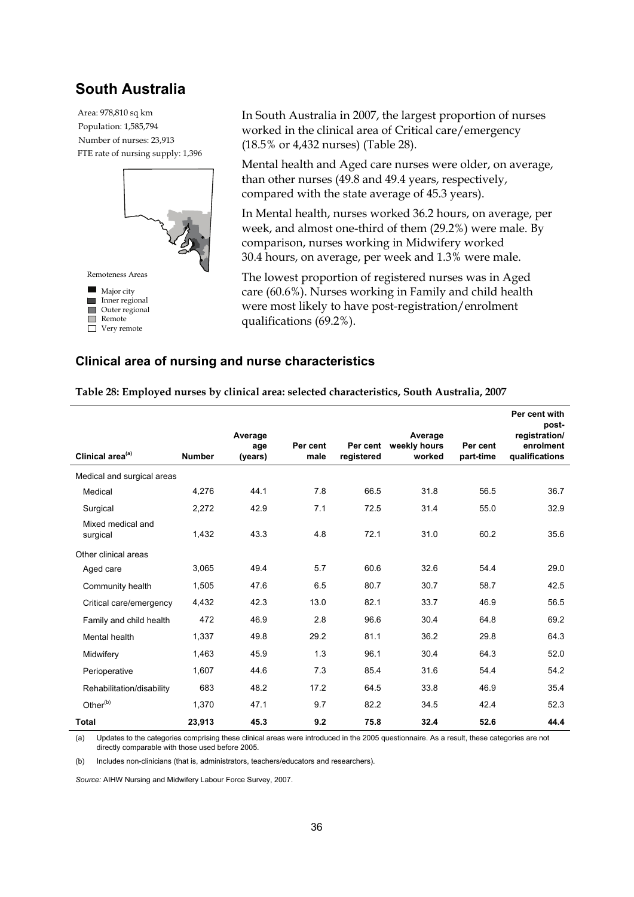## **South Australia**

FTE rate of nursing supply: 1,396 Population: 1,585,794 Area: 978,810 sq km Number of nurses: 23,913



In South Australia in 2007, the largest proportion of nurses worked in the clinical area of Critical care/emergency (18.5% or 4,432 nurses) (Table 28).

Mental health and Aged care nurses were older, on average, than other nurses (49.8 and 49.4 years, respectively, compared with the state average of 45.3 years).

In Mental health, nurses worked 36.2 hours, on average, per week, and almost one-third of them (29.2%) were male. By comparison, nurses working in Midwifery worked 30.4 hours, on average, per week and 1.3% were male.

The lowest proportion of registered nurses was in Aged care (60.6%). Nurses working in Family and child health were most likely to have post-registration/enrolment qualifications (69.2%).

#### **Clinical area of nursing and nurse characteristics**

| Clinical area <sup>(a)</sup>  | <b>Number</b> | Average<br>age<br>(years) | Per cent<br>male | Per cent<br>registered | Average<br>weekly hours<br>worked | Per cent<br>part-time | Per cent with<br>post-<br>registration/<br>enrolment<br>qualifications |
|-------------------------------|---------------|---------------------------|------------------|------------------------|-----------------------------------|-----------------------|------------------------------------------------------------------------|
| Medical and surgical areas    |               |                           |                  |                        |                                   |                       |                                                                        |
| Medical                       | 4,276         | 44.1                      | 7.8              | 66.5                   | 31.8                              | 56.5                  | 36.7                                                                   |
| Surgical                      | 2,272         | 42.9                      | 7.1              | 72.5                   | 31.4                              | 55.0                  | 32.9                                                                   |
| Mixed medical and<br>surgical | 1,432         | 43.3                      | 4.8              | 72.1                   | 31.0                              | 60.2                  | 35.6                                                                   |
| Other clinical areas          |               |                           |                  |                        |                                   |                       |                                                                        |
| Aged care                     | 3,065         | 49.4                      | 5.7              | 60.6                   | 32.6                              | 54.4                  | 29.0                                                                   |
| Community health              | 1,505         | 47.6                      | 6.5              | 80.7                   | 30.7                              | 58.7                  | 42.5                                                                   |
| Critical care/emergency       | 4,432         | 42.3                      | 13.0             | 82.1                   | 33.7                              | 46.9                  | 56.5                                                                   |
| Family and child health       | 472           | 46.9                      | 2.8              | 96.6                   | 30.4                              | 64.8                  | 69.2                                                                   |
| Mental health                 | 1,337         | 49.8                      | 29.2             | 81.1                   | 36.2                              | 29.8                  | 64.3                                                                   |
| Midwifery                     | 1,463         | 45.9                      | 1.3              | 96.1                   | 30.4                              | 64.3                  | 52.0                                                                   |
| Perioperative                 | 1,607         | 44.6                      | 7.3              | 85.4                   | 31.6                              | 54.4                  | 54.2                                                                   |
| Rehabilitation/disability     | 683           | 48.2                      | 17.2             | 64.5                   | 33.8                              | 46.9                  | 35.4                                                                   |
| Other <sup>(b)</sup>          | 1.370         | 47.1                      | 9.7              | 82.2                   | 34.5                              | 42.4                  | 52.3                                                                   |
| <b>Total</b>                  | 23,913        | 45.3                      | 9.2              | 75.8                   | 32.4                              | 52.6                  | 44.4                                                                   |

<span id="page-41-0"></span>**Table 28: Employed nurses by clinical area: selected characteristics, South Australia, 2007** 

(a) Updates to the categories comprising these clinical areas were introduced in the 2005 questionnaire. As a result, these categories are not directly comparable with those used before 2005.

(b) Includes non-clinicians (that is, administrators, teachers/educators and researchers).

*Source:* AIHW Nursing and Midwifery Labour Force Survey, 2007.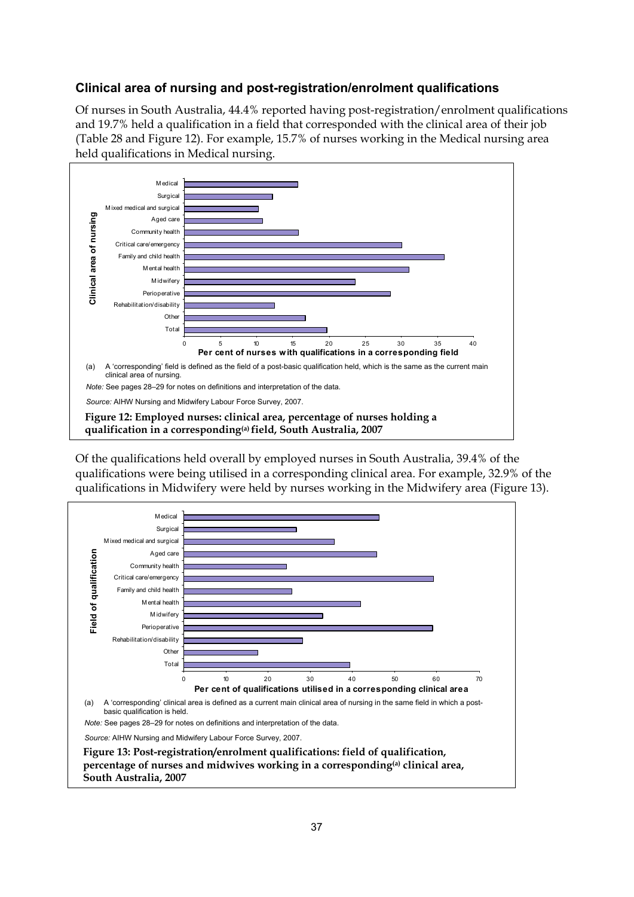### **Clinical area of nursing and post-registration/enrolment qualifications**

Of nurses in South Australia, 44.4% reported having post-registration/enrolment qualifications and 19.7% held a qualification in a field that corresponded with the clinical area of their job (Table 28 and Figure 12). For example, 15.7% of nurses working in the Medical nursing area held qualifications in Medical nursing.



<span id="page-42-1"></span><span id="page-42-0"></span>Of the qualifications held overall by employed nurses in South Australia, 39.4% of the qualifications were being utilised in a corresponding clinical area. For example, 32.9% of the qualifications in Midwifery were held by nurses working in the Midwifery area (Figure 13).

<span id="page-42-3"></span><span id="page-42-2"></span>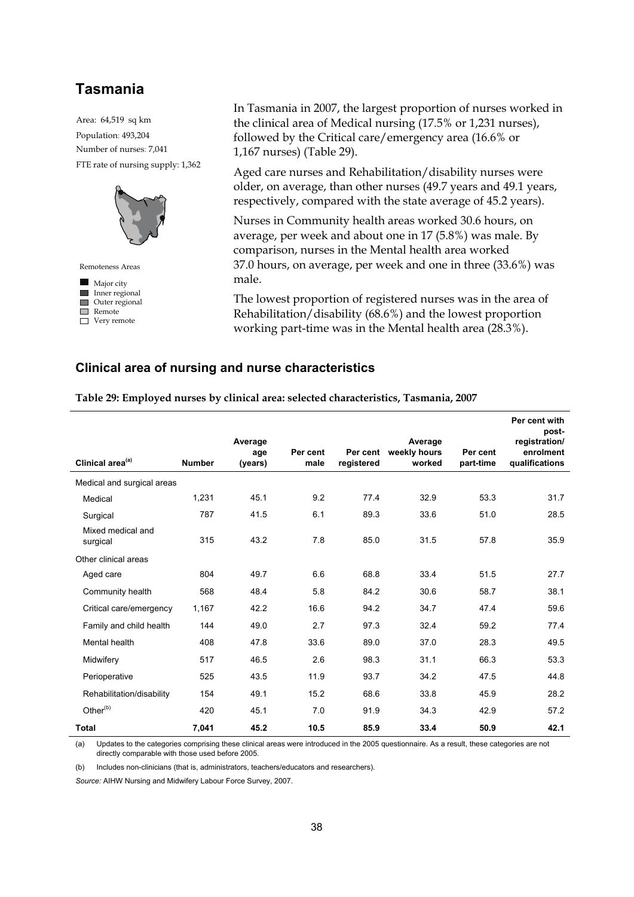## **Tasmania**

FTE rate of nursing supply: 1,362 Population: 493,204 Area: 64,519 sq km Number of nurses: 7,041



In Tasmania in 2007, the largest proportion of nurses worked in the clinical area of Medical nursing (17.5% or 1,231 nurses), followed by the Critical care/emergency area (16.6% or 1,167 nurses) (Table 29).

Aged care nurses and Rehabilitation/disability nurses were older, on average, than other nurses (49.7 years and 49.1 years, respectively, compared with the state average of 45.2 years).

Nurses in Community health areas worked 30.6 hours, on average, per week and about one in 17 (5.8%) was male. By comparison, nurses in the Mental health area worked 37.0 hours, on average, per week and one in three (33.6%) was male.

The lowest proportion of registered nurses was in the area of Rehabilitation/disability (68.6%) and the lowest proportion working part-time was in the Mental health area (28.3%).

#### **Clinical area of nursing and nurse characteristics**

<span id="page-43-0"></span>

| Table 29: Employed nurses by clinical area: selected characteristics, Tasmania, 2007 |               |                           |                  |                        |                                   |                       |                                                                        |  |  |  |
|--------------------------------------------------------------------------------------|---------------|---------------------------|------------------|------------------------|-----------------------------------|-----------------------|------------------------------------------------------------------------|--|--|--|
| Clinical area <sup>(a)</sup>                                                         | <b>Number</b> | Average<br>age<br>(years) | Per cent<br>male | Per cent<br>registered | Average<br>weekly hours<br>worked | Per cent<br>part-time | Per cent with<br>post-<br>registration/<br>enrolment<br>qualifications |  |  |  |
| Medical and surgical areas                                                           |               |                           |                  |                        |                                   |                       |                                                                        |  |  |  |
| Medical                                                                              | 1,231         | 45.1                      | 9.2              | 77.4                   | 32.9                              | 53.3                  | 31.7                                                                   |  |  |  |
| Surgical                                                                             | 787           | 41.5                      | 6.1              | 89.3                   | 33.6                              | 51.0                  | 28.5                                                                   |  |  |  |
| Mixed medical and<br>surgical                                                        | 315           | 43.2                      | 7.8              | 85.0                   | 31.5                              | 57.8                  | 35.9                                                                   |  |  |  |
| Other clinical areas                                                                 |               |                           |                  |                        |                                   |                       |                                                                        |  |  |  |
| Aged care                                                                            | 804           | 49.7                      | 6.6              | 68.8                   | 33.4                              | 51.5                  | 27.7                                                                   |  |  |  |
| Community health                                                                     | 568           | 48.4                      | 5.8              | 84.2                   | 30.6                              | 58.7                  | 38.1                                                                   |  |  |  |
| Critical care/emergency                                                              | 1,167         | 42.2                      | 16.6             | 94.2                   | 34.7                              | 47.4                  | 59.6                                                                   |  |  |  |
| Family and child health                                                              | 144           | 49.0                      | 2.7              | 97.3                   | 32.4                              | 59.2                  | 77.4                                                                   |  |  |  |
| Mental health                                                                        | 408           | 47.8                      | 33.6             | 89.0                   | 37.0                              | 28.3                  | 49.5                                                                   |  |  |  |
| Midwifery                                                                            | 517           | 46.5                      | 2.6              | 98.3                   | 31.1                              | 66.3                  | 53.3                                                                   |  |  |  |
| Perioperative                                                                        | 525           | 43.5                      | 11.9             | 93.7                   | 34.2                              | 47.5                  | 44.8                                                                   |  |  |  |

**Table 29: Employed nurses by clinical area: selected characteristics, Tasmania, 2007** 

(a) Updates to the categories comprising these clinical areas were introduced in the 2005 questionnaire. As a result, these categories are not directly comparable with those used before 2005.

Rehabilitation/disability 154 49.1 15.2 68.6 33.8 45.9 28.2 Other<sup>(b)</sup> 420 45.1 7.0 91.9 34.3 42.9 57.2 **Total 7,041 45.2 10.5 85.9 33.4 50.9 42.1** 

(b) Includes non-clinicians (that is, administrators, teachers/educators and researchers).

*Source:* AIHW Nursing and Midwifery Labour Force Survey, 2007.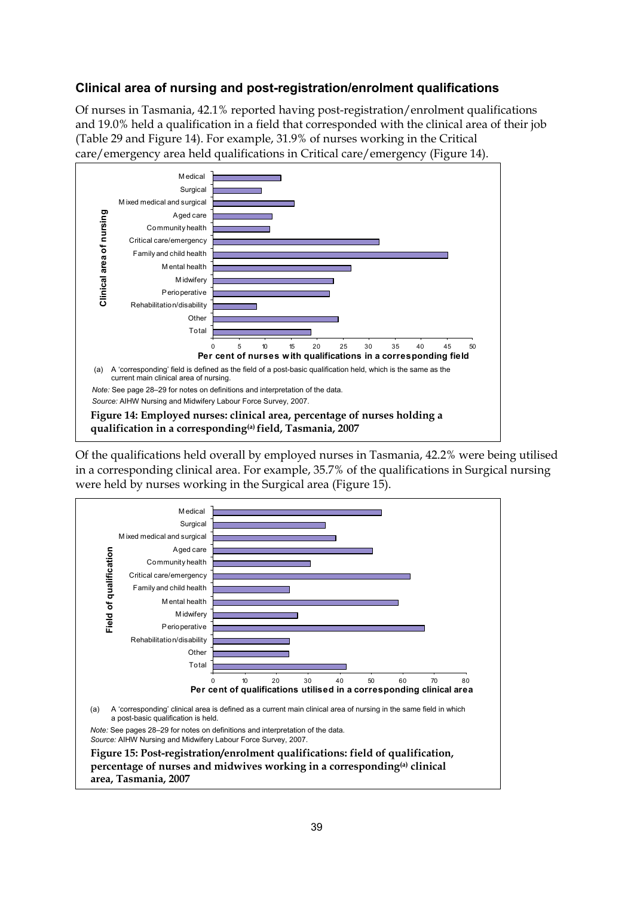### **Clinical area of nursing and post-registration/enrolment qualifications**

Of nurses in Tasmania, 42.1% reported having post-registration/enrolment qualifications and 19.0% held a qualification in a field that corresponded with the clinical area of their job (Table 29 and Figure 14). For example, 31.9% of nurses working in the Critical care/emergency area held qualifications in Critical care/emergency (Figure 14).



<span id="page-44-1"></span><span id="page-44-0"></span>Of the qualifications held overall by employed nurses in Tasmania, 42.2% were being utilised in a corresponding clinical area. For example, 35.7% of the qualifications in Surgical nursing were held by nurses working in the Surgical area (Figure 15).

<span id="page-44-3"></span><span id="page-44-2"></span>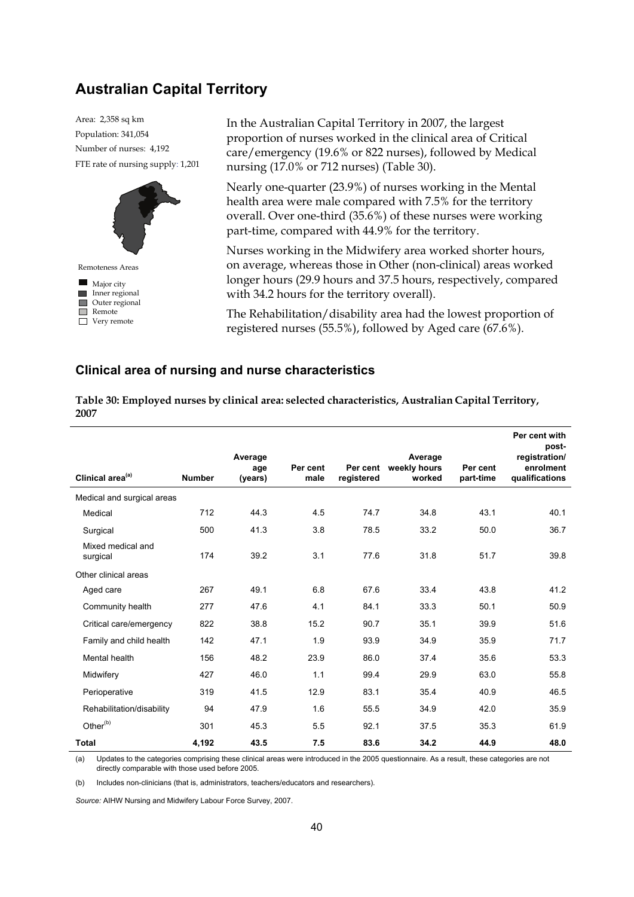## **Australian Capital Territory**

FTE rate of nursing supply: 1,201 Population: 341,054 Area: 2,358 sq km Number of nurses: 4,192



In the Australian Capital Territory in 2007, the largest proportion of nurses worked in the clinical area of Critical care/emergency (19.6% or 822 nurses), followed by Medical nursing (17.0% or 712 nurses) (Table 30).

Nearly one-quarter (23.9%) of nurses working in the Mental health area were male compared with 7.5% for the territory overall. Over one-third (35.6%) of these nurses were working part-time, compared with 44.9% for the territory.

Nurses working in the Midwifery area worked shorter hours, on average, whereas those in Other (non-clinical) areas worked longer hours (29.9 hours and 37.5 hours, respectively, compared with 34.2 hours for the territory overall).

The Rehabilitation/disability area had the lowest proportion of registered nurses (55.5%), followed by Aged care (67.6%).

#### **Clinical area of nursing and nurse characteristics**

<span id="page-45-0"></span>**Table 30: Employed nurses by clinical area: selected characteristics, Australian Capital Territory, 2007** 

|                               |               | Average<br>age | Per cent | Per cent   | Average<br>weekly hours | Per cent  | Per cent with<br>post-<br>registration/<br>enrolment |
|-------------------------------|---------------|----------------|----------|------------|-------------------------|-----------|------------------------------------------------------|
| Clinical area <sup>(a)</sup>  | <b>Number</b> | (years)        | male     | registered | worked                  | part-time | qualifications                                       |
| Medical and surgical areas    |               |                |          |            |                         |           |                                                      |
| Medical                       | 712           | 44.3           | 4.5      | 74.7       | 34.8                    | 43.1      | 40.1                                                 |
| Surgical                      | 500           | 41.3           | 3.8      | 78.5       | 33.2                    | 50.0      | 36.7                                                 |
| Mixed medical and<br>surgical | 174           | 39.2           | 3.1      | 77.6       | 31.8                    | 51.7      | 39.8                                                 |
| Other clinical areas          |               |                |          |            |                         |           |                                                      |
| Aged care                     | 267           | 49.1           | 6.8      | 67.6       | 33.4                    | 43.8      | 41.2                                                 |
| Community health              | 277           | 47.6           | 4.1      | 84.1       | 33.3                    | 50.1      | 50.9                                                 |
| Critical care/emergency       | 822           | 38.8           | 15.2     | 90.7       | 35.1                    | 39.9      | 51.6                                                 |
| Family and child health       | 142           | 47.1           | 1.9      | 93.9       | 34.9                    | 35.9      | 71.7                                                 |
| Mental health                 | 156           | 48.2           | 23.9     | 86.0       | 37.4                    | 35.6      | 53.3                                                 |
| Midwifery                     | 427           | 46.0           | 1.1      | 99.4       | 29.9                    | 63.0      | 55.8                                                 |
| Perioperative                 | 319           | 41.5           | 12.9     | 83.1       | 35.4                    | 40.9      | 46.5                                                 |
| Rehabilitation/disability     | 94            | 47.9           | 1.6      | 55.5       | 34.9                    | 42.0      | 35.9                                                 |
| Other <sup>(b)</sup>          | 301           | 45.3           | 5.5      | 92.1       | 37.5                    | 35.3      | 61.9                                                 |
| Total                         | 4,192         | 43.5           | 7.5      | 83.6       | 34.2                    | 44.9      | 48.0                                                 |

(a) Updates to the categories comprising these clinical areas were introduced in the 2005 questionnaire. As a result, these categories are not directly comparable with those used before 2005.

(b) Includes non-clinicians (that is, administrators, teachers/educators and researchers).

*Source:* AIHW Nursing and Midwifery Labour Force Survey, 2007.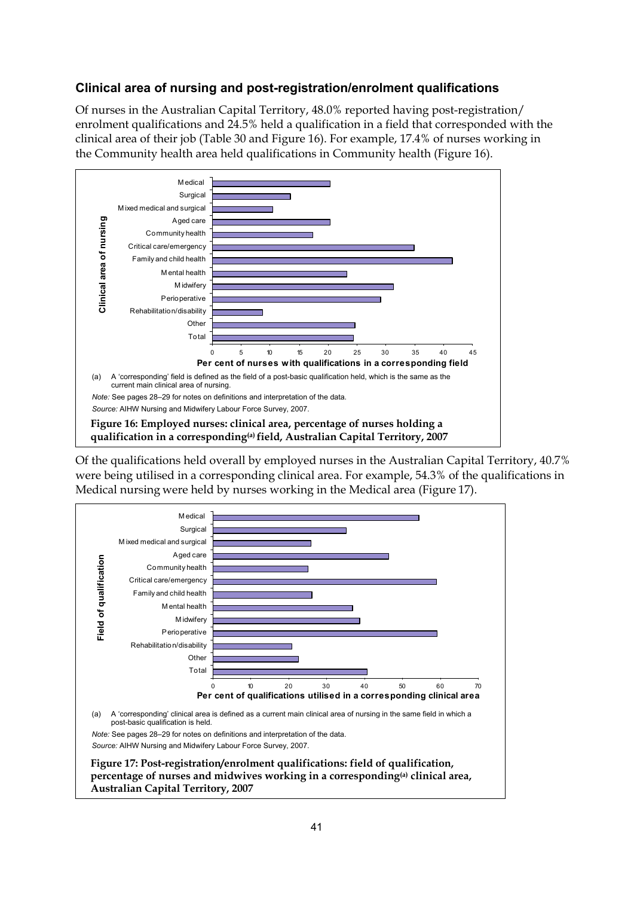### **Clinical area of nursing and post-registration/enrolment qualifications**

Of nurses in the Australian Capital Territory, 48.0% reported having post-registration/ enrolment qualifications and 24.5% held a qualification in a field that corresponded with the clinical area of their job (Table 30 and Figure 16). For example, 17.4% of nurses working in the Community health area held qualifications in Community health (Figure 16).



<span id="page-46-1"></span><span id="page-46-0"></span>Of the qualifications held overall by employed nurses in the Australian Capital Territory, 40.7% were being utilised in a corresponding clinical area. For example, 54.3% of the qualifications in Medical nursing were held by nurses working in the Medical area (Figure 17).

<span id="page-46-2"></span>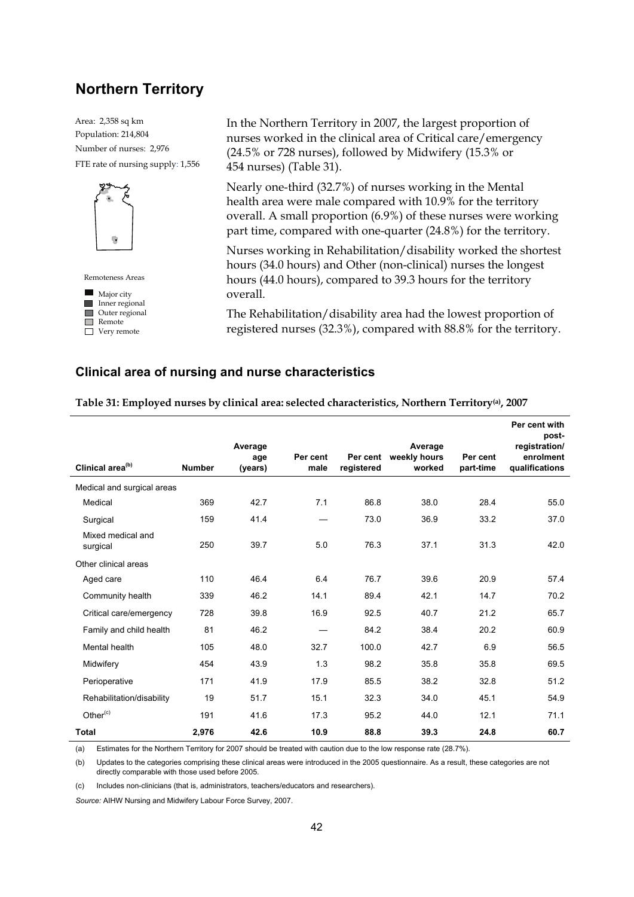## **Northern Territory**

FTE rate of nursing supply: 1,556 Population: 214,804 Area: 2,358 sq km Number of nurses: 2,976



 $\blacksquare$  Major city Remoteness Areas

**Inner regional Outer regional** Remote Very remote

In the Northern Territory in 2007, the largest proportion of nurses worked in the clinical area of Critical care/emergency (24.5% or 728 nurses), followed by Midwifery (15.3% or 454 nurses) (Table 31).

Nearly one-third (32.7%) of nurses working in the Mental health area were male compared with 10.9% for the territory overall. A small proportion (6.9%) of these nurses were working part time, compared with one-quarter (24.8%) for the territory.

Nurses working in Rehabilitation/disability worked the shortest hours (34.0 hours) and Other (non-clinical) nurses the longest hours (44.0 hours), compared to 39.3 hours for the territory overall.

The Rehabilitation/disability area had the lowest proportion of registered nurses (32.3%), compared with 88.8% for the territory.

#### **Clinical area of nursing and nurse characteristics**

<span id="page-47-0"></span>

| Clinical area <sup>(b)</sup>  | <b>Number</b> | Average<br>age<br>(years) | Per cent<br>male | Per cent<br>registered | Average<br>weekly hours<br>worked | Per cent<br>part-time | Per cent with<br>post-<br>registration/<br>enrolment<br>qualifications |
|-------------------------------|---------------|---------------------------|------------------|------------------------|-----------------------------------|-----------------------|------------------------------------------------------------------------|
|                               |               |                           |                  |                        |                                   |                       |                                                                        |
| Medical and surgical areas    |               |                           |                  |                        |                                   |                       |                                                                        |
| Medical                       | 369           | 42.7                      | 7.1              | 86.8                   | 38.0                              | 28.4                  | 55.0                                                                   |
| Surgical                      | 159           | 41.4                      |                  | 73.0                   | 36.9                              | 33.2                  | 37.0                                                                   |
| Mixed medical and<br>surgical | 250           | 39.7                      | 5.0              | 76.3                   | 37.1                              | 31.3                  | 42.0                                                                   |
| Other clinical areas          |               |                           |                  |                        |                                   |                       |                                                                        |
| Aged care                     | 110           | 46.4                      | 6.4              | 76.7                   | 39.6                              | 20.9                  | 57.4                                                                   |
| Community health              | 339           | 46.2                      | 14.1             | 89.4                   | 42.1                              | 14.7                  | 70.2                                                                   |
| Critical care/emergency       | 728           | 39.8                      | 16.9             | 92.5                   | 40.7                              | 21.2                  | 65.7                                                                   |
| Family and child health       | 81            | 46.2                      |                  | 84.2                   | 38.4                              | 20.2                  | 60.9                                                                   |
| Mental health                 | 105           | 48.0                      | 32.7             | 100.0                  | 42.7                              | 6.9                   | 56.5                                                                   |
| Midwifery                     | 454           | 43.9                      | 1.3              | 98.2                   | 35.8                              | 35.8                  | 69.5                                                                   |
| Perioperative                 | 171           | 41.9                      | 17.9             | 85.5                   | 38.2                              | 32.8                  | 51.2                                                                   |
| Rehabilitation/disability     | 19            | 51.7                      | 15.1             | 32.3                   | 34.0                              | 45.1                  | 54.9                                                                   |
| Other $(c)$                   | 191           | 41.6                      | 17.3             | 95.2                   | 44.0                              | 12.1                  | 71.1                                                                   |
| Total                         | 2,976         | 42.6                      | 10.9             | 88.8                   | 39.3                              | 24.8                  | 60.7                                                                   |

**Table 31: Employed nurses by clinical area: selected characteristics, Northern Territory(a), 2007** 

(a) Estimates for the Northern Territory for 2007 should be treated with caution due to the low response rate (28.7%).

(b) Updates to the categories comprising these clinical areas were introduced in the 2005 questionnaire. As a result, these categories are not directly comparable with those used before 2005.

(c) Includes non-clinicians (that is, administrators, teachers/educators and researchers).

*Source:* AIHW Nursing and Midwifery Labour Force Survey, 2007.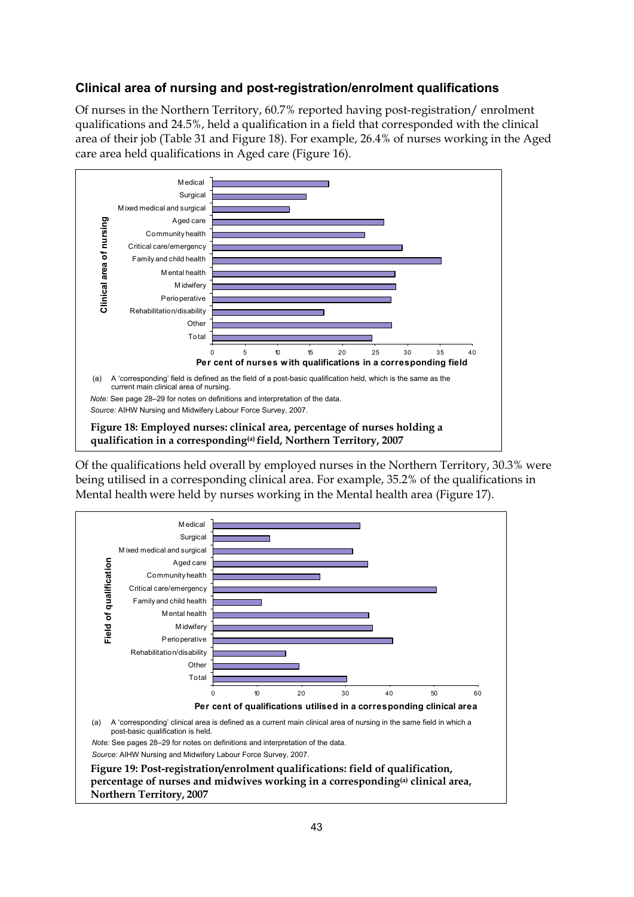### **Clinical area of nursing and post-registration/enrolment qualifications**

Of nurses in the Northern Territory, 60.7% reported having post-registration/ enrolment qualifications and 24.5%, held a qualification in a field that corresponded with the clinical area of their job (Table 31 and Figure 18). For example, 26.4% of nurses working in the Aged care area held qualifications in Aged care (Figure 16).



<span id="page-48-0"></span>Of the qualifications held overall by employed nurses in the Northern Territory, 30.3% were being utilised in a corresponding clinical area. For example, 35.2% of the qualifications in Mental health were held by nurses working in the Mental health area (Figure 17).

<span id="page-48-1"></span>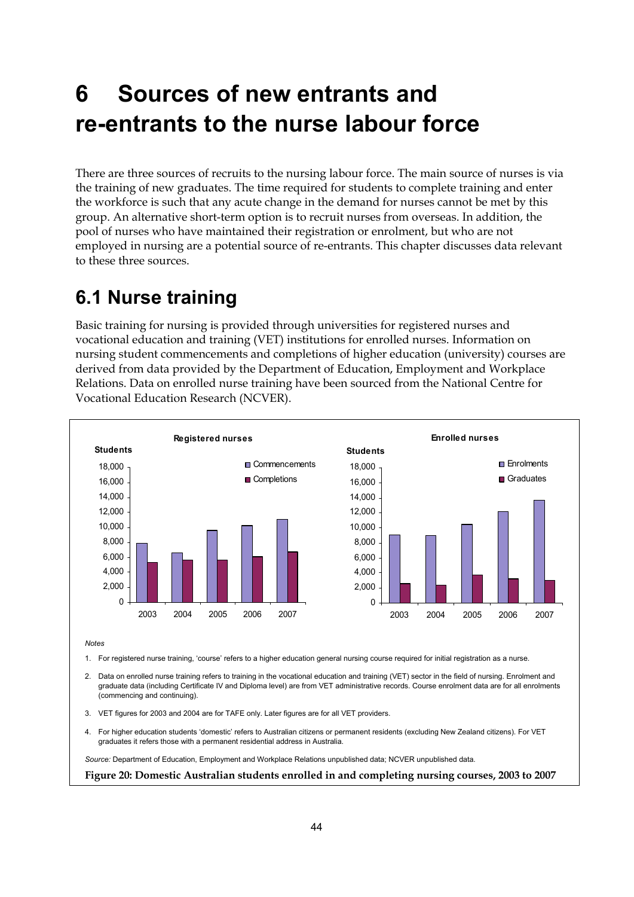# <span id="page-49-0"></span>**6 Sources of new entrants and re-entrants to the nurse labour force**

There are three sources of recruits to the nursing labour force. The main source of nurses is via the training of new graduates. The time required for students to complete training and enter the workforce is such that any acute change in the demand for nurses cannot be met by this group. An alternative short-term option is to recruit nurses from overseas. In addition, the pool of nurses who have maintained their registration or enrolment, but who are not employed in nursing are a potential source of re-entrants. This chapter discusses data relevant to these three sources.

# <span id="page-49-1"></span>**6.1 Nurse training**

Basic training for nursing is provided through universities for registered nurses and vocational education and training (VET) institutions for enrolled nurses. Information on nursing student commencements and completions of higher education (university) courses are derived from data provided by the Department of Education, Employment and Workplace Relations. Data on enrolled nurse training have been sourced from the National Centre for Vocational Education Research (NCVER).



1. For registered nurse training, 'course' refers to a higher education general nursing course required for initial registration as a nurse.

- 2. Data on enrolled nurse training refers to training in the vocational education and training (VET) sector in the field of nursing. Enrolment and graduate data (including Certificate IV and Diploma level) are from VET administrative records. Course enrolment data are for all enrolments (commencing and continuing).
- 3. VET figures for 2003 and 2004 are for TAFE only. Later figures are for all VET providers.
- 4. For higher education students 'domestic' refers to Australian citizens or permanent residents (excluding New Zealand citizens). For VET graduates it refers those with a permanent residential address in Australia.

*Source:* Department of Education, Employment and Workplace Relations unpublished data; NCVER unpublished data.

<span id="page-49-3"></span><span id="page-49-2"></span>**Figure 20: Domestic Australian students enrolled in and completing nursing courses, 2003 to 2007**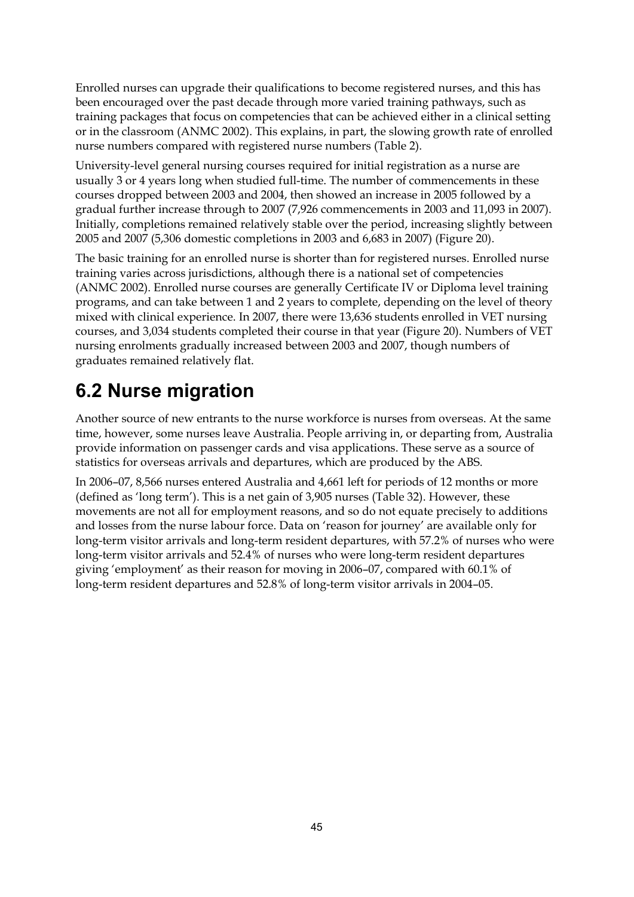Enrolled nurses can upgrade their qualifications to become registered nurses, and this has been encouraged over the past decade through more varied training pathways, such as training packages that focus on competencies that can be achieved either in a clinical setting or in the classroom (ANMC 2002). This explains, in part, the slowing growth rate of enrolled nurse numbers compared with registered nurse numbers (Table 2).

University-level general nursing courses required for initial registration as a nurse are usually 3 or 4 years long when studied full-time. The number of commencements in these courses dropped between 2003 and 2004, then showed an increase in 2005 followed by a gradual further increase through to 2007 (7,926 commencements in 2003 and 11,093 in 2007). Initially, completions remained relatively stable over the period, increasing slightly between 2005 and 2007 (5,306 domestic completions in 2003 and 6,683 in 2007) (Figure 20).

The basic training for an enrolled nurse is shorter than for registered nurses. Enrolled nurse training varies across jurisdictions, although there is a national set of competencies (ANMC 2002). Enrolled nurse courses are generally Certificate IV or Diploma level training programs, and can take between 1 and 2 years to complete, depending on the level of theory mixed with clinical experience. In 2007, there were 13,636 students enrolled in VET nursing courses, and 3,034 students completed their course in that year (Figure 20). Numbers of VET nursing enrolments gradually increased between 2003 and 2007, though numbers of graduates remained relatively flat.

# <span id="page-50-0"></span>**6.2 Nurse migration**

Another source of new entrants to the nurse workforce is nurses from overseas. At the same time, however, some nurses leave Australia. People arriving in, or departing from, Australia provide information on passenger cards and visa applications. These serve as a source of statistics for overseas arrivals and departures, which are produced by the ABS.

In 2006–07, 8,566 nurses entered Australia and 4,661 left for periods of 12 months or more (defined as 'long term'). This is a net gain of 3,905 nurses (Table 32). However, these movements are not all for employment reasons, and so do not equate precisely to additions and losses from the nurse labour force. Data on 'reason for journey' are available only for long-term visitor arrivals and long-term resident departures, with 57.2% of nurses who were long-term visitor arrivals and 52.4% of nurses who were long-term resident departures giving 'employment' as their reason for moving in 2006–07, compared with 60.1% of long-term resident departures and 52.8% of long-term visitor arrivals in 2004–05.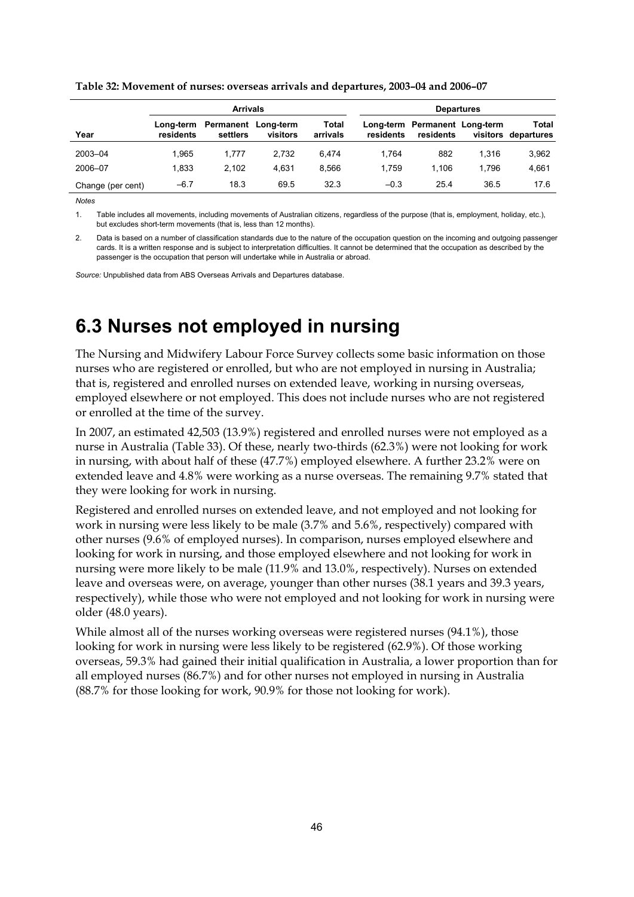|                   | <b>Arrivals</b> |                                           |          |                   | <b>Departures</b> |                                            |       |                                     |  |
|-------------------|-----------------|-------------------------------------------|----------|-------------------|-------------------|--------------------------------------------|-------|-------------------------------------|--|
| Year              | residents       | Long-term Permanent Long-term<br>settlers | visitors | Total<br>arrivals | residents         | Long-term Permanent Long-term<br>residents |       | <b>Total</b><br>visitors departures |  |
| 2003-04           | 1.965           | 1.777                                     | 2.732    | 6.474             | 1.764             | 882                                        | 1.316 | 3,962                               |  |
| 2006-07           | 1.833           | 2.102                                     | 4.631    | 8.566             | 1.759             | 1.106                                      | 1.796 | 4,661                               |  |
| Change (per cent) | $-6.7$          | 18.3                                      | 69.5     | 32.3              | $-0.3$            | 25.4                                       | 36.5  | 17.6                                |  |

<span id="page-51-1"></span>**Table 32: Movement of nurses: overseas arrivals and departures, 2003–04 and 2006–07** 

*Notes* 

1. Table includes all movements, including movements of Australian citizens, regardless of the purpose (that is, employment, holiday, etc.), but excludes short-term movements (that is, less than 12 months).

2. Data is based on a number of classification standards due to the nature of the occupation question on the incoming and outgoing passenger cards. It is a written response and is subject to interpretation difficulties. It cannot be determined that the occupation as described by the passenger is the occupation that person will undertake while in Australia or abroad.

*Source:* Unpublished data from ABS Overseas Arrivals and Departures database.

# <span id="page-51-0"></span>**6.3 Nurses not employed in nursing**

The Nursing and Midwifery Labour Force Survey collects some basic information on those nurses who are registered or enrolled, but who are not employed in nursing in Australia; that is, registered and enrolled nurses on extended leave, working in nursing overseas, employed elsewhere or not employed. This does not include nurses who are not registered or enrolled at the time of the survey.

In 2007, an estimated 42,503 (13.9%) registered and enrolled nurses were not employed as a nurse in Australia (Table 33). Of these, nearly two-thirds (62.3%) were not looking for work in nursing, with about half of these (47.7%) employed elsewhere. A further 23.2% were on extended leave and 4.8% were working as a nurse overseas. The remaining 9.7% stated that they were looking for work in nursing.

Registered and enrolled nurses on extended leave, and not employed and not looking for work in nursing were less likely to be male (3.7% and 5.6%, respectively) compared with other nurses (9.6% of employed nurses). In comparison, nurses employed elsewhere and looking for work in nursing, and those employed elsewhere and not looking for work in nursing were more likely to be male (11.9% and 13.0%, respectively). Nurses on extended leave and overseas were, on average, younger than other nurses (38.1 years and 39.3 years, respectively), while those who were not employed and not looking for work in nursing were older (48.0 years).

While almost all of the nurses working overseas were registered nurses (94.1%), those looking for work in nursing were less likely to be registered (62.9%). Of those working overseas, 59.3% had gained their initial qualification in Australia, a lower proportion than for all employed nurses (86.7%) and for other nurses not employed in nursing in Australia (88.7% for those looking for work, 90.9% for those not looking for work).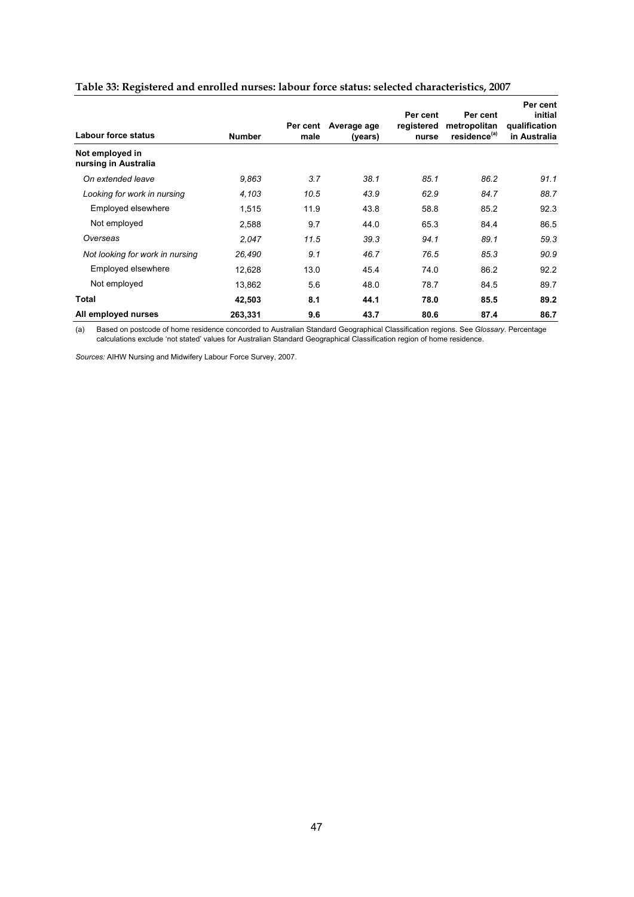| Labour force status                     | <b>Number</b> | Per cent<br>male | Average age<br>(years) | Per cent<br>registered<br>nurse | Per cent<br>metropolitan<br>residence <sup>(a)</sup> | Per cent<br>initial<br>qualification<br>in Australia |
|-----------------------------------------|---------------|------------------|------------------------|---------------------------------|------------------------------------------------------|------------------------------------------------------|
| Not employed in<br>nursing in Australia |               |                  |                        |                                 |                                                      |                                                      |
| On extended leave                       | 9,863         | 3.7              | 38.1                   | 85.1                            | 86.2                                                 | 91.1                                                 |
| Looking for work in nursing             | 4,103         | 10.5             | 43.9                   | 62.9                            | 84.7                                                 | 88.7                                                 |
| Employed elsewhere                      | 1,515         | 11.9             | 43.8                   | 58.8                            | 85.2                                                 | 92.3                                                 |
| Not employed                            | 2,588         | 9.7              | 44.0                   | 65.3                            | 84.4                                                 | 86.5                                                 |
| Overseas                                | 2,047         | 11.5             | 39.3                   | 94.1                            | 89.1                                                 | 59.3                                                 |
| Not looking for work in nursing         | 26,490        | 9.1              | 46.7                   | 76.5                            | 85.3                                                 | 90.9                                                 |
| Employed elsewhere                      | 12,628        | 13.0             | 45.4                   | 74.0                            | 86.2                                                 | 92.2                                                 |
| Not employed                            | 13,862        | 5.6              | 48.0                   | 78.7                            | 84.5                                                 | 89.7                                                 |
| Total                                   | 42,503        | 8.1              | 44.1                   | 78.0                            | 85.5                                                 | 89.2                                                 |
| All employed nurses                     | 263,331       | 9.6              | 43.7                   | 80.6                            | 87.4                                                 | 86.7                                                 |

### <span id="page-52-0"></span>**Table 33: Registered and enrolled nurses: labour force status: selected characteristics, 2007**

(a) Based on postcode of home residence concorded to Australian Standard Geographical Classification regions. See *Glossary*. Percentage calculations exclude 'not stated' values for Australian Standard Geographical Classification region of home residence.

*Sources:* AIHW Nursing and Midwifery Labour Force Survey, 2007.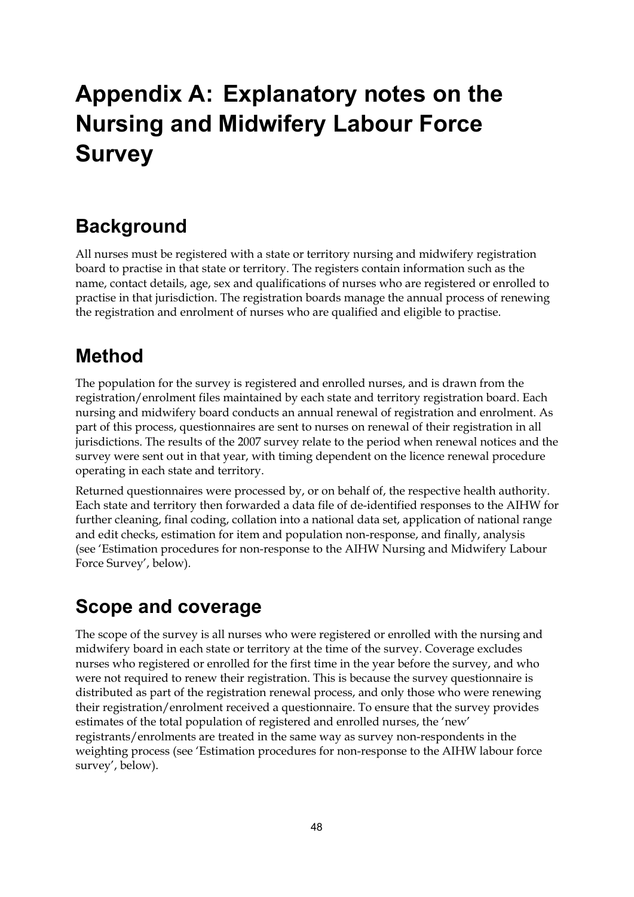# <span id="page-53-0"></span>**Appendix A: Explanatory notes on the Nursing and Midwifery Labour Force Survey**

# **Background**

All nurses must be registered with a state or territory nursing and midwifery registration board to practise in that state or territory. The registers contain information such as the name, contact details, age, sex and qualifications of nurses who are registered or enrolled to practise in that jurisdiction. The registration boards manage the annual process of renewing the registration and enrolment of nurses who are qualified and eligible to practise.

# **Method**

The population for the survey is registered and enrolled nurses, and is drawn from the registration/enrolment files maintained by each state and territory registration board. Each nursing and midwifery board conducts an annual renewal of registration and enrolment. As part of this process, questionnaires are sent to nurses on renewal of their registration in all jurisdictions. The results of the 2007 survey relate to the period when renewal notices and the survey were sent out in that year, with timing dependent on the licence renewal procedure operating in each state and territory.

Returned questionnaires were processed by, or on behalf of, the respective health authority. Each state and territory then forwarded a data file of de-identified responses to the AIHW for further cleaning, final coding, collation into a national data set, application of national range and edit checks, estimation for item and population non-response, and finally, analysis (see 'Estimation procedures for non-response to the AIHW Nursing and Midwifery Labour Force Survey', below).

# **Scope and coverage**

The scope of the survey is all nurses who were registered or enrolled with the nursing and midwifery board in each state or territory at the time of the survey. Coverage excludes nurses who registered or enrolled for the first time in the year before the survey, and who were not required to renew their registration. This is because the survey questionnaire is distributed as part of the registration renewal process, and only those who were renewing their registration/enrolment received a questionnaire. To ensure that the survey provides estimates of the total population of registered and enrolled nurses, the 'new' registrants/enrolments are treated in the same way as survey non-respondents in the weighting process (see 'Estimation procedures for non-response to the AIHW labour force survey', below).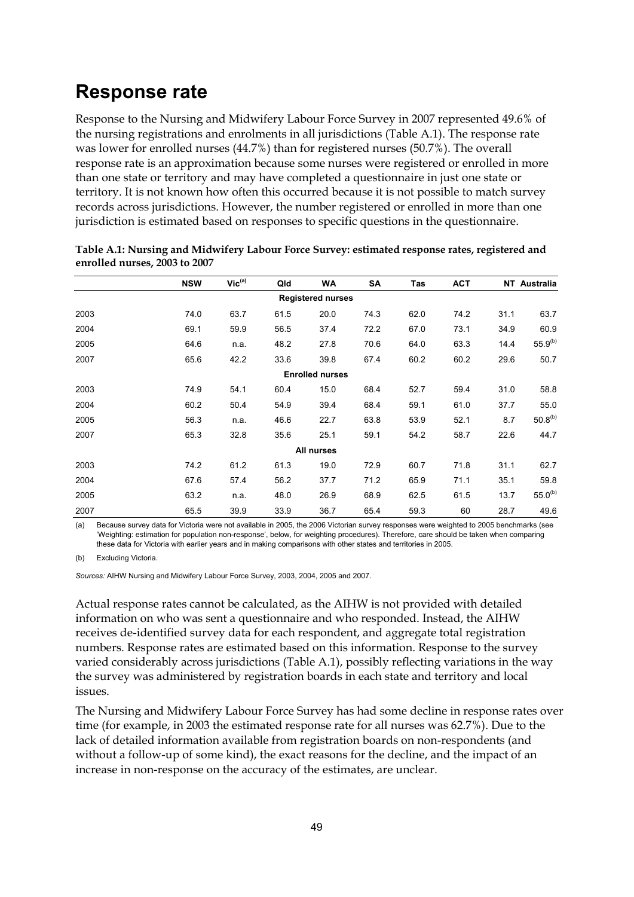# **Response rate**

Response to the Nursing and Midwifery Labour Force Survey in 2007 represented 49.6% of the nursing registrations and enrolments in all jurisdictions (Table A.1). The response rate was lower for enrolled nurses (44.7%) than for registered nurses (50.7%). The overall response rate is an approximation because some nurses were registered or enrolled in more than one state or territory and may have completed a questionnaire in just one state or territory. It is not known how often this occurred because it is not possible to match survey records across jurisdictions. However, the number registered or enrolled in more than one jurisdiction is estimated based on responses to specific questions in the questionnaire.

|      | <b>NSW</b> | $\mathsf{Vic}^\mathsf{(a)}$ | Qld  | <b>WA</b>                | SA   | Tas  | <b>ACT</b> |      | NT Australia |
|------|------------|-----------------------------|------|--------------------------|------|------|------------|------|--------------|
|      |            |                             |      | <b>Registered nurses</b> |      |      |            |      |              |
| 2003 | 74.0       | 63.7                        | 61.5 | 20.0                     | 74.3 | 62.0 | 74.2       | 31.1 | 63.7         |
| 2004 | 69.1       | 59.9                        | 56.5 | 37.4                     | 72.2 | 67.0 | 73.1       | 34.9 | 60.9         |
| 2005 | 64.6       | n.a.                        | 48.2 | 27.8                     | 70.6 | 64.0 | 63.3       | 14.4 | $55.9^{(b)}$ |
| 2007 | 65.6       | 42.2                        | 33.6 | 39.8                     | 67.4 | 60.2 | 60.2       | 29.6 | 50.7         |
|      |            |                             |      | <b>Enrolled nurses</b>   |      |      |            |      |              |
| 2003 | 74.9       | 54.1                        | 60.4 | 15.0                     | 68.4 | 52.7 | 59.4       | 31.0 | 58.8         |
| 2004 | 60.2       | 50.4                        | 54.9 | 39.4                     | 68.4 | 59.1 | 61.0       | 37.7 | 55.0         |
| 2005 | 56.3       | n.a.                        | 46.6 | 22.7                     | 63.8 | 53.9 | 52.1       | 8.7  | $50.8^{(b)}$ |
| 2007 | 65.3       | 32.8                        | 35.6 | 25.1                     | 59.1 | 54.2 | 58.7       | 22.6 | 44.7         |
|      |            |                             |      | All nurses               |      |      |            |      |              |
| 2003 | 74.2       | 61.2                        | 61.3 | 19.0                     | 72.9 | 60.7 | 71.8       | 31.1 | 62.7         |
| 2004 | 67.6       | 57.4                        | 56.2 | 37.7                     | 71.2 | 65.9 | 71.1       | 35.1 | 59.8         |
| 2005 | 63.2       | n.a.                        | 48.0 | 26.9                     | 68.9 | 62.5 | 61.5       | 13.7 | $55.0^{(b)}$ |
| 2007 | 65.5       | 39.9                        | 33.9 | 36.7                     | 65.4 | 59.3 | 60         | 28.7 | 49.6         |

**Table A.1: Nursing and Midwifery Labour Force Survey: estimated response rates, registered and enrolled nurses, 2003 to 2007** 

(a) Because survey data for Victoria were not available in 2005, the 2006 Victorian survey responses were weighted to 2005 benchmarks (see 'Weighting: estimation for population non-response', below, for weighting procedures). Therefore, care should be taken when comparing these data for Victoria with earlier years and in making comparisons with other states and territories in 2005.

(b) Excluding Victoria.

*Sources:* AIHW Nursing and Midwifery Labour Force Survey, 2003, 2004, 2005 and 2007.

Actual response rates cannot be calculated, as the AIHW is not provided with detailed information on who was sent a questionnaire and who responded. Instead, the AIHW receives de-identified survey data for each respondent, and aggregate total registration numbers. Response rates are estimated based on this information. Response to the survey varied considerably across jurisdictions (Table A.1), possibly reflecting variations in the way the survey was administered by registration boards in each state and territory and local issues.

The Nursing and Midwifery Labour Force Survey has had some decline in response rates over time (for example, in 2003 the estimated response rate for all nurses was 62.7%). Due to the lack of detailed information available from registration boards on non-respondents (and without a follow-up of some kind), the exact reasons for the decline, and the impact of an increase in non-response on the accuracy of the estimates, are unclear.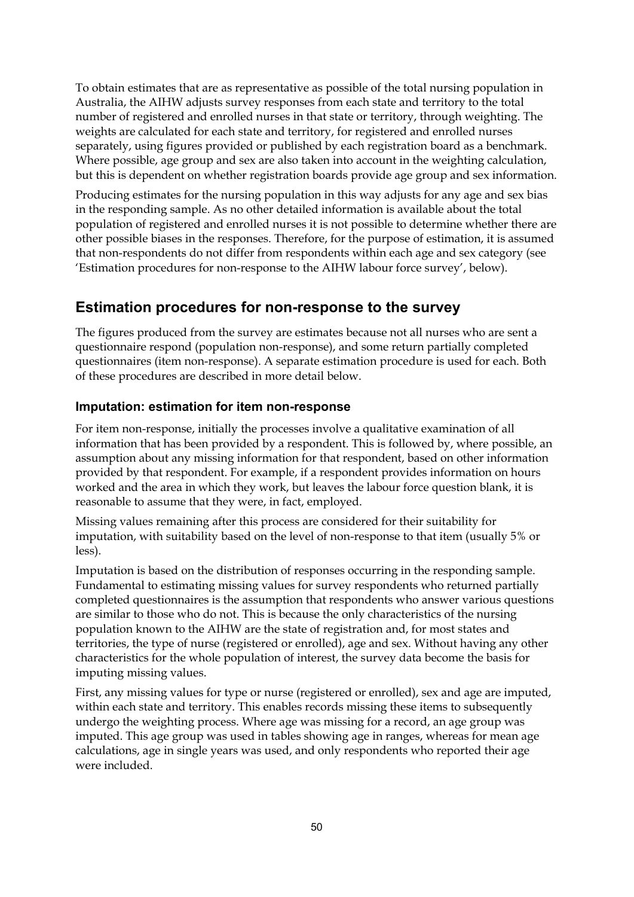To obtain estimates that are as representative as possible of the total nursing population in Australia, the AIHW adjusts survey responses from each state and territory to the total number of registered and enrolled nurses in that state or territory, through weighting. The weights are calculated for each state and territory, for registered and enrolled nurses separately, using figures provided or published by each registration board as a benchmark. Where possible, age group and sex are also taken into account in the weighting calculation, but this is dependent on whether registration boards provide age group and sex information.

Producing estimates for the nursing population in this way adjusts for any age and sex bias in the responding sample. As no other detailed information is available about the total population of registered and enrolled nurses it is not possible to determine whether there are other possible biases in the responses. Therefore, for the purpose of estimation, it is assumed that non-respondents do not differ from respondents within each age and sex category (see 'Estimation procedures for non-response to the AIHW labour force survey', below).

## **Estimation procedures for non-response to the survey**

The figures produced from the survey are estimates because not all nurses who are sent a questionnaire respond (population non-response), and some return partially completed questionnaires (item non-response). A separate estimation procedure is used for each. Both of these procedures are described in more detail below.

#### **Imputation: estimation for item non-response**

For item non-response, initially the processes involve a qualitative examination of all information that has been provided by a respondent. This is followed by, where possible, an assumption about any missing information for that respondent, based on other information provided by that respondent. For example, if a respondent provides information on hours worked and the area in which they work, but leaves the labour force question blank, it is reasonable to assume that they were, in fact, employed.

Missing values remaining after this process are considered for their suitability for imputation, with suitability based on the level of non-response to that item (usually 5% or less).

Imputation is based on the distribution of responses occurring in the responding sample. Fundamental to estimating missing values for survey respondents who returned partially completed questionnaires is the assumption that respondents who answer various questions are similar to those who do not. This is because the only characteristics of the nursing population known to the AIHW are the state of registration and, for most states and territories, the type of nurse (registered or enrolled), age and sex. Without having any other characteristics for the whole population of interest, the survey data become the basis for imputing missing values.

First, any missing values for type or nurse (registered or enrolled), sex and age are imputed, within each state and territory. This enables records missing these items to subsequently undergo the weighting process. Where age was missing for a record, an age group was imputed. This age group was used in tables showing age in ranges, whereas for mean age calculations, age in single years was used, and only respondents who reported their age were included.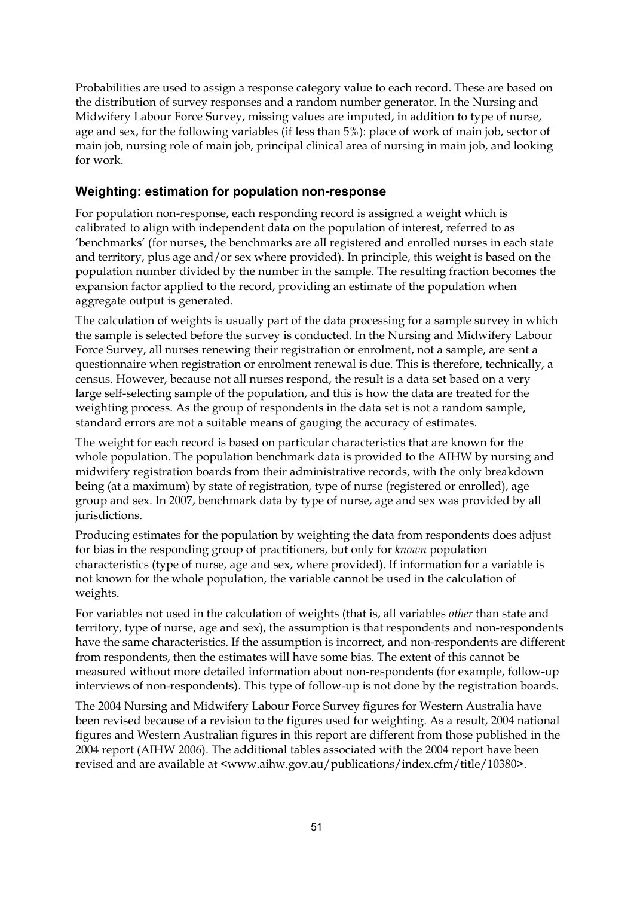Probabilities are used to assign a response category value to each record. These are based on the distribution of survey responses and a random number generator. In the Nursing and Midwifery Labour Force Survey, missing values are imputed, in addition to type of nurse, age and sex, for the following variables (if less than 5%): place of work of main job, sector of main job, nursing role of main job, principal clinical area of nursing in main job, and looking for work.

### **Weighting: estimation for population non-response**

For population non-response, each responding record is assigned a weight which is calibrated to align with independent data on the population of interest, referred to as 'benchmarks' (for nurses, the benchmarks are all registered and enrolled nurses in each state and territory, plus age and/or sex where provided). In principle, this weight is based on the population number divided by the number in the sample. The resulting fraction becomes the expansion factor applied to the record, providing an estimate of the population when aggregate output is generated.

The calculation of weights is usually part of the data processing for a sample survey in which the sample is selected before the survey is conducted. In the Nursing and Midwifery Labour Force Survey, all nurses renewing their registration or enrolment, not a sample, are sent a questionnaire when registration or enrolment renewal is due. This is therefore, technically, a census. However, because not all nurses respond, the result is a data set based on a very large self-selecting sample of the population, and this is how the data are treated for the weighting process. As the group of respondents in the data set is not a random sample, standard errors are not a suitable means of gauging the accuracy of estimates.

The weight for each record is based on particular characteristics that are known for the whole population. The population benchmark data is provided to the AIHW by nursing and midwifery registration boards from their administrative records, with the only breakdown being (at a maximum) by state of registration, type of nurse (registered or enrolled), age group and sex. In 2007, benchmark data by type of nurse, age and sex was provided by all jurisdictions.

Producing estimates for the population by weighting the data from respondents does adjust for bias in the responding group of practitioners, but only for *known* population characteristics (type of nurse, age and sex, where provided). If information for a variable is not known for the whole population, the variable cannot be used in the calculation of weights.

For variables not used in the calculation of weights (that is, all variables *other* than state and territory, type of nurse, age and sex), the assumption is that respondents and non-respondents have the same characteristics. If the assumption is incorrect, and non-respondents are different from respondents, then the estimates will have some bias. The extent of this cannot be measured without more detailed information about non-respondents (for example, follow-up interviews of non-respondents). This type of follow-up is not done by the registration boards.

The 2004 Nursing and Midwifery Labour Force Survey figures for Western Australia have been revised because of a revision to the figures used for weighting. As a result, 2004 national figures and Western Australian figures in this report are different from those published in the 2004 report (AIHW 2006). The additional tables associated with the 2004 report have been revised and are available at <www.aihw.gov.au/publications/index.cfm/title/10380>.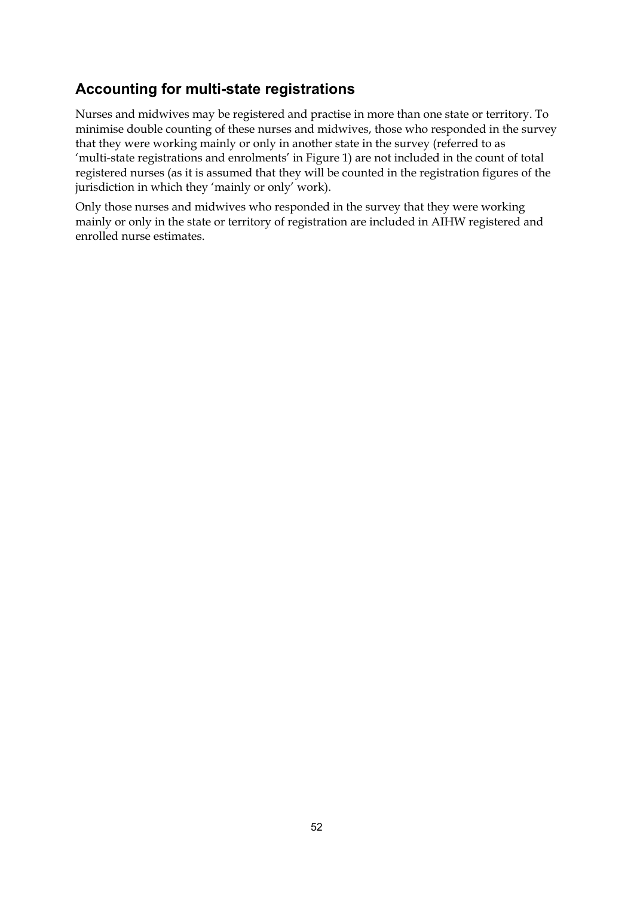# **Accounting for multi-state registrations**

Nurses and midwives may be registered and practise in more than one state or territory. To minimise double counting of these nurses and midwives, those who responded in the survey that they were working mainly or only in another state in the survey (referred to as 'multi-state registrations and enrolments' in Figure 1) are not included in the count of total registered nurses (as it is assumed that they will be counted in the registration figures of the jurisdiction in which they 'mainly or only' work).

Only those nurses and midwives who responded in the survey that they were working mainly or only in the state or territory of registration are included in AIHW registered and enrolled nurse estimates.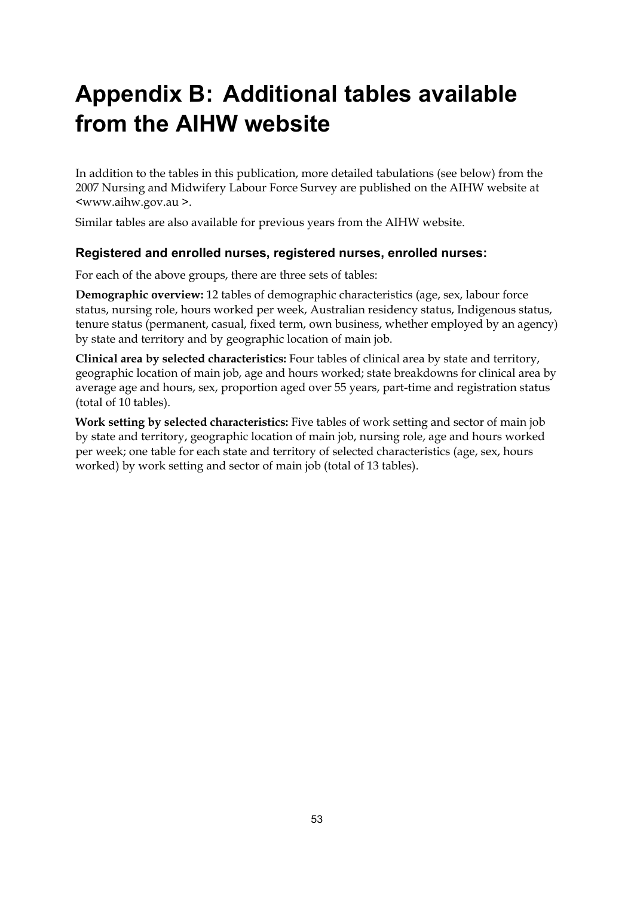# <span id="page-58-0"></span>**Appendix B: Additional tables available from the AIHW website**

In addition to the tables in this publication, more detailed tabulations (see below) from the 2007 Nursing and Midwifery Labour Force Survey are published on the AIHW website at <www.aihw.gov.au >.

Similar tables are also available for previous years from the AIHW website.

### **Registered and enrolled nurses, registered nurses, enrolled nurses:**

For each of the above groups, there are three sets of tables:

**Demographic overview:** 12 tables of demographic characteristics (age, sex, labour force status, nursing role, hours worked per week, Australian residency status, Indigenous status, tenure status (permanent, casual, fixed term, own business, whether employed by an agency) by state and territory and by geographic location of main job.

**Clinical area by selected characteristics:** Four tables of clinical area by state and territory, geographic location of main job, age and hours worked; state breakdowns for clinical area by average age and hours, sex, proportion aged over 55 years, part-time and registration status (total of 10 tables).

**Work setting by selected characteristics:** Five tables of work setting and sector of main job by state and territory, geographic location of main job, nursing role, age and hours worked per week; one table for each state and territory of selected characteristics (age, sex, hours worked) by work setting and sector of main job (total of 13 tables).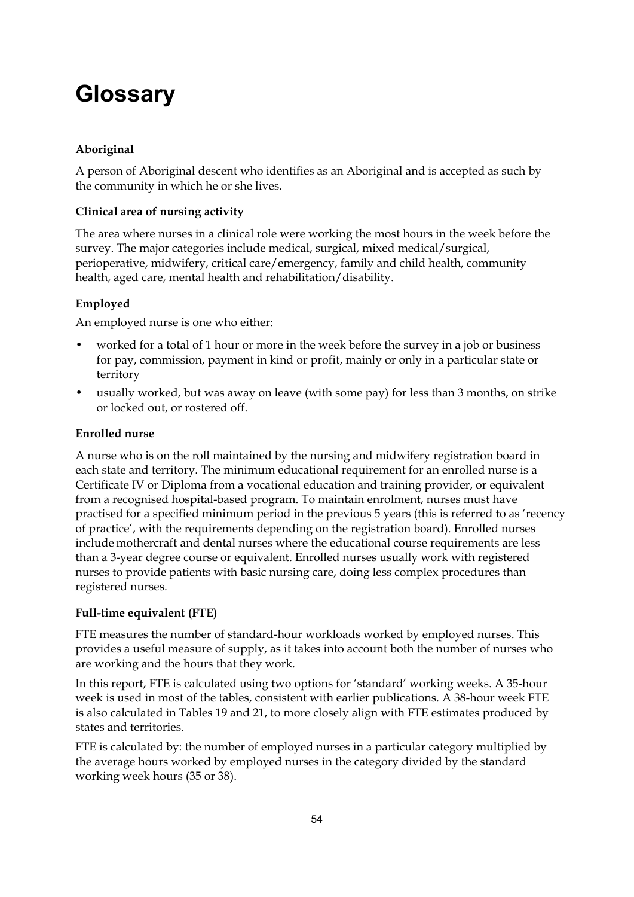# <span id="page-59-0"></span>**Glossary**

### **Aboriginal**

A person of Aboriginal descent who identifies as an Aboriginal and is accepted as such by the community in which he or she lives.

### **Clinical area of nursing activity**

The area where nurses in a clinical role were working the most hours in the week before the survey. The major categories include medical, surgical, mixed medical/surgical, perioperative, midwifery, critical care/emergency, family and child health, community health, aged care, mental health and rehabilitation/disability.

### **Employed**

An employed nurse is one who either:

- worked for a total of 1 hour or more in the week before the survey in a job or business for pay, commission, payment in kind or profit, mainly or only in a particular state or territory
- usually worked, but was away on leave (with some pay) for less than 3 months, on strike or locked out, or rostered off.

### **Enrolled nurse**

A nurse who is on the roll maintained by the nursing and midwifery registration board in each state and territory. The minimum educational requirement for an enrolled nurse is a Certificate IV or Diploma from a vocational education and training provider, or equivalent from a recognised hospital-based program. To maintain enrolment, nurses must have practised for a specified minimum period in the previous 5 years (this is referred to as 'recency of practice', with the requirements depending on the registration board). Enrolled nurses include mothercraft and dental nurses where the educational course requirements are less than a 3-year degree course or equivalent. Enrolled nurses usually work with registered nurses to provide patients with basic nursing care, doing less complex procedures than registered nurses.

#### **Full-time equivalent (FTE)**

FTE measures the number of standard-hour workloads worked by employed nurses. This provides a useful measure of supply, as it takes into account both the number of nurses who are working and the hours that they work.

In this report, FTE is calculated using two options for 'standard' working weeks. A 35-hour week is used in most of the tables, consistent with earlier publications. A 38-hour week FTE is also calculated in Tables 19 and 21, to more closely align with FTE estimates produced by states and territories.

FTE is calculated by: the number of employed nurses in a particular category multiplied by the average hours worked by employed nurses in the category divided by the standard working week hours (35 or 38).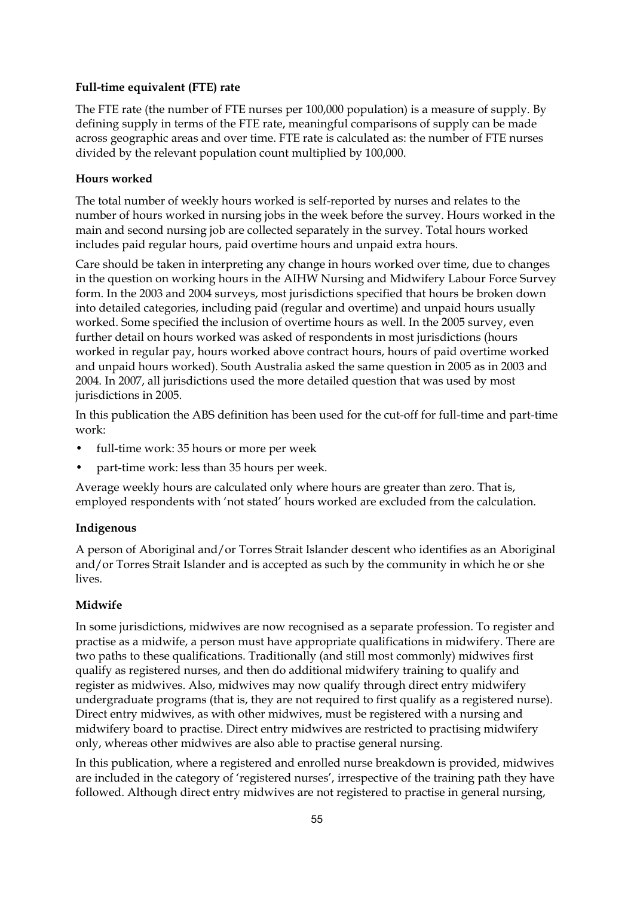#### **Full-time equivalent (FTE) rate**

The FTE rate (the number of FTE nurses per 100,000 population) is a measure of supply. By defining supply in terms of the FTE rate, meaningful comparisons of supply can be made across geographic areas and over time. FTE rate is calculated as: the number of FTE nurses divided by the relevant population count multiplied by 100,000.

#### **Hours worked**

The total number of weekly hours worked is self-reported by nurses and relates to the number of hours worked in nursing jobs in the week before the survey. Hours worked in the main and second nursing job are collected separately in the survey. Total hours worked includes paid regular hours, paid overtime hours and unpaid extra hours.

Care should be taken in interpreting any change in hours worked over time, due to changes in the question on working hours in the AIHW Nursing and Midwifery Labour Force Survey form. In the 2003 and 2004 surveys, most jurisdictions specified that hours be broken down into detailed categories, including paid (regular and overtime) and unpaid hours usually worked. Some specified the inclusion of overtime hours as well. In the 2005 survey, even further detail on hours worked was asked of respondents in most jurisdictions (hours worked in regular pay, hours worked above contract hours, hours of paid overtime worked and unpaid hours worked). South Australia asked the same question in 2005 as in 2003 and 2004. In 2007, all jurisdictions used the more detailed question that was used by most jurisdictions in 2005.

In this publication the ABS definition has been used for the cut-off for full-time and part-time work:

- full-time work: 35 hours or more per week
- part-time work: less than 35 hours per week.

Average weekly hours are calculated only where hours are greater than zero. That is, employed respondents with 'not stated' hours worked are excluded from the calculation.

#### **Indigenous**

A person of Aboriginal and/or Torres Strait Islander descent who identifies as an Aboriginal and/or Torres Strait Islander and is accepted as such by the community in which he or she lives.

#### **Midwife**

In some jurisdictions, midwives are now recognised as a separate profession. To register and practise as a midwife, a person must have appropriate qualifications in midwifery. There are two paths to these qualifications. Traditionally (and still most commonly) midwives first qualify as registered nurses, and then do additional midwifery training to qualify and register as midwives. Also, midwives may now qualify through direct entry midwifery undergraduate programs (that is, they are not required to first qualify as a registered nurse). Direct entry midwives, as with other midwives, must be registered with a nursing and midwifery board to practise. Direct entry midwives are restricted to practising midwifery only, whereas other midwives are also able to practise general nursing.

In this publication, where a registered and enrolled nurse breakdown is provided, midwives are included in the category of 'registered nurses', irrespective of the training path they have followed. Although direct entry midwives are not registered to practise in general nursing,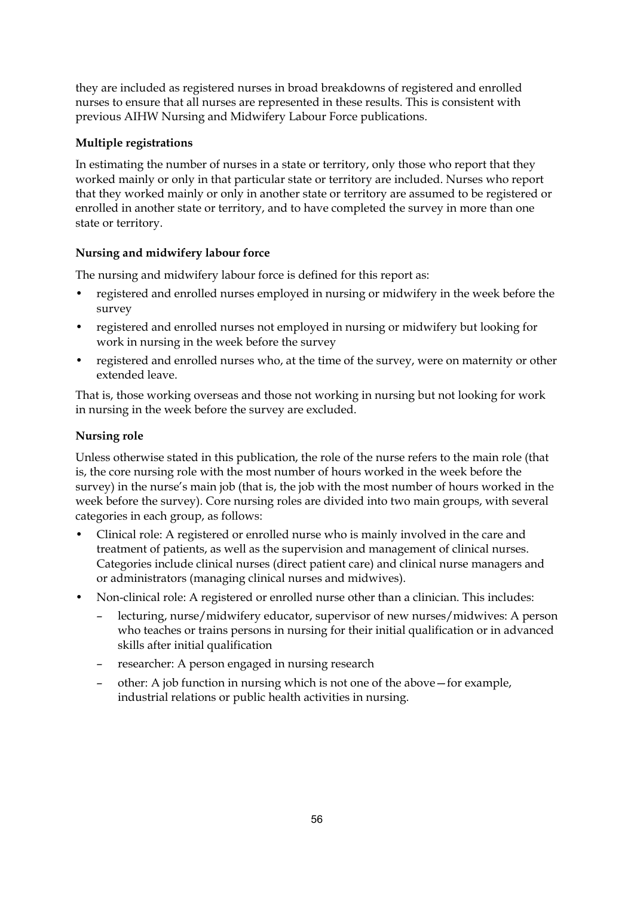they are included as registered nurses in broad breakdowns of registered and enrolled nurses to ensure that all nurses are represented in these results. This is consistent with previous AIHW Nursing and Midwifery Labour Force publications.

### **Multiple registrations**

In estimating the number of nurses in a state or territory, only those who report that they worked mainly or only in that particular state or territory are included. Nurses who report that they worked mainly or only in another state or territory are assumed to be registered or enrolled in another state or territory, and to have completed the survey in more than one state or territory.

### **Nursing and midwifery labour force**

The nursing and midwifery labour force is defined for this report as:

- registered and enrolled nurses employed in nursing or midwifery in the week before the survey
- registered and enrolled nurses not employed in nursing or midwifery but looking for work in nursing in the week before the survey
- registered and enrolled nurses who, at the time of the survey, were on maternity or other extended leave.

That is, those working overseas and those not working in nursing but not looking for work in nursing in the week before the survey are excluded.

### **Nursing role**

Unless otherwise stated in this publication, the role of the nurse refers to the main role (that is, the core nursing role with the most number of hours worked in the week before the survey) in the nurse's main job (that is, the job with the most number of hours worked in the week before the survey). Core nursing roles are divided into two main groups, with several categories in each group, as follows:

- Clinical role: A registered or enrolled nurse who is mainly involved in the care and treatment of patients, as well as the supervision and management of clinical nurses. Categories include clinical nurses (direct patient care) and clinical nurse managers and or administrators (managing clinical nurses and midwives).
- Non-clinical role: A registered or enrolled nurse other than a clinician. This includes:
	- lecturing, nurse/midwifery educator, supervisor of new nurses/midwives: A person who teaches or trains persons in nursing for their initial qualification or in advanced skills after initial qualification
	- researcher: A person engaged in nursing research
	- other: A job function in nursing which is not one of the above—for example, industrial relations or public health activities in nursing.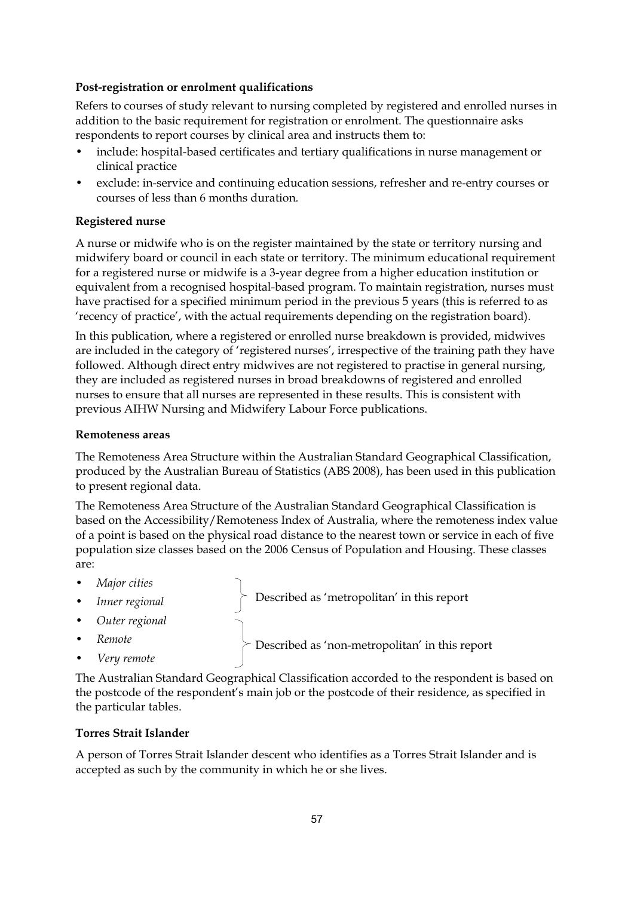#### **Post-registration or enrolment qualifications**

Refers to courses of study relevant to nursing completed by registered and enrolled nurses in addition to the basic requirement for registration or enrolment. The questionnaire asks respondents to report courses by clinical area and instructs them to:

- include: hospital-based certificates and tertiary qualifications in nurse management or clinical practice
- exclude: in-service and continuing education sessions, refresher and re-entry courses or courses of less than 6 months duration*.*

#### **Registered nurse**

A nurse or midwife who is on the register maintained by the state or territory nursing and midwifery board or council in each state or territory. The minimum educational requirement for a registered nurse or midwife is a 3-year degree from a higher education institution or equivalent from a recognised hospital-based program. To maintain registration, nurses must have practised for a specified minimum period in the previous 5 years (this is referred to as 'recency of practice', with the actual requirements depending on the registration board).

In this publication, where a registered or enrolled nurse breakdown is provided, midwives are included in the category of 'registered nurses', irrespective of the training path they have followed. Although direct entry midwives are not registered to practise in general nursing, they are included as registered nurses in broad breakdowns of registered and enrolled nurses to ensure that all nurses are represented in these results. This is consistent with previous AIHW Nursing and Midwifery Labour Force publications.

#### **Remoteness areas**

The Remoteness Area Structure within the Australian Standard Geographical Classification, produced by the Australian Bureau of Statistics (ABS 2008), has been used in this publication to present regional data.

The Remoteness Area Structure of the Australian Standard Geographical Classification is based on the Accessibility/Remoteness Index of Australia, where the remoteness index value of a point is based on the physical road distance to the nearest town or service in each of five population size classes based on the 2006 Census of Population and Housing. These classes are:

- *Major cities*
- *Inner regional* • *Outer regional* • *Remote* Described as 'metropolitan' in this report Described as 'non-metropolitan' in this report
- *Very remote*

The Australian Standard Geographical Classification accorded to the respondent is based on the postcode of the respondent's main job or the postcode of their residence, as specified in the particular tables.

#### **Torres Strait Islander**

A person of Torres Strait Islander descent who identifies as a Torres Strait Islander and is accepted as such by the community in which he or she lives.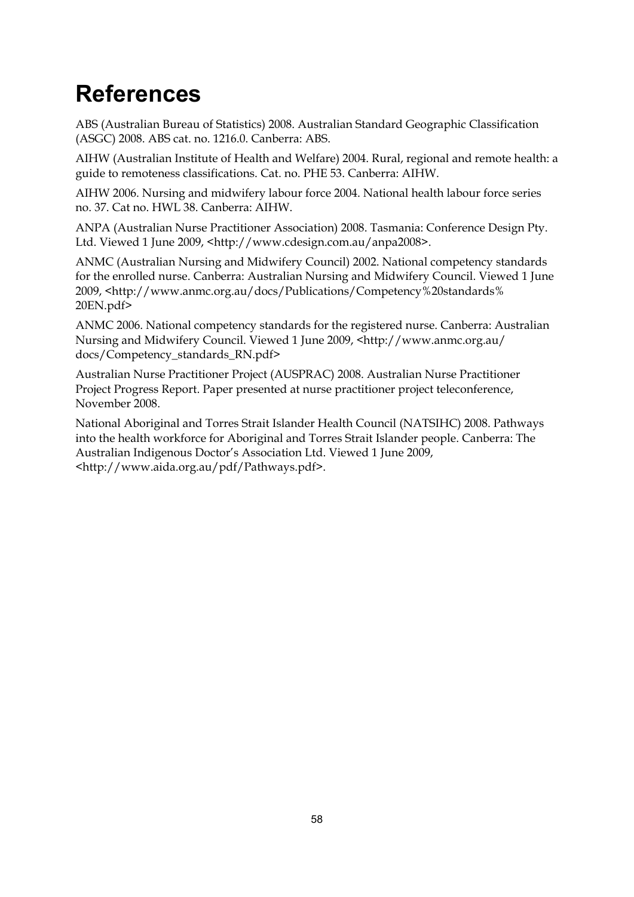# <span id="page-63-0"></span>**References**

ABS (Australian Bureau of Statistics) 2008. Australian Standard Geographic Classification (ASGC) 2008. ABS cat. no. 1216.0. Canberra: ABS.

AIHW (Australian Institute of Health and Welfare) 2004. Rural, regional and remote health: a guide to remoteness classifications. Cat. no. PHE 53. Canberra: AIHW.

AIHW 2006. Nursing and midwifery labour force 2004. National health labour force series no. 37. Cat no. HWL 38. Canberra: AIHW.

ANPA (Australian Nurse Practitioner Association) 2008. Tasmania: Conference Design Pty. Ltd. Viewed 1 June 2009, <http://www.cdesign.com.au/anpa2008>.

ANMC (Australian Nursing and Midwifery Council) 2002. National competency standards for the enrolled nurse. Canberra: Australian Nursing and Midwifery Council. Viewed 1 June 2009, <http://www.anmc.org.au/docs/Publications/Competency%20standards% 20EN.pdf>

ANMC 2006. National competency standards for the registered nurse. Canberra: Australian Nursing and Midwifery Council. Viewed 1 June 2009, [<http://www.anmc.org.au/](http://www.anmc.org.au/ docs/Competency_standards_RN.pdf)  [docs/Competency\\_standards\\_RN.pdf>](http://www.anmc.org.au/ docs/Competency_standards_RN.pdf)

Australian Nurse Practitioner Project (AUSPRAC) 2008. Australian Nurse Practitioner Project Progress Report. Paper presented at nurse practitioner project teleconference, November 2008.

National Aboriginal and Torres Strait Islander Health Council (NATSIHC) 2008. Pathways into the health workforce for Aboriginal and Torres Strait Islander people. Canberra: The Australian Indigenous Doctor's Association Ltd. Viewed 1 June 2009, <http://www.aida.org.au/pdf/Pathways.pdf>.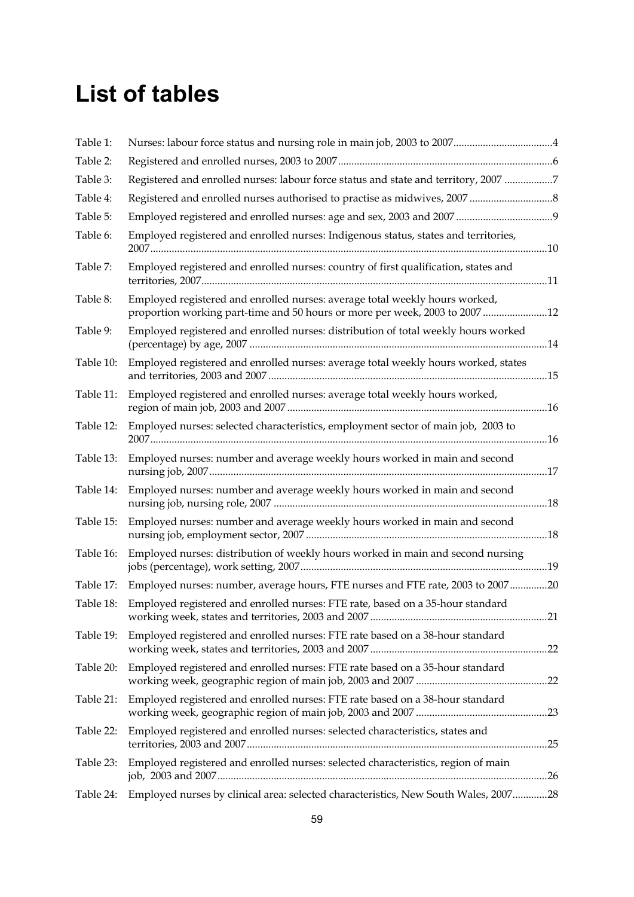# <span id="page-64-0"></span>**List of tables**

| Table 1:  |                                                                                                                                                           |  |
|-----------|-----------------------------------------------------------------------------------------------------------------------------------------------------------|--|
| Table 2:  |                                                                                                                                                           |  |
| Table 3:  | Registered and enrolled nurses: labour force status and state and territory, 2007 7                                                                       |  |
| Table 4:  |                                                                                                                                                           |  |
| Table 5:  |                                                                                                                                                           |  |
| Table 6:  | Employed registered and enrolled nurses: Indigenous status, states and territories,                                                                       |  |
| Table 7:  | Employed registered and enrolled nurses: country of first qualification, states and                                                                       |  |
| Table 8:  | Employed registered and enrolled nurses: average total weekly hours worked,<br>proportion working part-time and 50 hours or more per week, 2003 to 200712 |  |
| Table 9:  | Employed registered and enrolled nurses: distribution of total weekly hours worked                                                                        |  |
| Table 10: | Employed registered and enrolled nurses: average total weekly hours worked, states                                                                        |  |
| Table 11: | Employed registered and enrolled nurses: average total weekly hours worked,                                                                               |  |
| Table 12: | Employed nurses: selected characteristics, employment sector of main job, 2003 to                                                                         |  |
| Table 13: | Employed nurses: number and average weekly hours worked in main and second                                                                                |  |
| Table 14: | Employed nurses: number and average weekly hours worked in main and second                                                                                |  |
| Table 15: | Employed nurses: number and average weekly hours worked in main and second                                                                                |  |
| Table 16: | Employed nurses: distribution of weekly hours worked in main and second nursing                                                                           |  |
| Table 17: | Employed nurses: number, average hours, FTE nurses and FTE rate, 2003 to 200720                                                                           |  |
| Table 18: | Employed registered and enrolled nurses: FTE rate, based on a 35-hour standard                                                                            |  |
| Table 19: | Employed registered and enrolled nurses: FTE rate based on a 38-hour standard                                                                             |  |
| Table 20: | Employed registered and enrolled nurses: FTE rate based on a 35-hour standard                                                                             |  |
| Table 21: | Employed registered and enrolled nurses: FTE rate based on a 38-hour standard                                                                             |  |
| Table 22: | Employed registered and enrolled nurses: selected characteristics, states and                                                                             |  |
| Table 23: | Employed registered and enrolled nurses: selected characteristics, region of main                                                                         |  |
| Table 24: | Employed nurses by clinical area: selected characteristics, New South Wales, 200728                                                                       |  |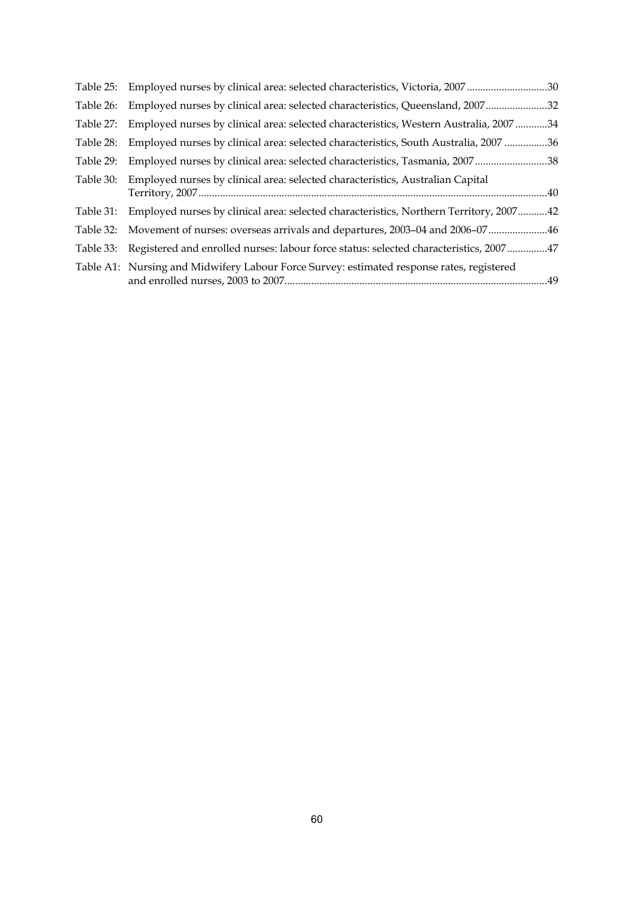|           | Table 25: Employed nurses by clinical area: selected characteristics, Victoria, 200730           |  |
|-----------|--------------------------------------------------------------------------------------------------|--|
| Table 26: | Employed nurses by clinical area: selected characteristics, Queensland, 200732                   |  |
| Table 27: | Employed nurses by clinical area: selected characteristics, Western Australia, 200734            |  |
| Table 28: | Employed nurses by clinical area: selected characteristics, South Australia, 2007 36             |  |
| Table 29: | Employed nurses by clinical area: selected characteristics, Tasmania, 200738                     |  |
| Table 30: | Employed nurses by clinical area: selected characteristics, Australian Capital                   |  |
|           | Table 31: Employed nurses by clinical area: selected characteristics, Northern Territory, 200742 |  |
|           | Table 32: Movement of nurses: overseas arrivals and departures, 2003–04 and 2006–07 46           |  |
|           | Table 33: Registered and enrolled nurses: labour force status: selected characteristics, 200747  |  |
|           | Table A1: Nursing and Midwifery Labour Force Survey: estimated response rates, registered        |  |